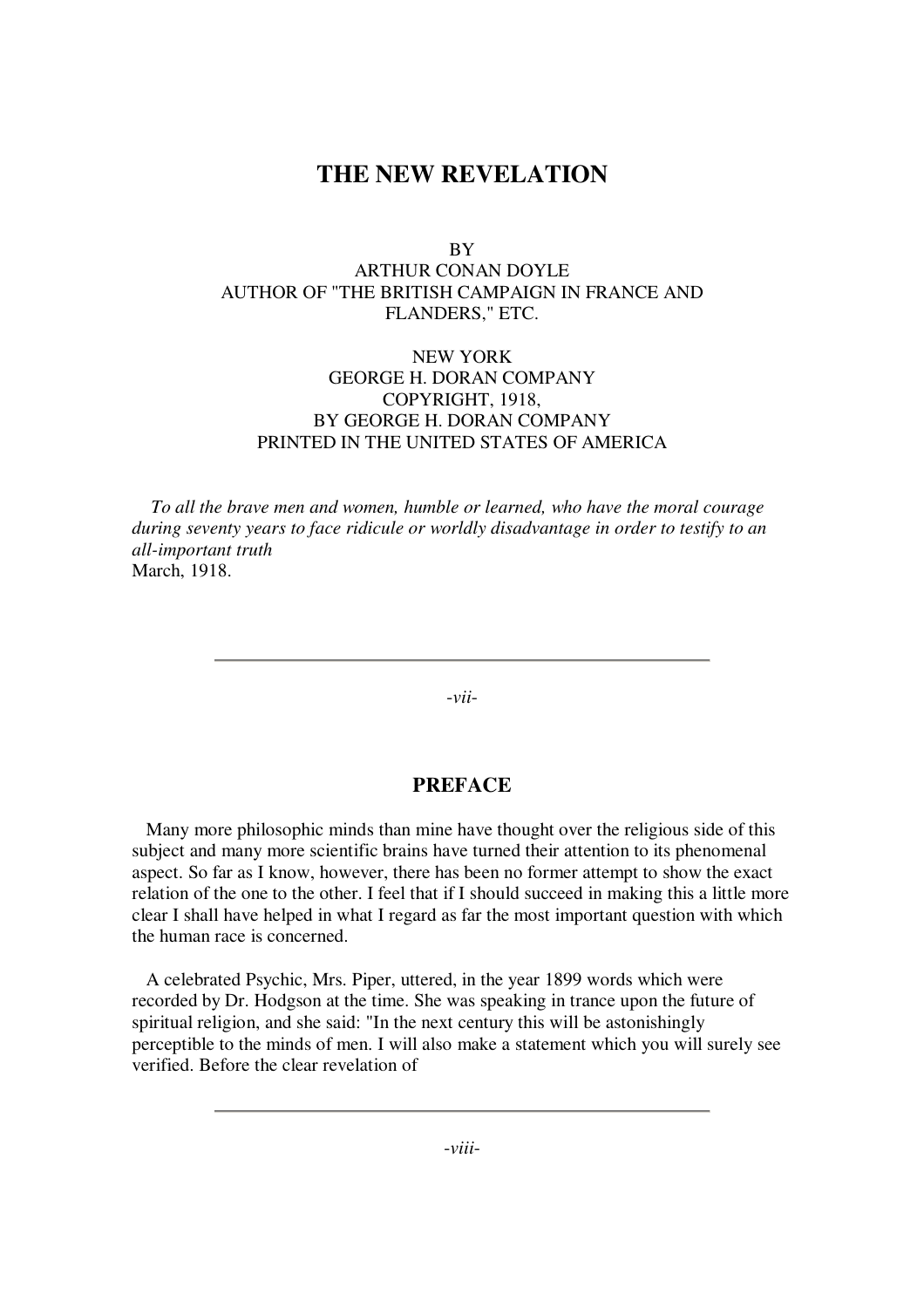# **THE NEW REVELATION**

**BY** 

# ARTHUR CONAN DOYLE AUTHOR OF "THE BRITISH CAMPAIGN IN FRANCE AND FLANDERS," ETC.

## NEW YORK GEORGE H. DORAN COMPANY COPYRIGHT, 1918, BY GEORGE H. DORAN COMPANY PRINTED IN THE UNITED STATES OF AMERICA

*To all the brave men and women, humble or learned, who have the moral courage during seventy years to face ridicule or worldly disadvantage in order to testify to an all-important truth* March, 1918.

-*vii*-

## **PREFACE**

Many more philosophic minds than mine have thought over the religious side of this subject and many more scientific brains have turned their attention to its phenomenal aspect. So far as I know, however, there has been no former attempt to show the exact relation of the one to the other. I feel that if I should succeed in making this a little more clear I shall have helped in what I regard as far the most important question with which the human race is concerned.

A celebrated Psychic, Mrs. Piper, uttered, in the year 1899 words which were recorded by Dr. Hodgson at the time. She was speaking in trance upon the future of spiritual religion, and she said: "In the next century this will be astonishingly perceptible to the minds of men. I will also make a statement which you will surely see verified. Before the clear revelation of

-*viii*-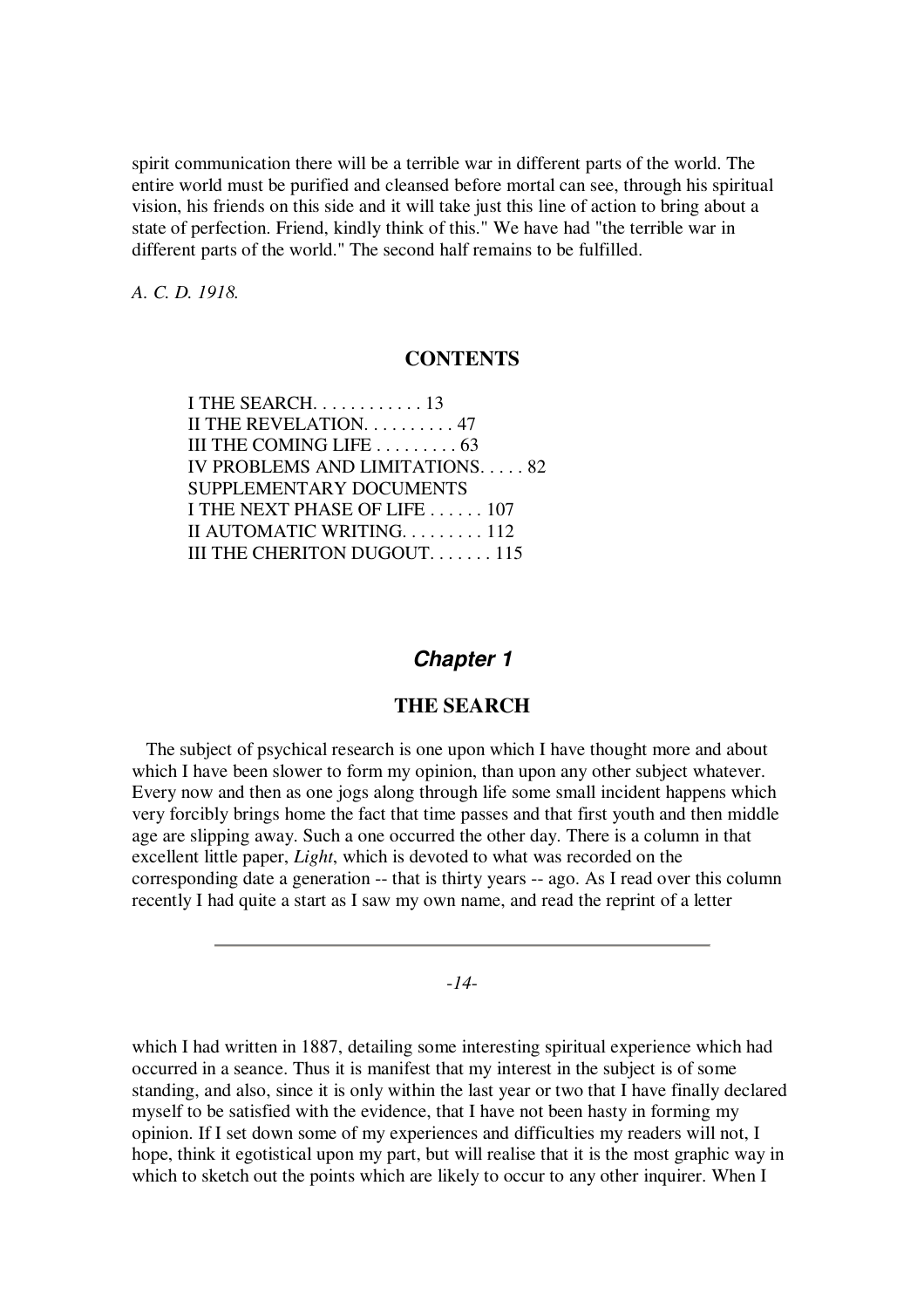spirit communication there will be a terrible war in different parts of the world. The entire world must be purified and cleansed before mortal can see, through his spiritual vision, his friends on this side and it will take just this line of action to bring about a state of perfection. Friend, kindly think of this." We have had "the terrible war in different parts of the world." The second half remains to be fulfilled.

*A. C. D. 1918.*

## **CONTENTS**

| I THE SEARCH. 13                              |
|-----------------------------------------------|
| II THE REVELATION. 47                         |
| III THE COMING LIFE $\ldots \ldots \ldots 63$ |
| IV PROBLEMS AND LIMITATIONS. 82               |
| SUPPLEMENTARY DOCUMENTS                       |
| I THE NEXT PHASE OF LIFE 107                  |
| II AUTOMATIC WRITING. 112                     |
| III THE CHERITON DUGOUT115                    |
|                                               |

## *Chapter 1*

## **THE SEARCH**

The subject of psychical research is one upon which I have thought more and about which I have been slower to form my opinion, than upon any other subject whatever. Every now and then as one jogs along through life some small incident happens which very forcibly brings home the fact that time passes and that first youth and then middle age are slipping away. Such a one occurred the other day. There is a column in that excellent little paper, *Light*, which is devoted to what was recorded on the corresponding date a generation -- that is thirty years -- ago. As I read over this column recently I had quite a start as I saw my own name, and read the reprint of a letter

## -*14*-

which I had written in 1887, detailing some interesting spiritual experience which had occurred in a seance. Thus it is manifest that my interest in the subject is of some standing, and also, since it is only within the last year or two that I have finally declared myself to be satisfied with the evidence, that I have not been hasty in forming my opinion. If I set down some of my experiences and difficulties my readers will not, I hope, think it egotistical upon my part, but will realise that it is the most graphic way in which to sketch out the points which are likely to occur to any other inquirer. When I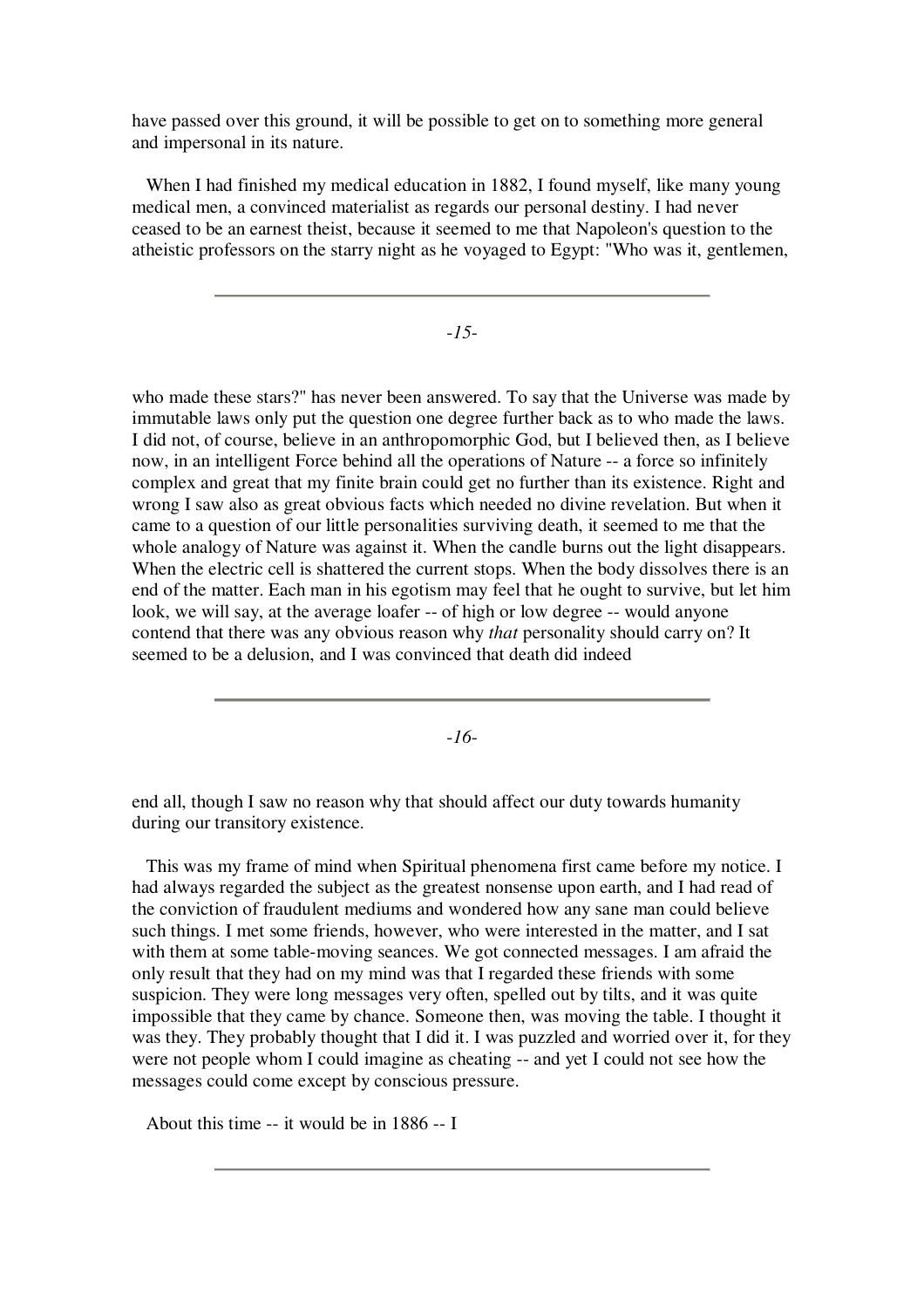have passed over this ground, it will be possible to get on to something more general and impersonal in its nature.

When I had finished my medical education in 1882, I found myself, like many young medical men, a convinced materialist as regards our personal destiny. I had never ceased to be an earnest theist, because it seemed to me that Napoleon's question to the atheistic professors on the starry night as he voyaged to Egypt: "Who was it, gentlemen,

-*15*-

who made these stars?" has never been answered. To say that the Universe was made by immutable laws only put the question one degree further back as to who made the laws. I did not, of course, believe in an anthropomorphic God, but I believed then, as I believe now, in an intelligent Force behind all the operations of Nature -- a force so infinitely complex and great that my finite brain could get no further than its existence. Right and wrong I saw also as great obvious facts which needed no divine revelation. But when it came to a question of our little personalities surviving death, it seemed to me that the whole analogy of Nature was against it. When the candle burns out the light disappears. When the electric cell is shattered the current stops. When the body dissolves there is an end of the matter. Each man in his egotism may feel that he ought to survive, but let him look, we will say, at the average loafer -- of high or low degree -- would anyone contend that there was any obvious reason why *that* personality should carry on? It seemed to be a delusion, and I was convinced that death did indeed

-*16*-

end all, though I saw no reason why that should affect our duty towards humanity during our transitory existence.

This was my frame of mind when Spiritual phenomena first came before my notice. I had always regarded the subject as the greatest nonsense upon earth, and I had read of the conviction of fraudulent mediums and wondered how any sane man could believe such things. I met some friends, however, who were interested in the matter, and I sat with them at some table-moving seances. We got connected messages. I am afraid the only result that they had on my mind was that I regarded these friends with some suspicion. They were long messages very often, spelled out by tilts, and it was quite impossible that they came by chance. Someone then, was moving the table. I thought it was they. They probably thought that I did it. I was puzzled and worried over it, for they were not people whom I could imagine as cheating -- and yet I could not see how the messages could come except by conscious pressure.

About this time -- it would be in 1886 -- I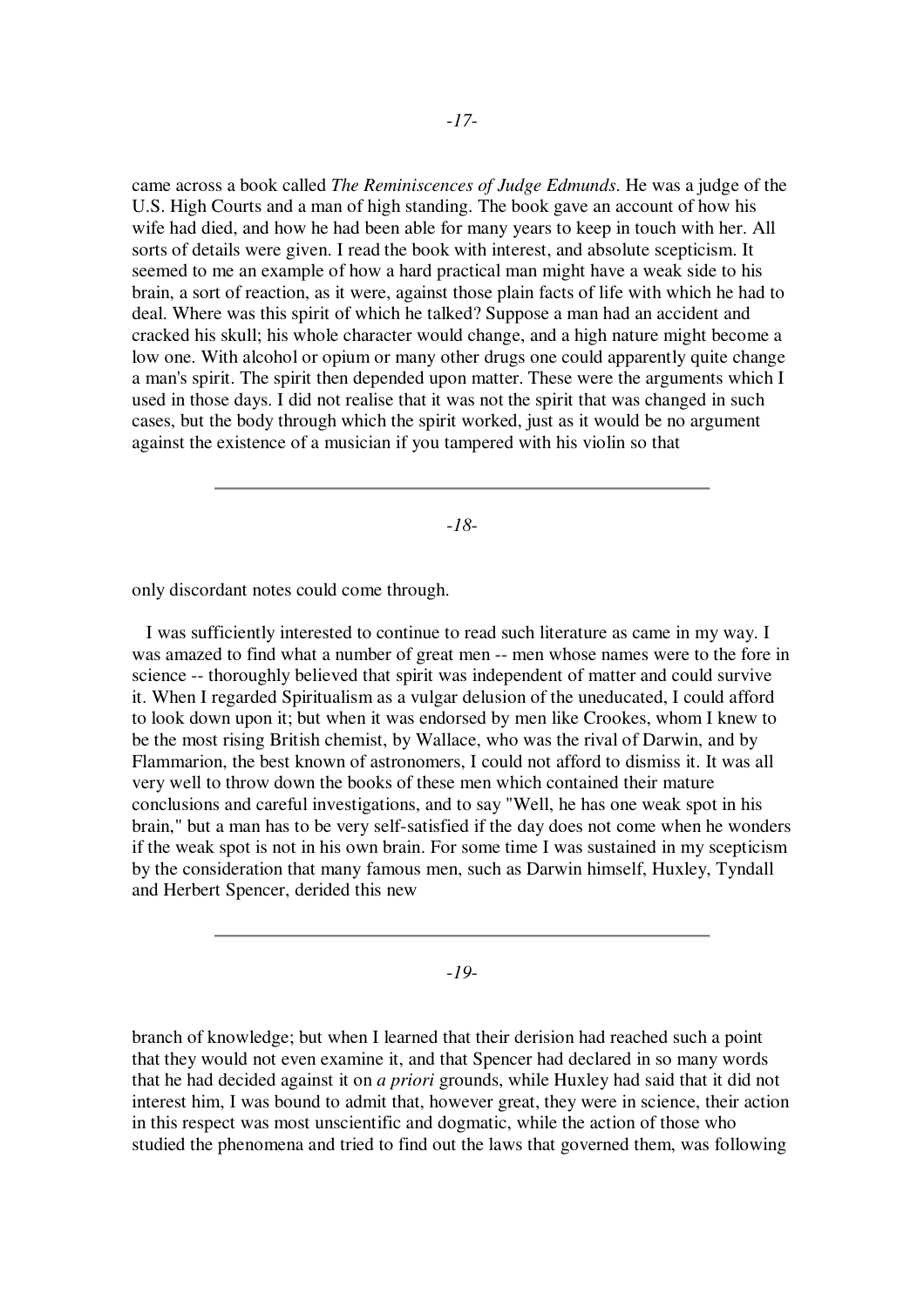came across a book called *The Reminiscences of Judge Edmunds*. He was a judge of the U.S. High Courts and a man of high standing. The book gave an account of how his wife had died, and how he had been able for many years to keep in touch with her. All sorts of details were given. I read the book with interest, and absolute scepticism. It seemed to me an example of how a hard practical man might have a weak side to his brain, a sort of reaction, as it were, against those plain facts of life with which he had to deal. Where was this spirit of which he talked? Suppose a man had an accident and cracked his skull; his whole character would change, and a high nature might become a low one. With alcohol or opium or many other drugs one could apparently quite change a man's spirit. The spirit then depended upon matter. These were the arguments which I used in those days. I did not realise that it was not the spirit that was changed in such cases, but the body through which the spirit worked, just as it would be no argument against the existence of a musician if you tampered with his violin so that

-*18*-

only discordant notes could come through.

I was sufficiently interested to continue to read such literature as came in my way. I was amazed to find what a number of great men -- men whose names were to the fore in science -- thoroughly believed that spirit was independent of matter and could survive it. When I regarded Spiritualism as a vulgar delusion of the uneducated, I could afford to look down upon it; but when it was endorsed by men like Crookes, whom I knew to be the most rising British chemist, by Wallace, who was the rival of Darwin, and by Flammarion, the best known of astronomers, I could not afford to dismiss it. It was all very well to throw down the books of these men which contained their mature conclusions and careful investigations, and to say "Well, he has one weak spot in his brain," but a man has to be very self-satisfied if the day does not come when he wonders if the weak spot is not in his own brain. For some time I was sustained in my scepticism by the consideration that many famous men, such as Darwin himself, Huxley, Tyndall and Herbert Spencer, derided this new

-*19*-

branch of knowledge; but when I learned that their derision had reached such a point that they would not even examine it, and that Spencer had declared in so many words that he had decided against it on *a priori* grounds, while Huxley had said that it did not interest him, I was bound to admit that, however great, they were in science, their action in this respect was most unscientific and dogmatic, while the action of those who studied the phenomena and tried to find out the laws that governed them, was following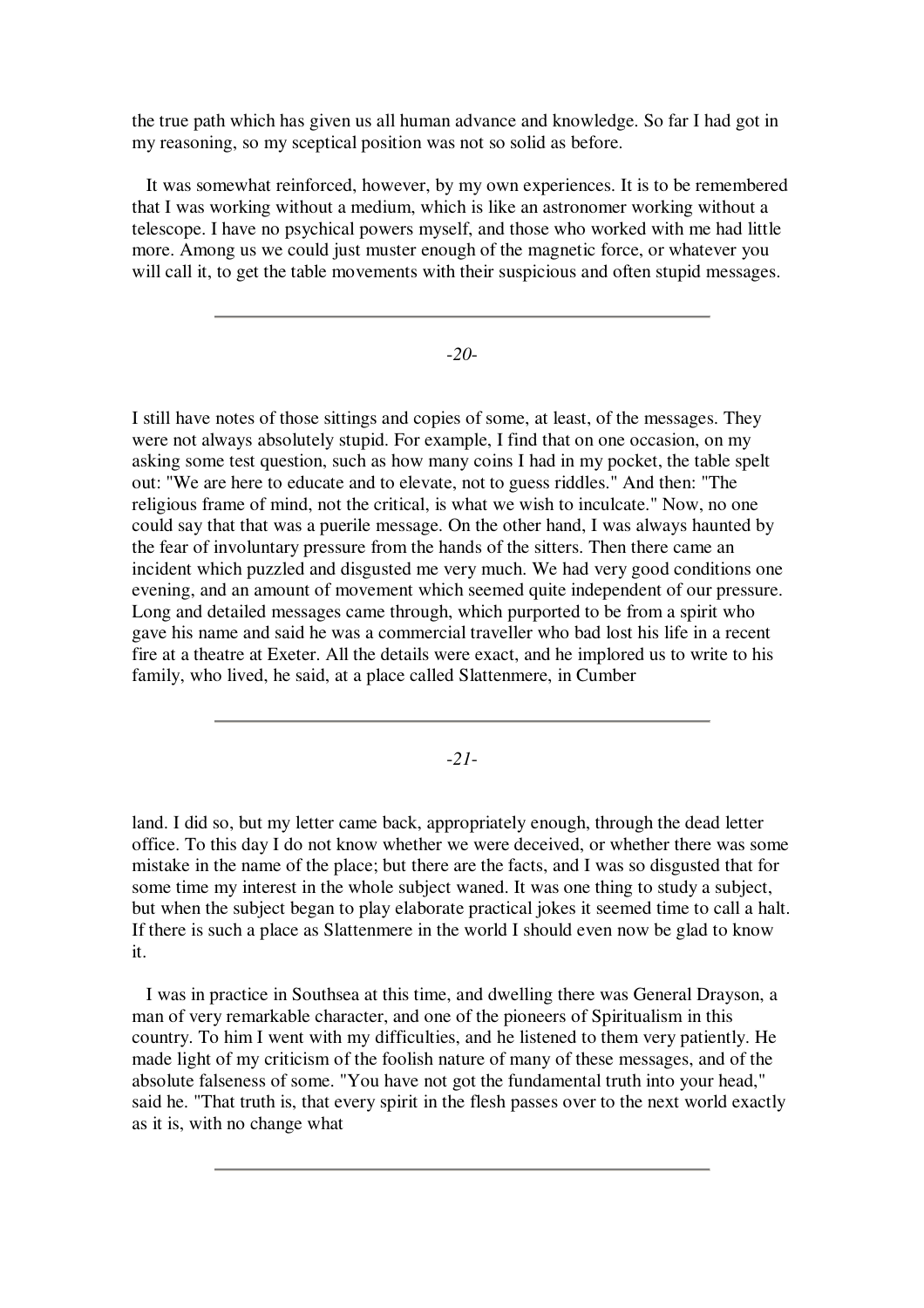the true path which has given us all human advance and knowledge. So far I had got in my reasoning, so my sceptical position was not so solid as before.

It was somewhat reinforced, however, by my own experiences. It is to be remembered that I was working without a medium, which is like an astronomer working without a telescope. I have no psychical powers myself, and those who worked with me had little more. Among us we could just muster enough of the magnetic force, or whatever you will call it, to get the table movements with their suspicious and often stupid messages.

-*20*-

I still have notes of those sittings and copies of some, at least, of the messages. They were not always absolutely stupid. For example, I find that on one occasion, on my asking some test question, such as how many coins I had in my pocket, the table spelt out: "We are here to educate and to elevate, not to guess riddles." And then: "The religious frame of mind, not the critical, is what we wish to inculcate." Now, no one could say that that was a puerile message. On the other hand, I was always haunted by the fear of involuntary pressure from the hands of the sitters. Then there came an incident which puzzled and disgusted me very much. We had very good conditions one evening, and an amount of movement which seemed quite independent of our pressure. Long and detailed messages came through, which purported to be from a spirit who gave his name and said he was a commercial traveller who bad lost his life in a recent fire at a theatre at Exeter. All the details were exact, and he implored us to write to his family, who lived, he said, at a place called Slattenmere, in Cumber

-*21*-

land. I did so, but my letter came back, appropriately enough, through the dead letter office. To this day I do not know whether we were deceived, or whether there was some mistake in the name of the place; but there are the facts, and I was so disgusted that for some time my interest in the whole subject waned. It was one thing to study a subject, but when the subject began to play elaborate practical jokes it seemed time to call a halt. If there is such a place as Slattenmere in the world I should even now be glad to know it.

I was in practice in Southsea at this time, and dwelling there was General Drayson, a man of very remarkable character, and one of the pioneers of Spiritualism in this country. To him I went with my difficulties, and he listened to them very patiently. He made light of my criticism of the foolish nature of many of these messages, and of the absolute falseness of some. "You have not got the fundamental truth into your head," said he. "That truth is, that every spirit in the flesh passes over to the next world exactly as it is, with no change what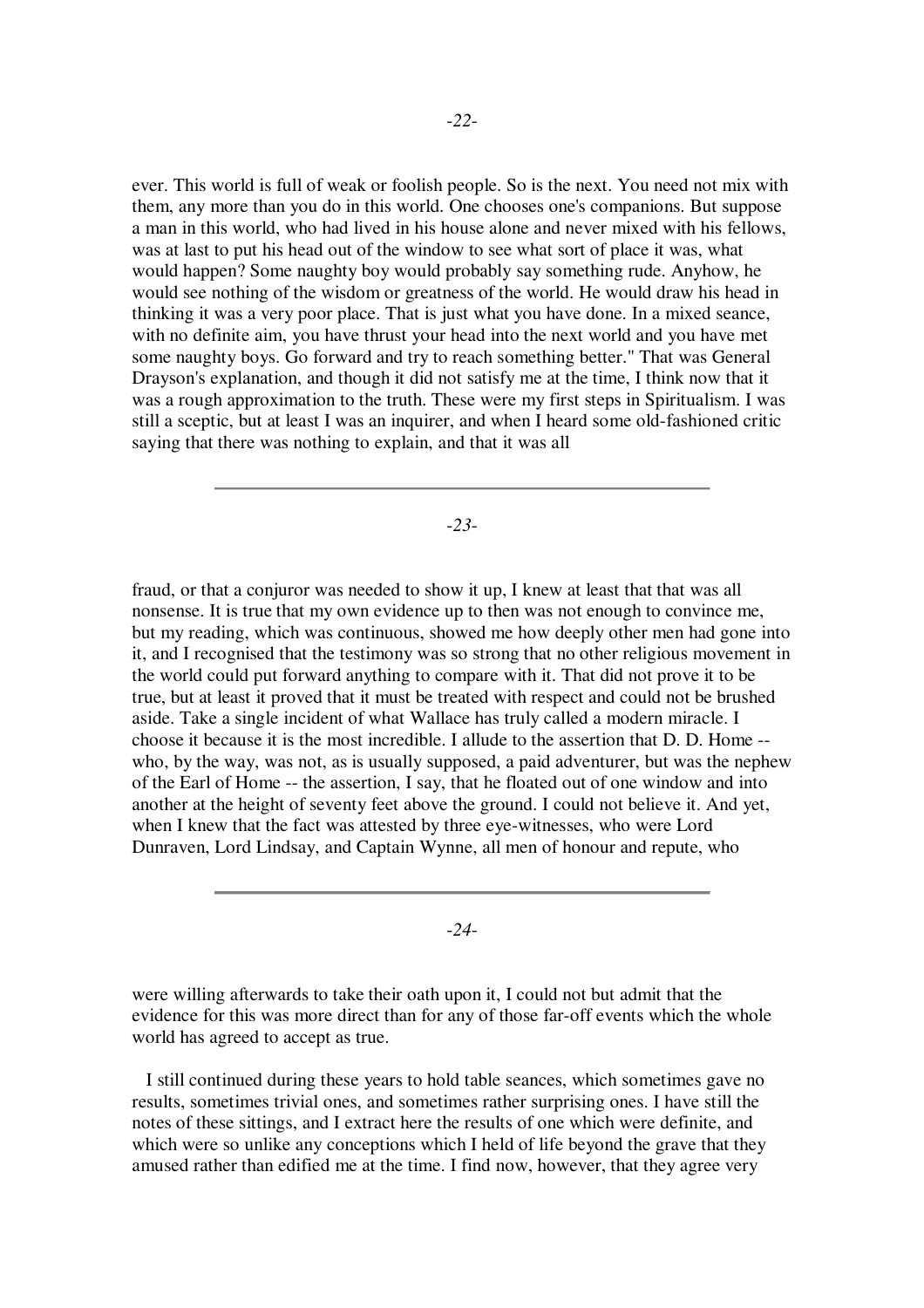ever. This world is full of weak or foolish people. So is the next. You need not mix with them, any more than you do in this world. One chooses one's companions. But suppose a man in this world, who had lived in his house alone and never mixed with his fellows, was at last to put his head out of the window to see what sort of place it was, what would happen? Some naughty boy would probably say something rude. Anyhow, he would see nothing of the wisdom or greatness of the world. He would draw his head in thinking it was a very poor place. That is just what you have done. In a mixed seance, with no definite aim, you have thrust your head into the next world and you have met some naughty boys. Go forward and try to reach something better." That was General Drayson's explanation, and though it did not satisfy me at the time, I think now that it was a rough approximation to the truth. These were my first steps in Spiritualism. I was still a sceptic, but at least I was an inquirer, and when I heard some old-fashioned critic saying that there was nothing to explain, and that it was all

-*23*-

fraud, or that a conjuror was needed to show it up, I knew at least that that was all nonsense. It is true that my own evidence up to then was not enough to convince me, but my reading, which was continuous, showed me how deeply other men had gone into it, and I recognised that the testimony was so strong that no other religious movement in the world could put forward anything to compare with it. That did not prove it to be true, but at least it proved that it must be treated with respect and could not be brushed aside. Take a single incident of what Wallace has truly called a modern miracle. I choose it because it is the most incredible. I allude to the assertion that D. D. Home - who, by the way, was not, as is usually supposed, a paid adventurer, but was the nephew of the Earl of Home -- the assertion, I say, that he floated out of one window and into another at the height of seventy feet above the ground. I could not believe it. And yet, when I knew that the fact was attested by three eye-witnesses, who were Lord Dunraven, Lord Lindsay, and Captain Wynne, all men of honour and repute, who

-*24*-

were willing afterwards to take their oath upon it, I could not but admit that the evidence for this was more direct than for any of those far-off events which the whole world has agreed to accept as true.

I still continued during these years to hold table seances, which sometimes gave no results, sometimes trivial ones, and sometimes rather surprising ones. I have still the notes of these sittings, and I extract here the results of one which were definite, and which were so unlike any conceptions which I held of life beyond the grave that they amused rather than edified me at the time. I find now, however, that they agree very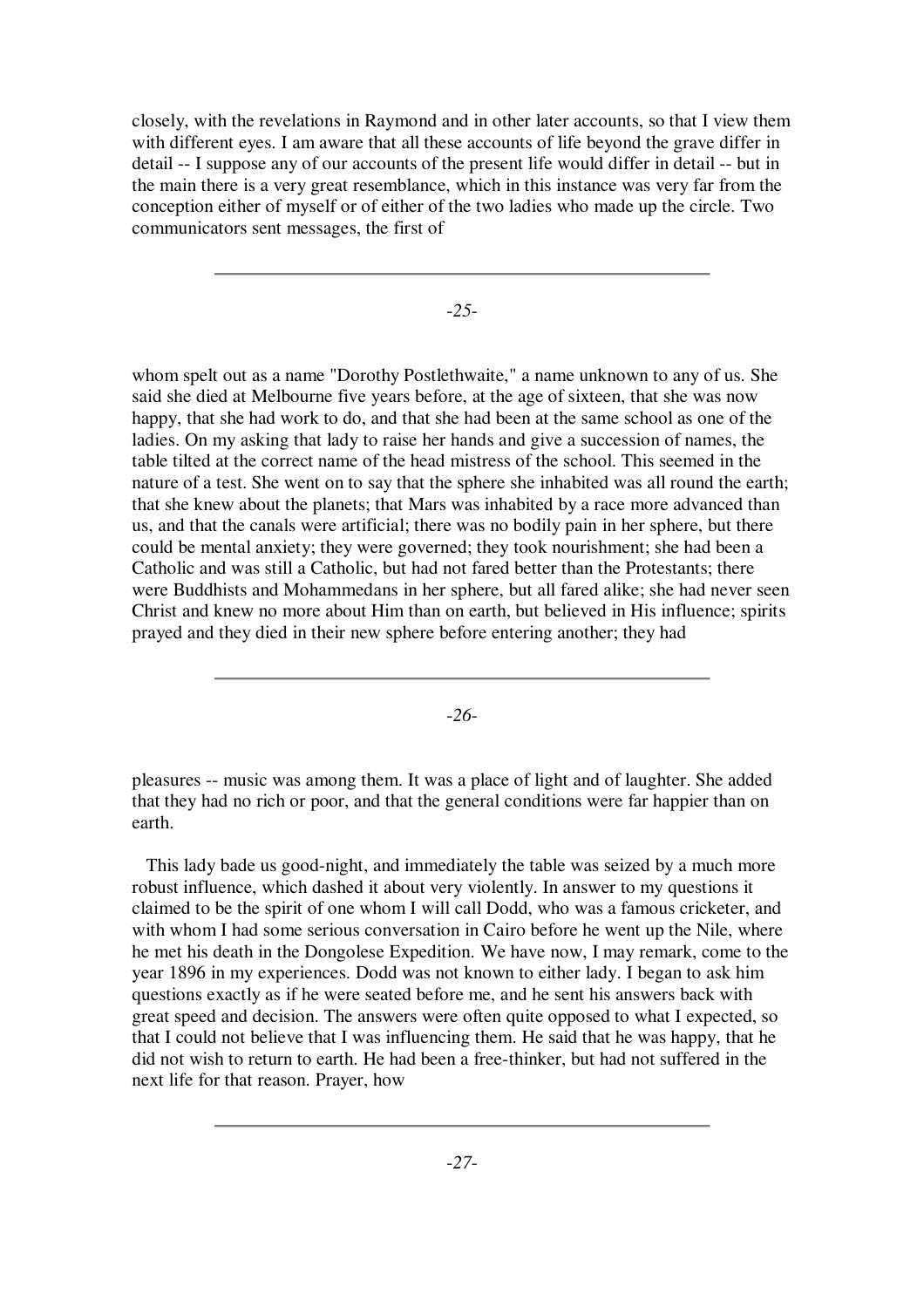closely, with the revelations in Raymond and in other later accounts, so that I view them with different eyes. I am aware that all these accounts of life beyond the grave differ in detail -- I suppose any of our accounts of the present life would differ in detail -- but in the main there is a very great resemblance, which in this instance was very far from the conception either of myself or of either of the two ladies who made up the circle. Two communicators sent messages, the first of

-*25*-

whom spelt out as a name "Dorothy Postlethwaite," a name unknown to any of us. She said she died at Melbourne five years before, at the age of sixteen, that she was now happy, that she had work to do, and that she had been at the same school as one of the ladies. On my asking that lady to raise her hands and give a succession of names, the table tilted at the correct name of the head mistress of the school. This seemed in the nature of a test. She went on to say that the sphere she inhabited was all round the earth; that she knew about the planets; that Mars was inhabited by a race more advanced than us, and that the canals were artificial; there was no bodily pain in her sphere, but there could be mental anxiety; they were governed; they took nourishment; she had been a Catholic and was still a Catholic, but had not fared better than the Protestants; there were Buddhists and Mohammedans in her sphere, but all fared alike; she had never seen Christ and knew no more about Him than on earth, but believed in His influence; spirits prayed and they died in their new sphere before entering another; they had

-*26*-

pleasures -- music was among them. It was a place of light and of laughter. She added that they had no rich or poor, and that the general conditions were far happier than on earth.

This lady bade us good-night, and immediately the table was seized by a much more robust influence, which dashed it about very violently. In answer to my questions it claimed to be the spirit of one whom I will call Dodd, who was a famous cricketer, and with whom I had some serious conversation in Cairo before he went up the Nile, where he met his death in the Dongolese Expedition. We have now, I may remark, come to the year 1896 in my experiences. Dodd was not known to either lady. I began to ask him questions exactly as if he were seated before me, and he sent his answers back with great speed and decision. The answers were often quite opposed to what I expected, so that I could not believe that I was influencing them. He said that he was happy, that he did not wish to return to earth. He had been a free-thinker, but had not suffered in the next life for that reason. Prayer, how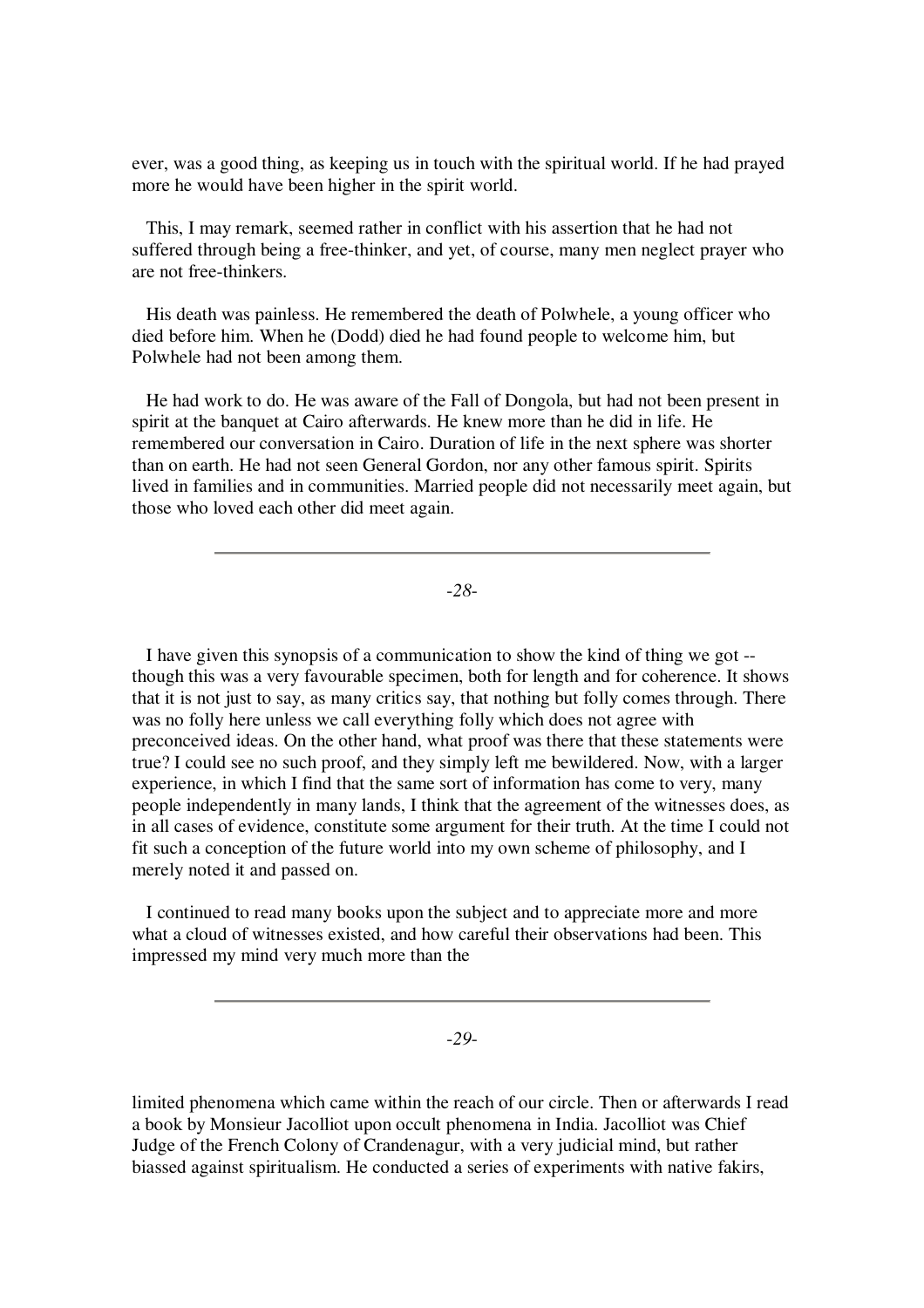ever, was a good thing, as keeping us in touch with the spiritual world. If he had prayed more he would have been higher in the spirit world.

This, I may remark, seemed rather in conflict with his assertion that he had not suffered through being a free-thinker, and yet, of course, many men neglect prayer who are not free-thinkers.

His death was painless. He remembered the death of Polwhele, a young officer who died before him. When he (Dodd) died he had found people to welcome him, but Polwhele had not been among them.

He had work to do. He was aware of the Fall of Dongola, but had not been present in spirit at the banquet at Cairo afterwards. He knew more than he did in life. He remembered our conversation in Cairo. Duration of life in the next sphere was shorter than on earth. He had not seen General Gordon, nor any other famous spirit. Spirits lived in families and in communities. Married people did not necessarily meet again, but those who loved each other did meet again.

-*28*-

I have given this synopsis of a communication to show the kind of thing we got - though this was a very favourable specimen, both for length and for coherence. It shows that it is not just to say, as many critics say, that nothing but folly comes through. There was no folly here unless we call everything folly which does not agree with preconceived ideas. On the other hand, what proof was there that these statements were true? I could see no such proof, and they simply left me bewildered. Now, with a larger experience, in which I find that the same sort of information has come to very, many people independently in many lands, I think that the agreement of the witnesses does, as in all cases of evidence, constitute some argument for their truth. At the time I could not fit such a conception of the future world into my own scheme of philosophy, and I merely noted it and passed on.

I continued to read many books upon the subject and to appreciate more and more what a cloud of witnesses existed, and how careful their observations had been. This impressed my mind very much more than the

-*29*-

limited phenomena which came within the reach of our circle. Then or afterwards I read a book by Monsieur Jacolliot upon occult phenomena in India. Jacolliot was Chief Judge of the French Colony of Crandenagur, with a very judicial mind, but rather biassed against spiritualism. He conducted a series of experiments with native fakirs,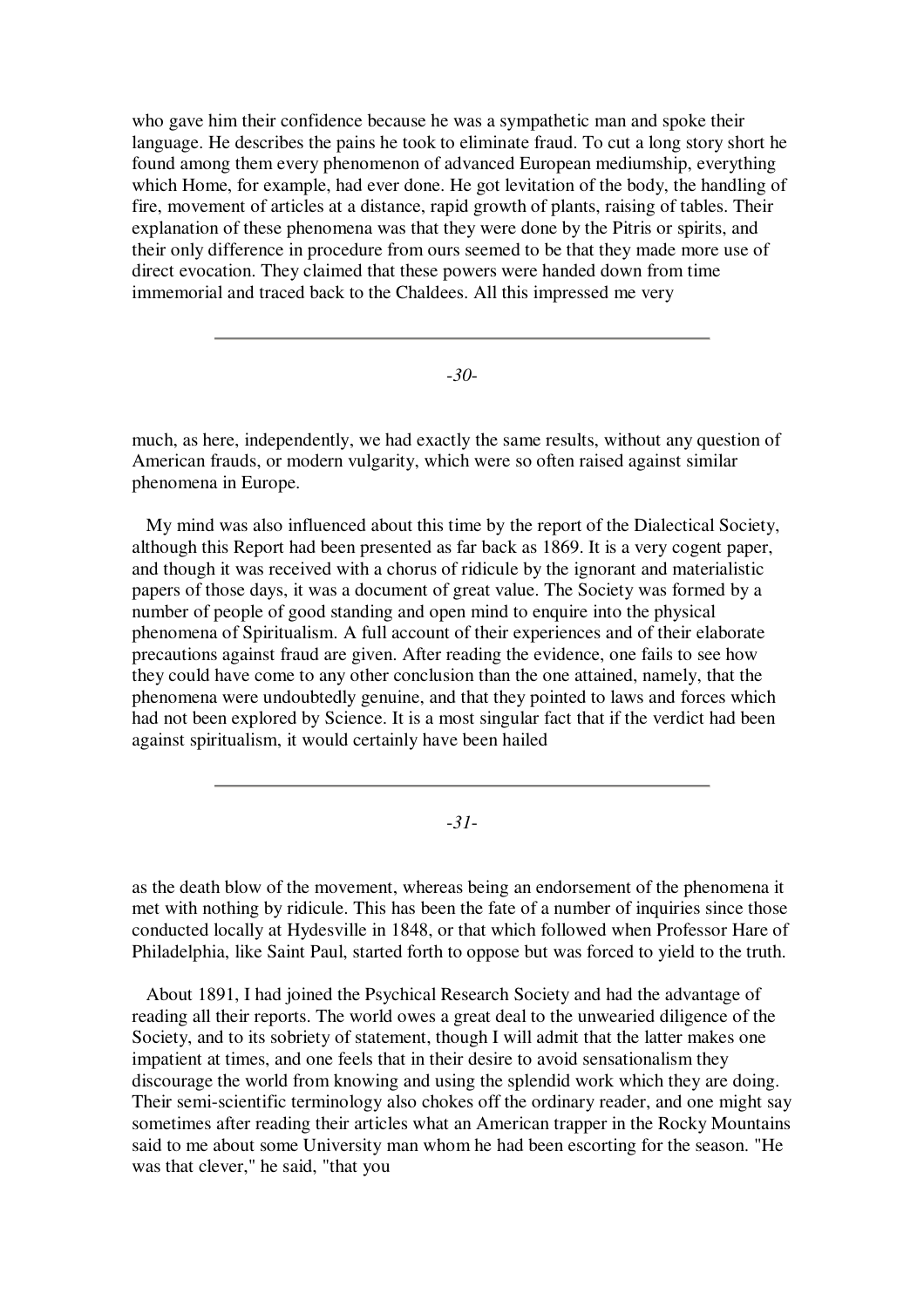who gave him their confidence because he was a sympathetic man and spoke their language. He describes the pains he took to eliminate fraud. To cut a long story short he found among them every phenomenon of advanced European mediumship, everything which Home, for example, had ever done. He got levitation of the body, the handling of fire, movement of articles at a distance, rapid growth of plants, raising of tables. Their explanation of these phenomena was that they were done by the Pitris or spirits, and their only difference in procedure from ours seemed to be that they made more use of direct evocation. They claimed that these powers were handed down from time immemorial and traced back to the Chaldees. All this impressed me very

-*30*-

much, as here, independently, we had exactly the same results, without any question of American frauds, or modern vulgarity, which were so often raised against similar phenomena in Europe.

My mind was also influenced about this time by the report of the Dialectical Society, although this Report had been presented as far back as 1869. It is a very cogent paper, and though it was received with a chorus of ridicule by the ignorant and materialistic papers of those days, it was a document of great value. The Society was formed by a number of people of good standing and open mind to enquire into the physical phenomena of Spiritualism. A full account of their experiences and of their elaborate precautions against fraud are given. After reading the evidence, one fails to see how they could have come to any other conclusion than the one attained, namely, that the phenomena were undoubtedly genuine, and that they pointed to laws and forces which had not been explored by Science. It is a most singular fact that if the verdict had been against spiritualism, it would certainly have been hailed

-*31*-

as the death blow of the movement, whereas being an endorsement of the phenomena it met with nothing by ridicule. This has been the fate of a number of inquiries since those conducted locally at Hydesville in 1848, or that which followed when Professor Hare of Philadelphia, like Saint Paul, started forth to oppose but was forced to yield to the truth.

About 1891, I had joined the Psychical Research Society and had the advantage of reading all their reports. The world owes a great deal to the unwearied diligence of the Society, and to its sobriety of statement, though I will admit that the latter makes one impatient at times, and one feels that in their desire to avoid sensationalism they discourage the world from knowing and using the splendid work which they are doing. Their semi-scientific terminology also chokes off the ordinary reader, and one might say sometimes after reading their articles what an American trapper in the Rocky Mountains said to me about some University man whom he had been escorting for the season. "He was that clever," he said, "that you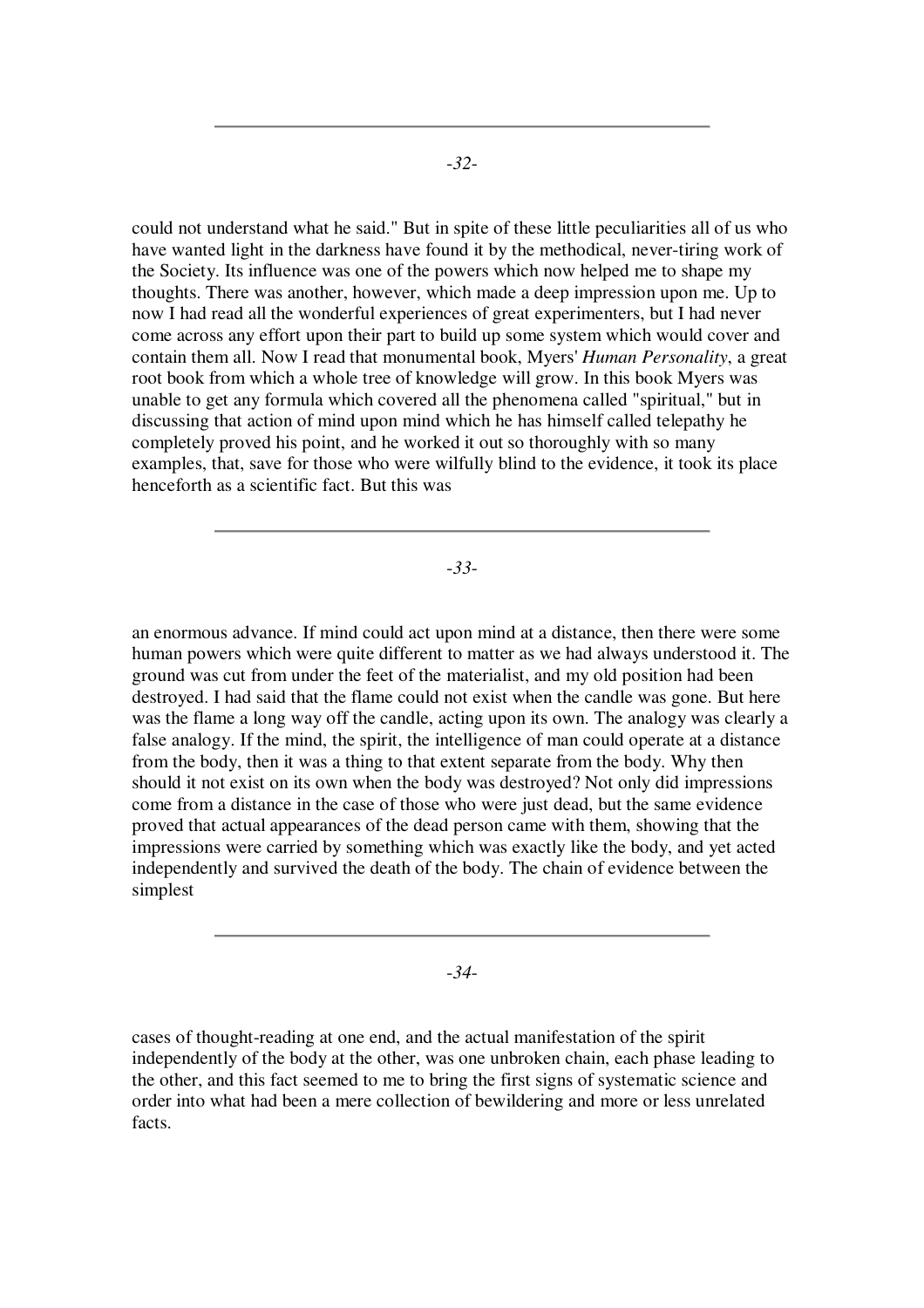could not understand what he said." But in spite of these little peculiarities all of us who have wanted light in the darkness have found it by the methodical, never-tiring work of the Society. Its influence was one of the powers which now helped me to shape my thoughts. There was another, however, which made a deep impression upon me. Up to now I had read all the wonderful experiences of great experimenters, but I had never come across any effort upon their part to build up some system which would cover and contain them all. Now I read that monumental book, Myers' *Human Personality*, a great root book from which a whole tree of knowledge will grow. In this book Myers was unable to get any formula which covered all the phenomena called "spiritual," but in discussing that action of mind upon mind which he has himself called telepathy he completely proved his point, and he worked it out so thoroughly with so many examples, that, save for those who were wilfully blind to the evidence, it took its place henceforth as a scientific fact. But this was

-*33*-

an enormous advance. If mind could act upon mind at a distance, then there were some human powers which were quite different to matter as we had always understood it. The ground was cut from under the feet of the materialist, and my old position had been destroyed. I had said that the flame could not exist when the candle was gone. But here was the flame a long way off the candle, acting upon its own. The analogy was clearly a false analogy. If the mind, the spirit, the intelligence of man could operate at a distance from the body, then it was a thing to that extent separate from the body. Why then should it not exist on its own when the body was destroyed? Not only did impressions come from a distance in the case of those who were just dead, but the same evidence proved that actual appearances of the dead person came with them, showing that the impressions were carried by something which was exactly like the body, and yet acted independently and survived the death of the body. The chain of evidence between the simplest

-*34*-

cases of thought-reading at one end, and the actual manifestation of the spirit independently of the body at the other, was one unbroken chain, each phase leading to the other, and this fact seemed to me to bring the first signs of systematic science and order into what had been a mere collection of bewildering and more or less unrelated facts.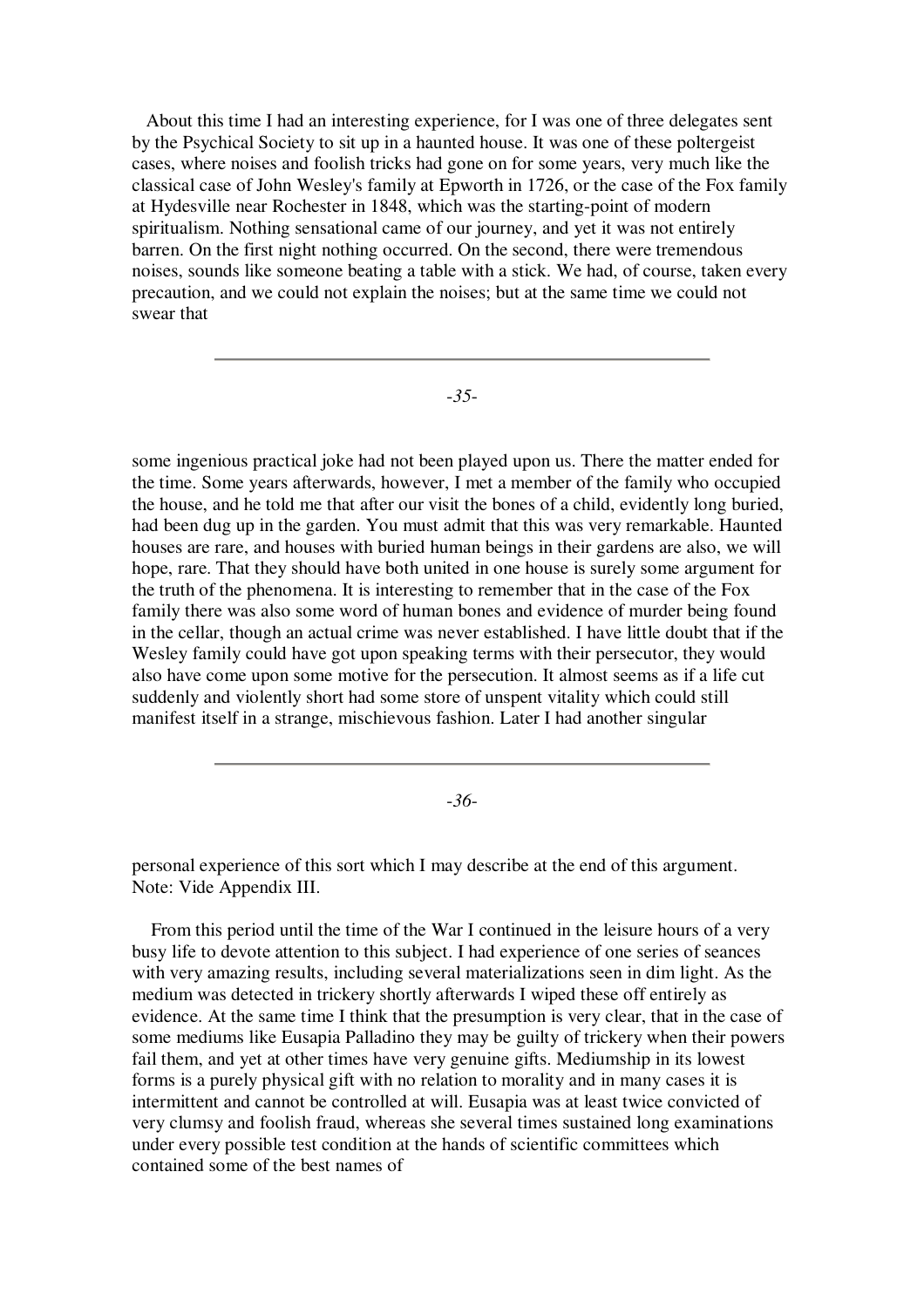About this time I had an interesting experience, for I was one of three delegates sent by the Psychical Society to sit up in a haunted house. It was one of these poltergeist cases, where noises and foolish tricks had gone on for some years, very much like the classical case of John Wesley's family at Epworth in 1726, or the case of the Fox family at Hydesville near Rochester in 1848, which was the starting-point of modern spiritualism. Nothing sensational came of our journey, and yet it was not entirely barren. On the first night nothing occurred. On the second, there were tremendous noises, sounds like someone beating a table with a stick. We had, of course, taken every precaution, and we could not explain the noises; but at the same time we could not swear that

-*35*-

some ingenious practical joke had not been played upon us. There the matter ended for the time. Some years afterwards, however, I met a member of the family who occupied the house, and he told me that after our visit the bones of a child, evidently long buried, had been dug up in the garden. You must admit that this was very remarkable. Haunted houses are rare, and houses with buried human beings in their gardens are also, we will hope, rare. That they should have both united in one house is surely some argument for the truth of the phenomena. It is interesting to remember that in the case of the Fox family there was also some word of human bones and evidence of murder being found in the cellar, though an actual crime was never established. I have little doubt that if the Wesley family could have got upon speaking terms with their persecutor, they would also have come upon some motive for the persecution. It almost seems as if a life cut suddenly and violently short had some store of unspent vitality which could still manifest itself in a strange, mischievous fashion. Later I had another singular

-*36*-

personal experience of this sort which I may describe at the end of this argument. Note: Vide Appendix III.

From this period until the time of the War I continued in the leisure hours of a very busy life to devote attention to this subject. I had experience of one series of seances with very amazing results, including several materializations seen in dim light. As the medium was detected in trickery shortly afterwards I wiped these off entirely as evidence. At the same time I think that the presumption is very clear, that in the case of some mediums like Eusapia Palladino they may be guilty of trickery when their powers fail them, and yet at other times have very genuine gifts. Mediumship in its lowest forms is a purely physical gift with no relation to morality and in many cases it is intermittent and cannot be controlled at will. Eusapia was at least twice convicted of very clumsy and foolish fraud, whereas she several times sustained long examinations under every possible test condition at the hands of scientific committees which contained some of the best names of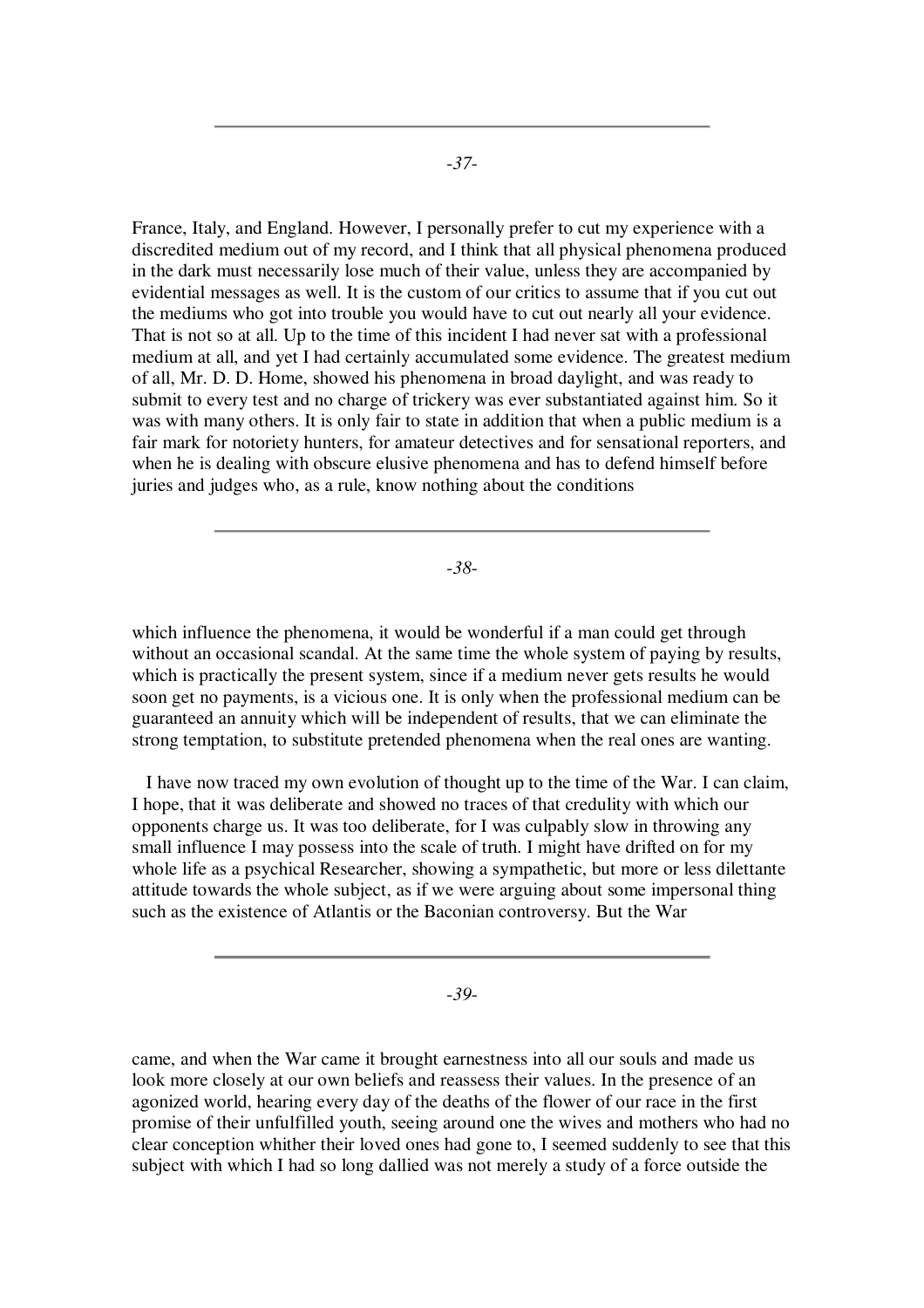France, Italy, and England. However, I personally prefer to cut my experience with a discredited medium out of my record, and I think that all physical phenomena produced in the dark must necessarily lose much of their value, unless they are accompanied by evidential messages as well. It is the custom of our critics to assume that if you cut out the mediums who got into trouble you would have to cut out nearly all your evidence. That is not so at all. Up to the time of this incident I had never sat with a professional medium at all, and yet I had certainly accumulated some evidence. The greatest medium of all, Mr. D. D. Home, showed his phenomena in broad daylight, and was ready to submit to every test and no charge of trickery was ever substantiated against him. So it was with many others. It is only fair to state in addition that when a public medium is a fair mark for notoriety hunters, for amateur detectives and for sensational reporters, and when he is dealing with obscure elusive phenomena and has to defend himself before juries and judges who, as a rule, know nothing about the conditions

-*38*-

which influence the phenomena, it would be wonderful if a man could get through without an occasional scandal. At the same time the whole system of paying by results, which is practically the present system, since if a medium never gets results he would soon get no payments, is a vicious one. It is only when the professional medium can be guaranteed an annuity which will be independent of results, that we can eliminate the strong temptation, to substitute pretended phenomena when the real ones are wanting.

I have now traced my own evolution of thought up to the time of the War. I can claim, I hope, that it was deliberate and showed no traces of that credulity with which our opponents charge us. It was too deliberate, for I was culpably slow in throwing any small influence I may possess into the scale of truth. I might have drifted on for my whole life as a psychical Researcher, showing a sympathetic, but more or less dilettante attitude towards the whole subject, as if we were arguing about some impersonal thing such as the existence of Atlantis or the Baconian controversy. But the War

-*39*-

came, and when the War came it brought earnestness into all our souls and made us look more closely at our own beliefs and reassess their values. In the presence of an agonized world, hearing every day of the deaths of the flower of our race in the first promise of their unfulfilled youth, seeing around one the wives and mothers who had no clear conception whither their loved ones had gone to, I seemed suddenly to see that this subject with which I had so long dallied was not merely a study of a force outside the

-*37*-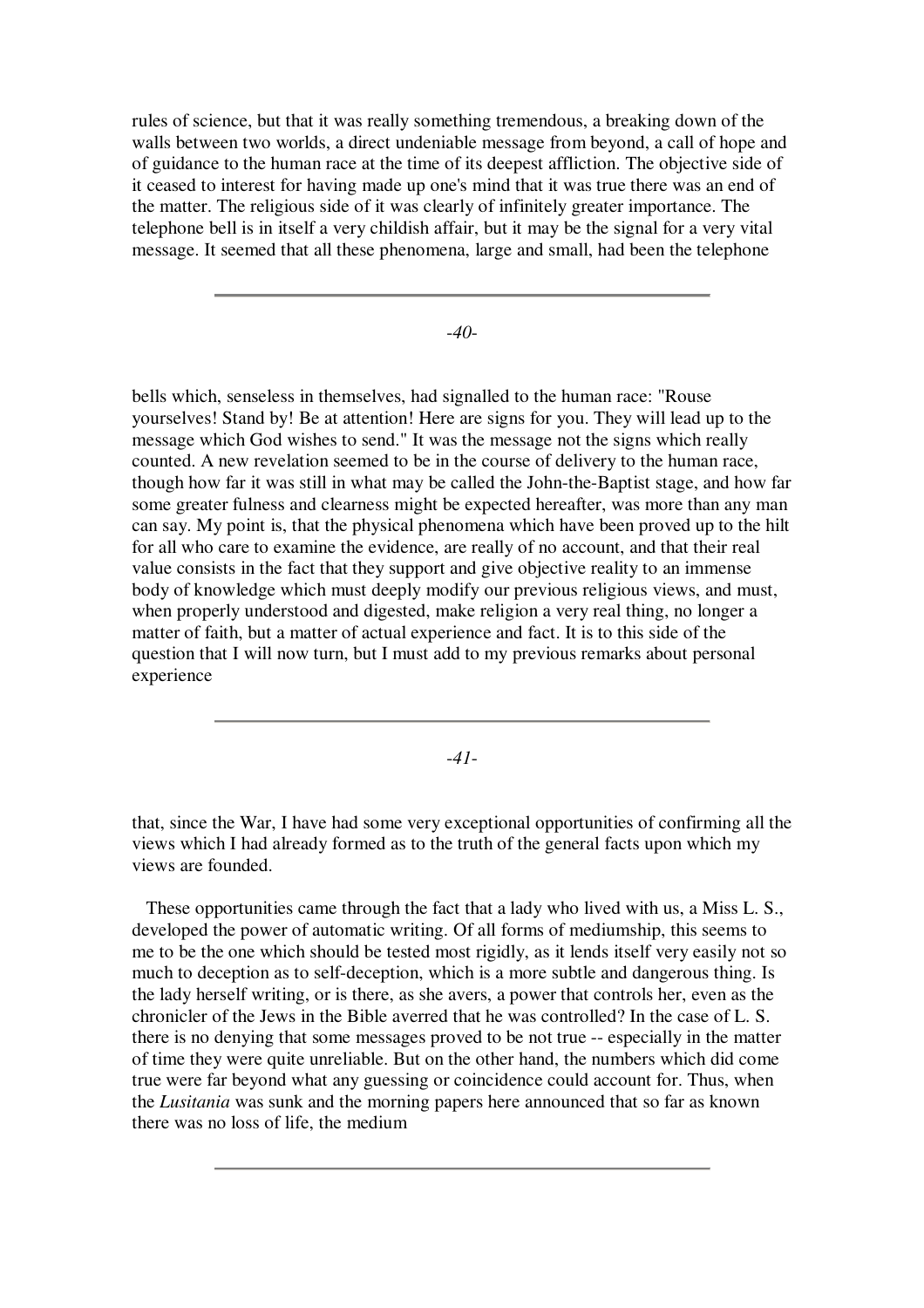rules of science, but that it was really something tremendous, a breaking down of the walls between two worlds, a direct undeniable message from beyond, a call of hope and of guidance to the human race at the time of its deepest affliction. The objective side of it ceased to interest for having made up one's mind that it was true there was an end of the matter. The religious side of it was clearly of infinitely greater importance. The telephone bell is in itself a very childish affair, but it may be the signal for a very vital message. It seemed that all these phenomena, large and small, had been the telephone

-*40*-

bells which, senseless in themselves, had signalled to the human race: "Rouse yourselves! Stand by! Be at attention! Here are signs for you. They will lead up to the message which God wishes to send." It was the message not the signs which really counted. A new revelation seemed to be in the course of delivery to the human race, though how far it was still in what may be called the John-the-Baptist stage, and how far some greater fulness and clearness might be expected hereafter, was more than any man can say. My point is, that the physical phenomena which have been proved up to the hilt for all who care to examine the evidence, are really of no account, and that their real value consists in the fact that they support and give objective reality to an immense body of knowledge which must deeply modify our previous religious views, and must, when properly understood and digested, make religion a very real thing, no longer a matter of faith, but a matter of actual experience and fact. It is to this side of the question that I will now turn, but I must add to my previous remarks about personal experience

-*41*-

that, since the War, I have had some very exceptional opportunities of confirming all the views which I had already formed as to the truth of the general facts upon which my views are founded.

These opportunities came through the fact that a lady who lived with us, a Miss L. S., developed the power of automatic writing. Of all forms of mediumship, this seems to me to be the one which should be tested most rigidly, as it lends itself very easily not so much to deception as to self-deception, which is a more subtle and dangerous thing. Is the lady herself writing, or is there, as she avers, a power that controls her, even as the chronicler of the Jews in the Bible averred that he was controlled? In the case of L. S. there is no denying that some messages proved to be not true -- especially in the matter of time they were quite unreliable. But on the other hand, the numbers which did come true were far beyond what any guessing or coincidence could account for. Thus, when the *Lusitania* was sunk and the morning papers here announced that so far as known there was no loss of life, the medium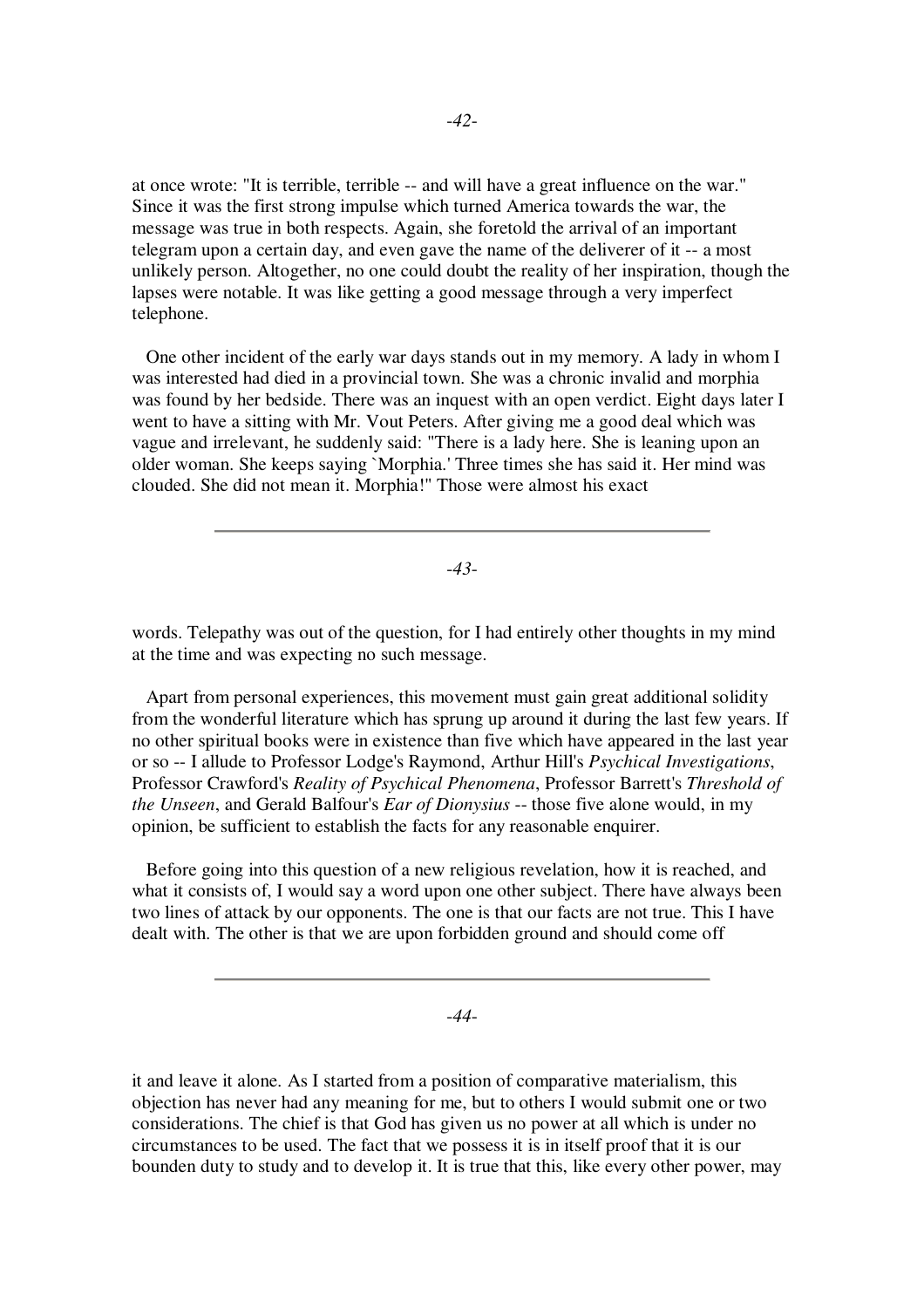at once wrote: "It is terrible, terrible -- and will have a great influence on the war." Since it was the first strong impulse which turned America towards the war, the message was true in both respects. Again, she foretold the arrival of an important telegram upon a certain day, and even gave the name of the deliverer of it -- a most unlikely person. Altogether, no one could doubt the reality of her inspiration, though the lapses were notable. It was like getting a good message through a very imperfect telephone.

One other incident of the early war days stands out in my memory. A lady in whom I was interested had died in a provincial town. She was a chronic invalid and morphia was found by her bedside. There was an inquest with an open verdict. Eight days later I went to have a sitting with Mr. Vout Peters. After giving me a good deal which was vague and irrelevant, he suddenly said: "There is a lady here. She is leaning upon an older woman. She keeps saying `Morphia.' Three times she has said it. Her mind was clouded. She did not mean it. Morphia!" Those were almost his exact

-*43*-

words. Telepathy was out of the question, for I had entirely other thoughts in my mind at the time and was expecting no such message.

Apart from personal experiences, this movement must gain great additional solidity from the wonderful literature which has sprung up around it during the last few years. If no other spiritual books were in existence than five which have appeared in the last year or so -- I allude to Professor Lodge's Raymond, Arthur Hill's *Psychical Investigations*, Professor Crawford's *Reality of Psychical Phenomena*, Professor Barrett's *Threshold of the Unseen*, and Gerald Balfour's *Ear of Dionysius* -- those five alone would, in my opinion, be sufficient to establish the facts for any reasonable enquirer.

Before going into this question of a new religious revelation, how it is reached, and what it consists of, I would say a word upon one other subject. There have always been two lines of attack by our opponents. The one is that our facts are not true. This I have dealt with. The other is that we are upon forbidden ground and should come off

-*44*-

it and leave it alone. As I started from a position of comparative materialism, this objection has never had any meaning for me, but to others I would submit one or two considerations. The chief is that God has given us no power at all which is under no circumstances to be used. The fact that we possess it is in itself proof that it is our bounden duty to study and to develop it. It is true that this, like every other power, may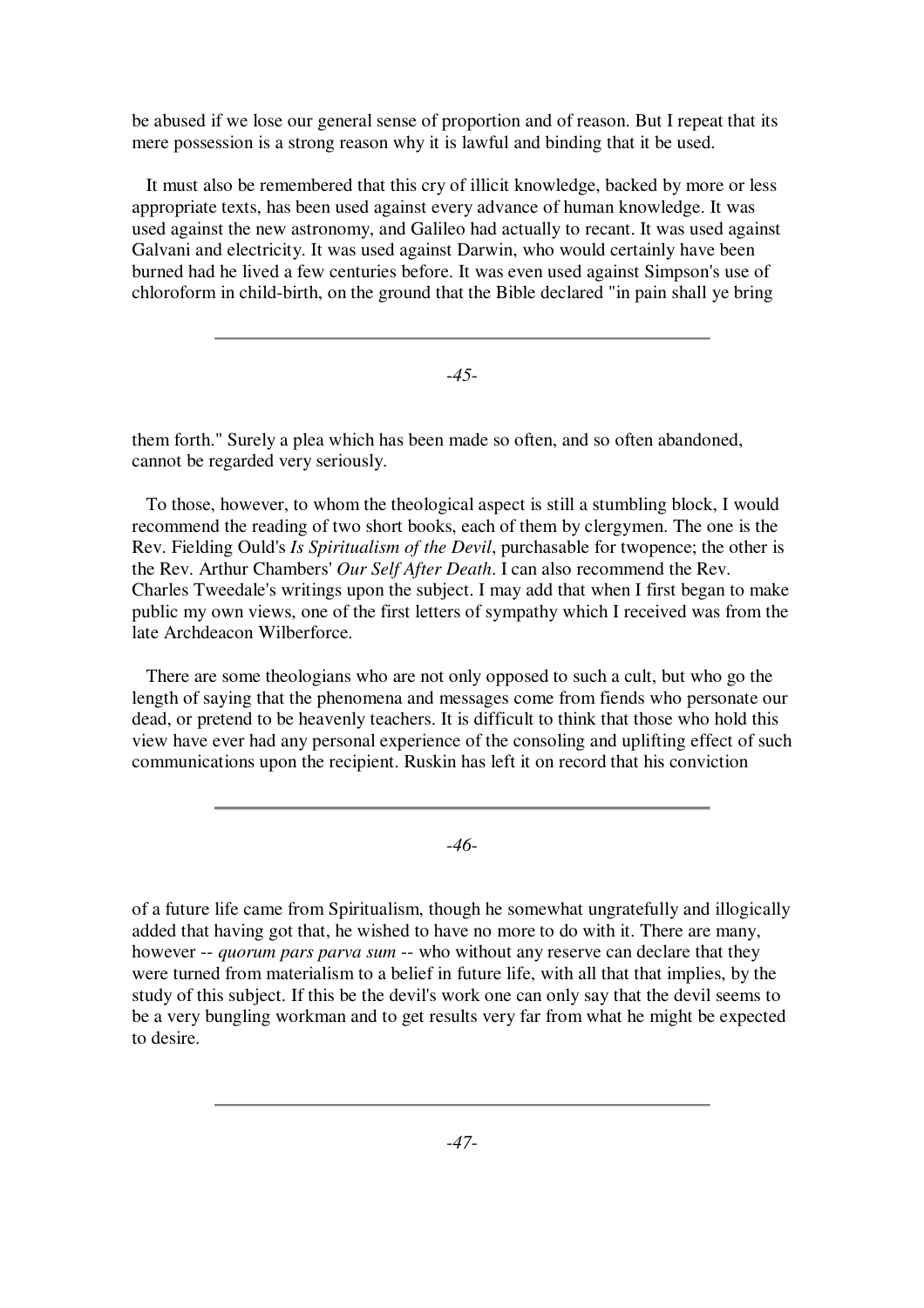be abused if we lose our general sense of proportion and of reason. But I repeat that its mere possession is a strong reason why it is lawful and binding that it be used.

It must also be remembered that this cry of illicit knowledge, backed by more or less appropriate texts, has been used against every advance of human knowledge. It was used against the new astronomy, and Galileo had actually to recant. It was used against Galvani and electricity. It was used against Darwin, who would certainly have been burned had he lived a few centuries before. It was even used against Simpson's use of chloroform in child-birth, on the ground that the Bible declared "in pain shall ye bring

-*45*-

them forth." Surely a plea which has been made so often, and so often abandoned, cannot be regarded very seriously.

To those, however, to whom the theological aspect is still a stumbling block, I would recommend the reading of two short books, each of them by clergymen. The one is the Rev. Fielding Ould's *Is Spiritualism of the Devil*, purchasable for twopence; the other is the Rev. Arthur Chambers' *Our Self After Death*. I can also recommend the Rev. Charles Tweedale's writings upon the subject. I may add that when I first began to make public my own views, one of the first letters of sympathy which I received was from the late Archdeacon Wilberforce.

There are some theologians who are not only opposed to such a cult, but who go the length of saying that the phenomena and messages come from fiends who personate our dead, or pretend to be heavenly teachers. It is difficult to think that those who hold this view have ever had any personal experience of the consoling and uplifting effect of such communications upon the recipient. Ruskin has left it on record that his conviction

-*46*-

of a future life came from Spiritualism, though he somewhat ungratefully and illogically added that having got that, he wished to have no more to do with it. There are many, however -- *quorum pars parva sum* -- who without any reserve can declare that they were turned from materialism to a belief in future life, with all that that implies, by the study of this subject. If this be the devil's work one can only say that the devil seems to be a very bungling workman and to get results very far from what he might be expected to desire.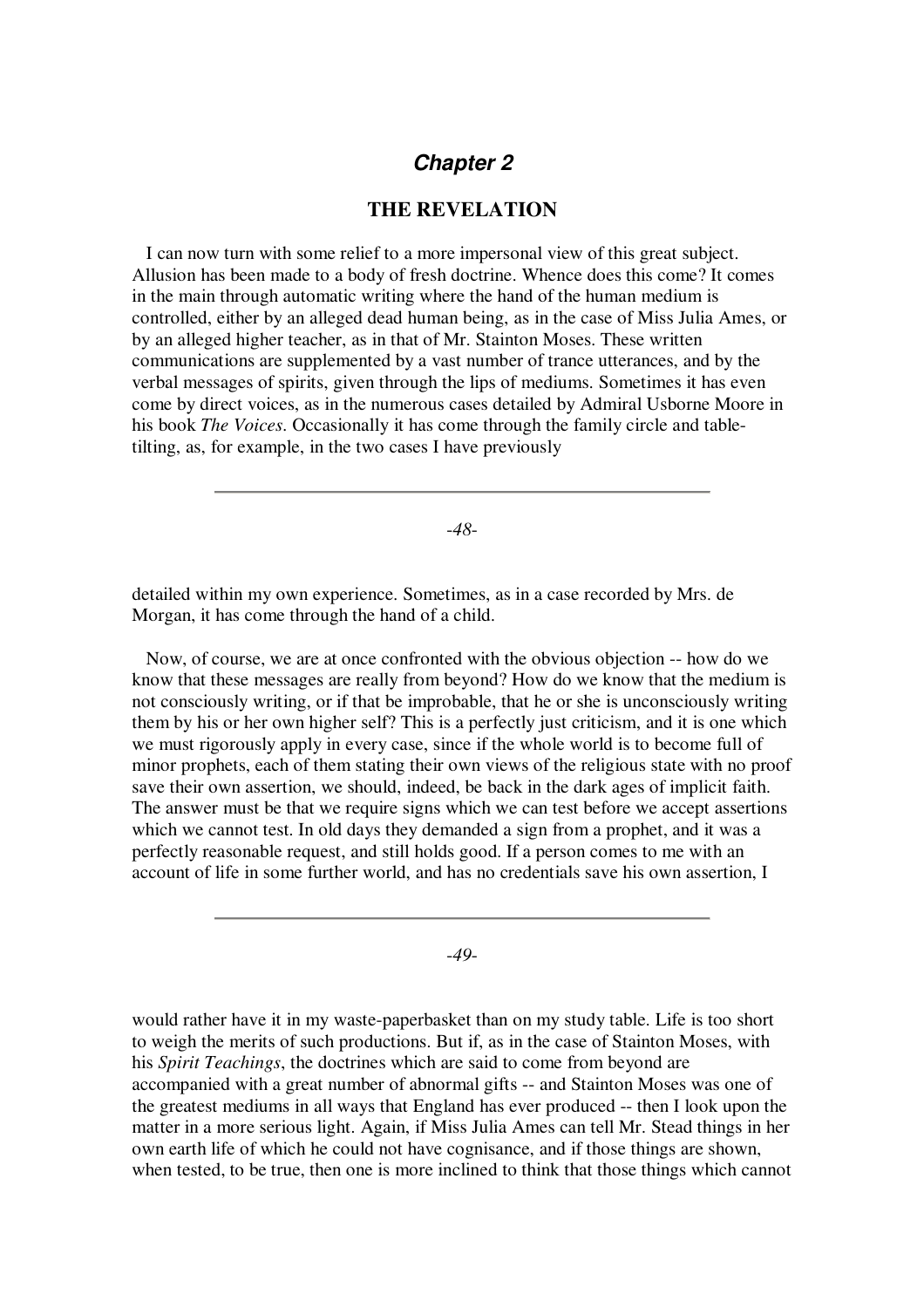# *Chapter 2*

### **THE REVELATION**

I can now turn with some relief to a more impersonal view of this great subject. Allusion has been made to a body of fresh doctrine. Whence does this come? It comes in the main through automatic writing where the hand of the human medium is controlled, either by an alleged dead human being, as in the case of Miss Julia Ames, or by an alleged higher teacher, as in that of Mr. Stainton Moses. These written communications are supplemented by a vast number of trance utterances, and by the verbal messages of spirits, given through the lips of mediums. Sometimes it has even come by direct voices, as in the numerous cases detailed by Admiral Usborne Moore in his book *The Voices*. Occasionally it has come through the family circle and tabletilting, as, for example, in the two cases I have previously

-*48*-

detailed within my own experience. Sometimes, as in a case recorded by Mrs. de Morgan, it has come through the hand of a child.

Now, of course, we are at once confronted with the obvious objection -- how do we know that these messages are really from beyond? How do we know that the medium is not consciously writing, or if that be improbable, that he or she is unconsciously writing them by his or her own higher self? This is a perfectly just criticism, and it is one which we must rigorously apply in every case, since if the whole world is to become full of minor prophets, each of them stating their own views of the religious state with no proof save their own assertion, we should, indeed, be back in the dark ages of implicit faith. The answer must be that we require signs which we can test before we accept assertions which we cannot test. In old days they demanded a sign from a prophet, and it was a perfectly reasonable request, and still holds good. If a person comes to me with an account of life in some further world, and has no credentials save his own assertion, I

-*49*-

would rather have it in my waste-paperbasket than on my study table. Life is too short to weigh the merits of such productions. But if, as in the case of Stainton Moses, with his *Spirit Teachings*, the doctrines which are said to come from beyond are accompanied with a great number of abnormal gifts -- and Stainton Moses was one of the greatest mediums in all ways that England has ever produced -- then I look upon the matter in a more serious light. Again, if Miss Julia Ames can tell Mr. Stead things in her own earth life of which he could not have cognisance, and if those things are shown, when tested, to be true, then one is more inclined to think that those things which cannot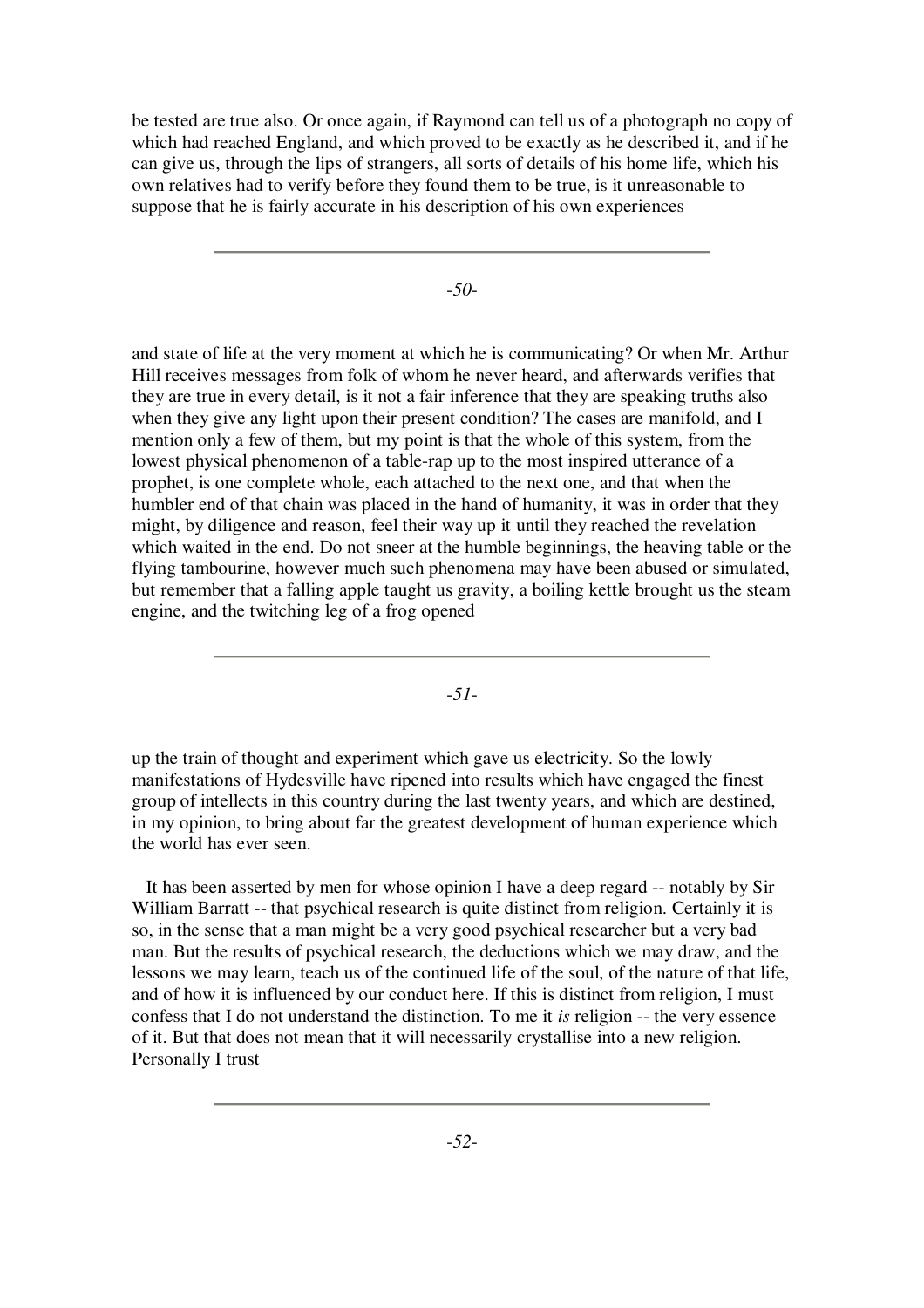be tested are true also. Or once again, if Raymond can tell us of a photograph no copy of which had reached England, and which proved to be exactly as he described it, and if he can give us, through the lips of strangers, all sorts of details of his home life, which his own relatives had to verify before they found them to be true, is it unreasonable to suppose that he is fairly accurate in his description of his own experiences

-*50*-

and state of life at the very moment at which he is communicating? Or when Mr. Arthur Hill receives messages from folk of whom he never heard, and afterwards verifies that they are true in every detail, is it not a fair inference that they are speaking truths also when they give any light upon their present condition? The cases are manifold, and I mention only a few of them, but my point is that the whole of this system, from the lowest physical phenomenon of a table-rap up to the most inspired utterance of a prophet, is one complete whole, each attached to the next one, and that when the humbler end of that chain was placed in the hand of humanity, it was in order that they might, by diligence and reason, feel their way up it until they reached the revelation which waited in the end. Do not sneer at the humble beginnings, the heaving table or the flying tambourine, however much such phenomena may have been abused or simulated, but remember that a falling apple taught us gravity, a boiling kettle brought us the steam engine, and the twitching leg of a frog opened

-*51*-

up the train of thought and experiment which gave us electricity. So the lowly manifestations of Hydesville have ripened into results which have engaged the finest group of intellects in this country during the last twenty years, and which are destined, in my opinion, to bring about far the greatest development of human experience which the world has ever seen.

It has been asserted by men for whose opinion I have a deep regard -- notably by Sir William Barratt -- that psychical research is quite distinct from religion. Certainly it is so, in the sense that a man might be a very good psychical researcher but a very bad man. But the results of psychical research, the deductions which we may draw, and the lessons we may learn, teach us of the continued life of the soul, of the nature of that life, and of how it is influenced by our conduct here. If this is distinct from religion, I must confess that I do not understand the distinction. To me it *is* religion -- the very essence of it. But that does not mean that it will necessarily crystallise into a new religion. Personally I trust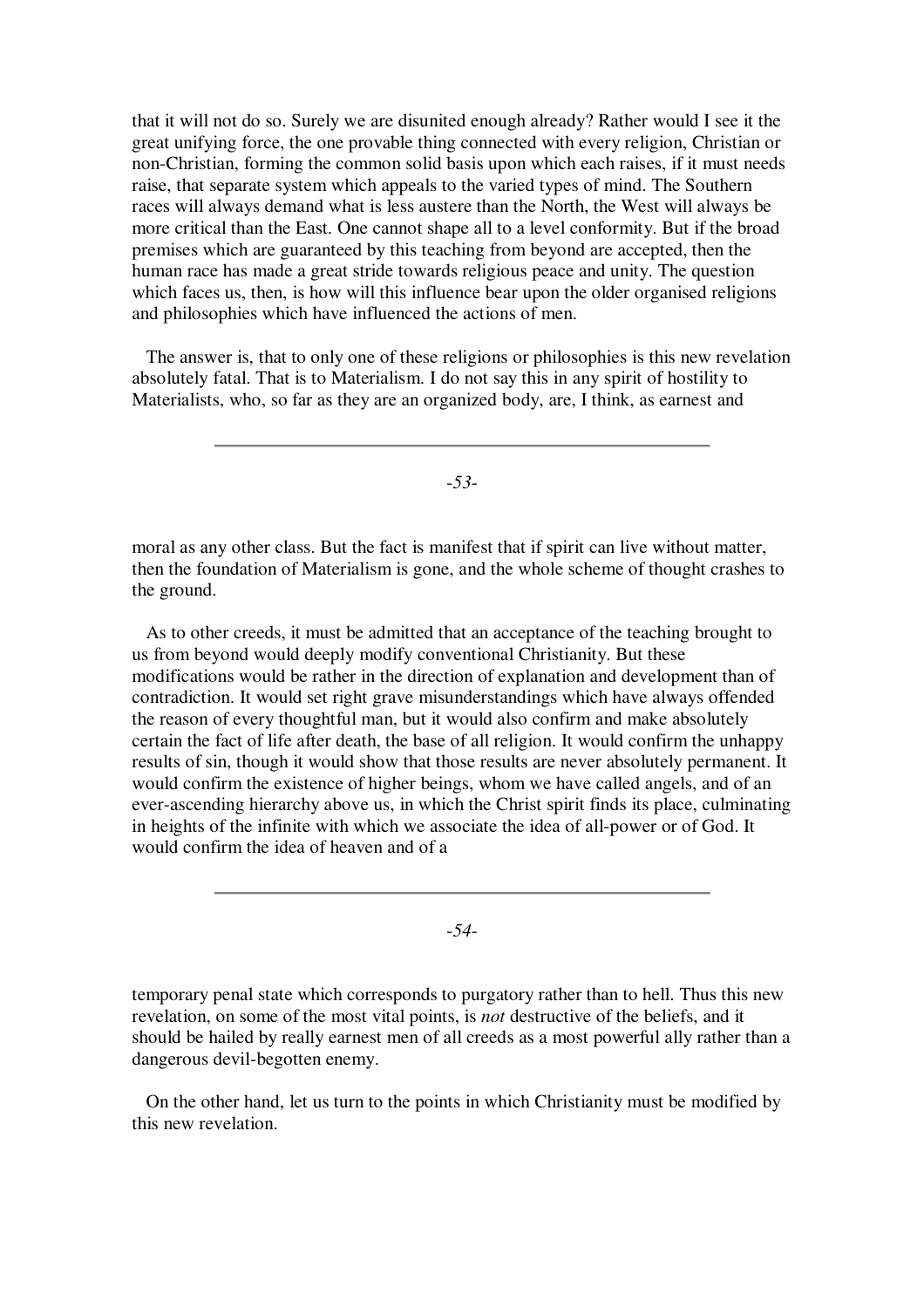that it will not do so. Surely we are disunited enough already? Rather would I see it the great unifying force, the one provable thing connected with every religion, Christian or non-Christian, forming the common solid basis upon which each raises, if it must needs raise, that separate system which appeals to the varied types of mind. The Southern races will always demand what is less austere than the North, the West will always be more critical than the East. One cannot shape all to a level conformity. But if the broad premises which are guaranteed by this teaching from beyond are accepted, then the human race has made a great stride towards religious peace and unity. The question which faces us, then, is how will this influence bear upon the older organised religions and philosophies which have influenced the actions of men.

The answer is, that to only one of these religions or philosophies is this new revelation absolutely fatal. That is to Materialism. I do not say this in any spirit of hostility to Materialists, who, so far as they are an organized body, are, I think, as earnest and

-*53*-

moral as any other class. But the fact is manifest that if spirit can live without matter, then the foundation of Materialism is gone, and the whole scheme of thought crashes to the ground.

As to other creeds, it must be admitted that an acceptance of the teaching brought to us from beyond would deeply modify conventional Christianity. But these modifications would be rather in the direction of explanation and development than of contradiction. It would set right grave misunderstandings which have always offended the reason of every thoughtful man, but it would also confirm and make absolutely certain the fact of life after death, the base of all religion. It would confirm the unhappy results of sin, though it would show that those results are never absolutely permanent. It would confirm the existence of higher beings, whom we have called angels, and of an ever-ascending hierarchy above us, in which the Christ spirit finds its place, culminating in heights of the infinite with which we associate the idea of all-power or of God. It would confirm the idea of heaven and of a

-*54*-

temporary penal state which corresponds to purgatory rather than to hell. Thus this new revelation, on some of the most vital points, is *not* destructive of the beliefs, and it should be hailed by really earnest men of all creeds as a most powerful ally rather than a dangerous devil-begotten enemy.

On the other hand, let us turn to the points in which Christianity must be modified by this new revelation.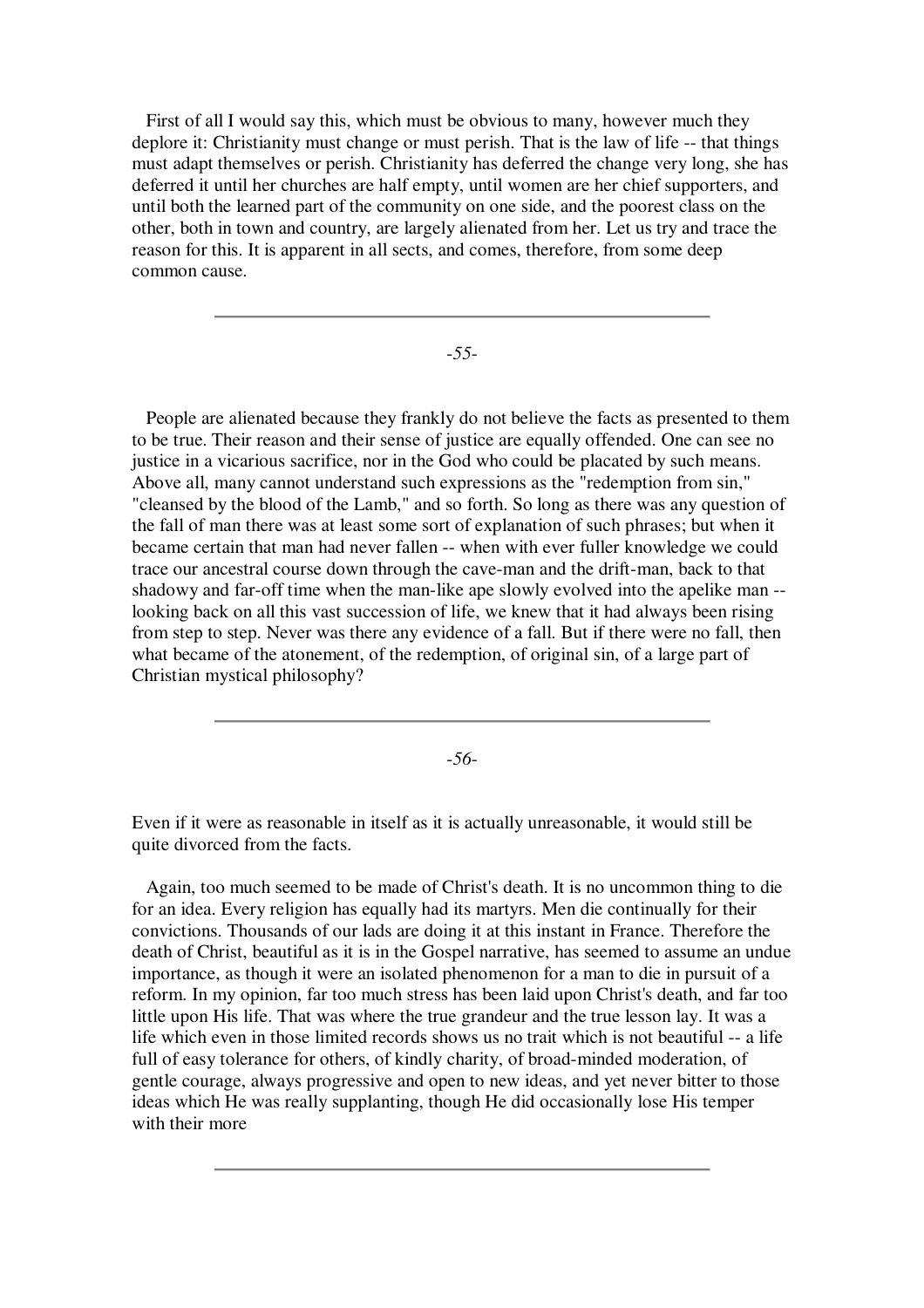First of all I would say this, which must be obvious to many, however much they deplore it: Christianity must change or must perish. That is the law of life -- that things must adapt themselves or perish. Christianity has deferred the change very long, she has deferred it until her churches are half empty, until women are her chief supporters, and until both the learned part of the community on one side, and the poorest class on the other, both in town and country, are largely alienated from her. Let us try and trace the reason for this. It is apparent in all sects, and comes, therefore, from some deep common cause.

-*55*-

People are alienated because they frankly do not believe the facts as presented to them to be true. Their reason and their sense of justice are equally offended. One can see no justice in a vicarious sacrifice, nor in the God who could be placated by such means. Above all, many cannot understand such expressions as the "redemption from sin," "cleansed by the blood of the Lamb," and so forth. So long as there was any question of the fall of man there was at least some sort of explanation of such phrases; but when it became certain that man had never fallen -- when with ever fuller knowledge we could trace our ancestral course down through the cave-man and the drift-man, back to that shadowy and far-off time when the man-like ape slowly evolved into the apelike man - looking back on all this vast succession of life, we knew that it had always been rising from step to step. Never was there any evidence of a fall. But if there were no fall, then what became of the atonement, of the redemption, of original sin, of a large part of Christian mystical philosophy?

-*56*-

Even if it were as reasonable in itself as it is actually unreasonable, it would still be quite divorced from the facts.

Again, too much seemed to be made of Christ's death. It is no uncommon thing to die for an idea. Every religion has equally had its martyrs. Men die continually for their convictions. Thousands of our lads are doing it at this instant in France. Therefore the death of Christ, beautiful as it is in the Gospel narrative, has seemed to assume an undue importance, as though it were an isolated phenomenon for a man to die in pursuit of a reform. In my opinion, far too much stress has been laid upon Christ's death, and far too little upon His life. That was where the true grandeur and the true lesson lay. It was a life which even in those limited records shows us no trait which is not beautiful -- a life full of easy tolerance for others, of kindly charity, of broad-minded moderation, of gentle courage, always progressive and open to new ideas, and yet never bitter to those ideas which He was really supplanting, though He did occasionally lose His temper with their more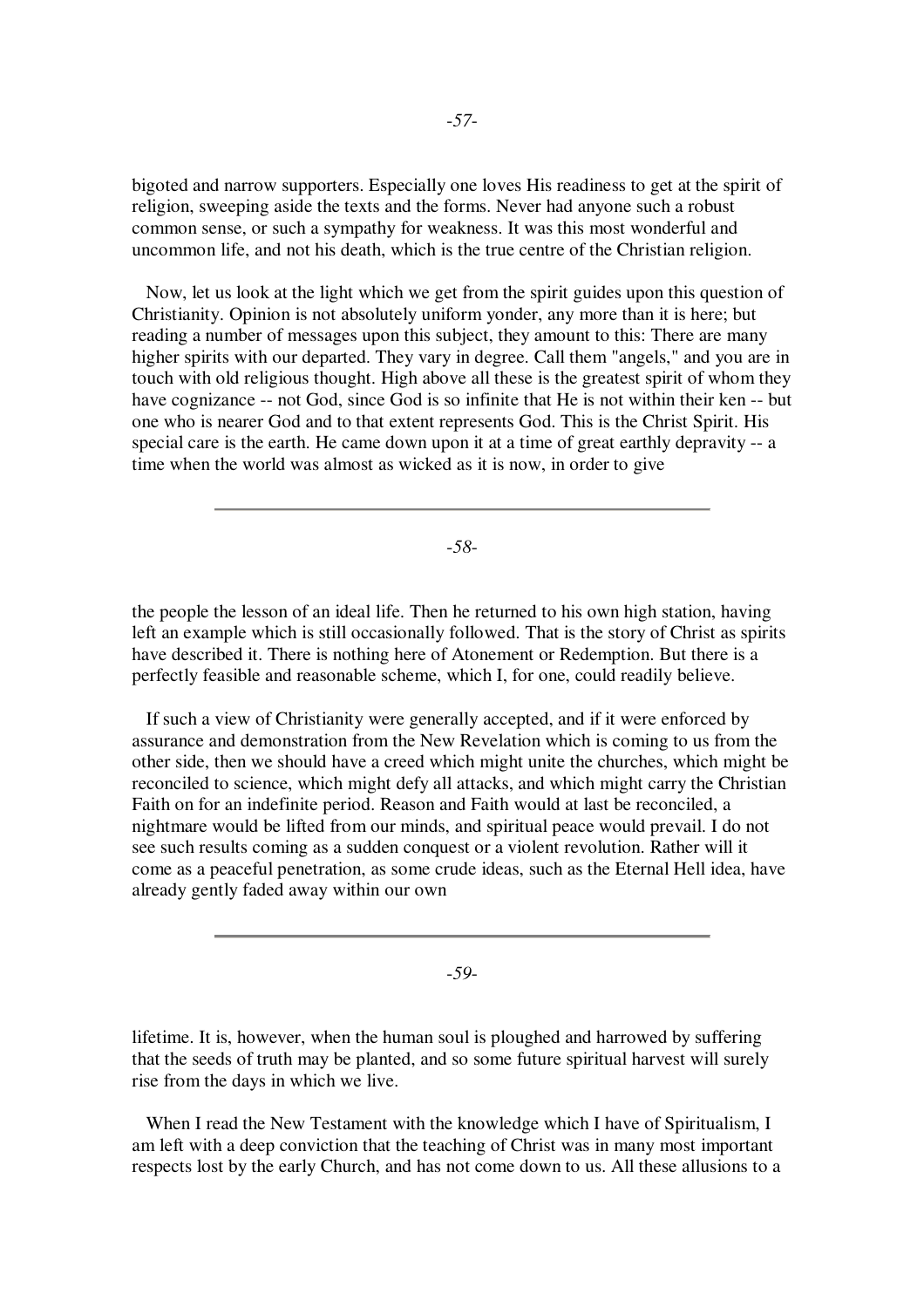bigoted and narrow supporters. Especially one loves His readiness to get at the spirit of religion, sweeping aside the texts and the forms. Never had anyone such a robust common sense, or such a sympathy for weakness. It was this most wonderful and uncommon life, and not his death, which is the true centre of the Christian religion.

Now, let us look at the light which we get from the spirit guides upon this question of Christianity. Opinion is not absolutely uniform yonder, any more than it is here; but reading a number of messages upon this subject, they amount to this: There are many higher spirits with our departed. They vary in degree. Call them "angels," and you are in touch with old religious thought. High above all these is the greatest spirit of whom they have cognizance -- not God, since God is so infinite that He is not within their ken -- but one who is nearer God and to that extent represents God. This is the Christ Spirit. His special care is the earth. He came down upon it at a time of great earthly depravity -- a time when the world was almost as wicked as it is now, in order to give

-*58*-

the people the lesson of an ideal life. Then he returned to his own high station, having left an example which is still occasionally followed. That is the story of Christ as spirits have described it. There is nothing here of Atonement or Redemption. But there is a perfectly feasible and reasonable scheme, which I, for one, could readily believe.

If such a view of Christianity were generally accepted, and if it were enforced by assurance and demonstration from the New Revelation which is coming to us from the other side, then we should have a creed which might unite the churches, which might be reconciled to science, which might defy all attacks, and which might carry the Christian Faith on for an indefinite period. Reason and Faith would at last be reconciled, a nightmare would be lifted from our minds, and spiritual peace would prevail. I do not see such results coming as a sudden conquest or a violent revolution. Rather will it come as a peaceful penetration, as some crude ideas, such as the Eternal Hell idea, have already gently faded away within our own

-*59*-

lifetime. It is, however, when the human soul is ploughed and harrowed by suffering that the seeds of truth may be planted, and so some future spiritual harvest will surely rise from the days in which we live.

When I read the New Testament with the knowledge which I have of Spiritualism, I am left with a deep conviction that the teaching of Christ was in many most important respects lost by the early Church, and has not come down to us. All these allusions to a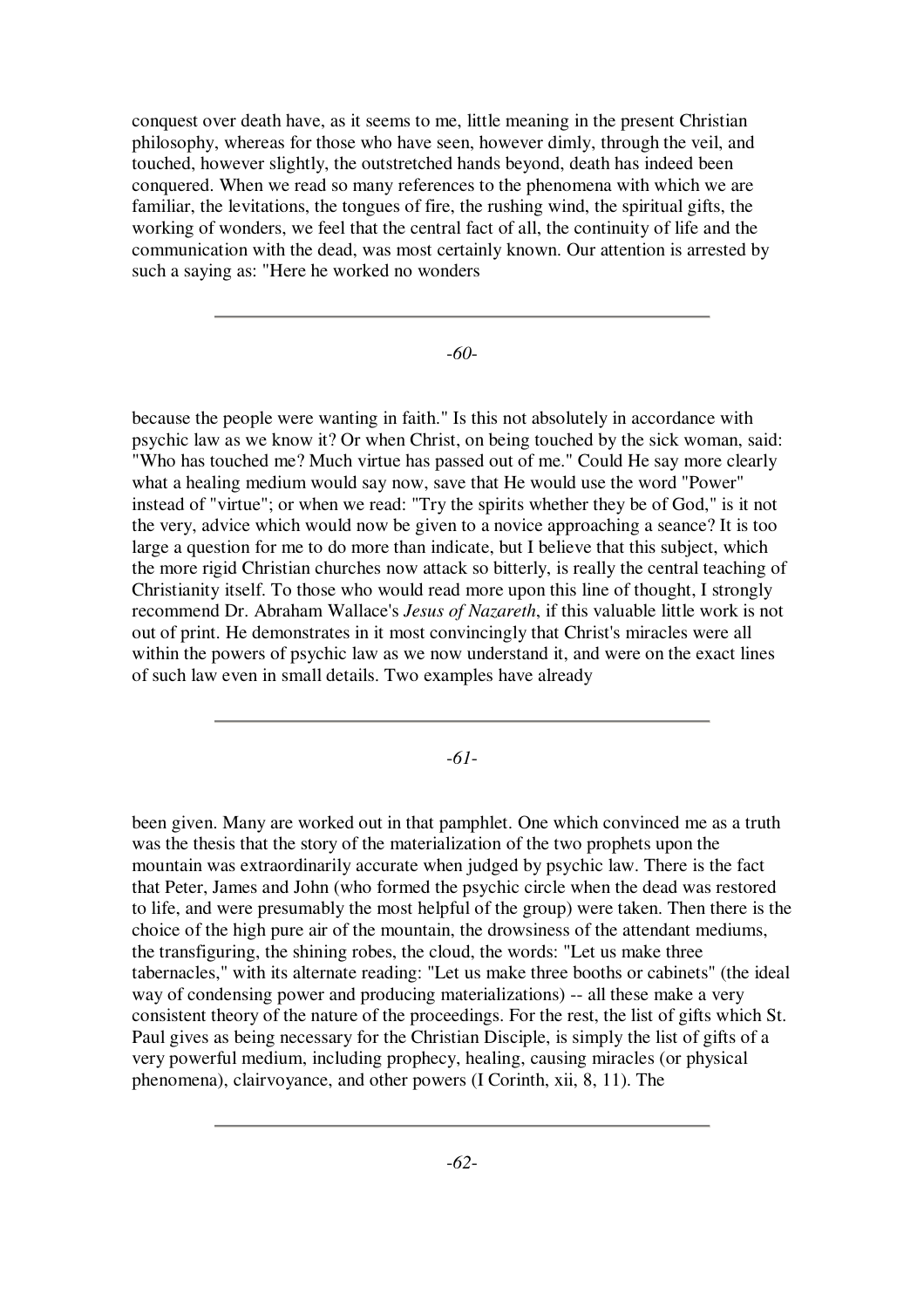conquest over death have, as it seems to me, little meaning in the present Christian philosophy, whereas for those who have seen, however dimly, through the veil, and touched, however slightly, the outstretched hands beyond, death has indeed been conquered. When we read so many references to the phenomena with which we are familiar, the levitations, the tongues of fire, the rushing wind, the spiritual gifts, the working of wonders, we feel that the central fact of all, the continuity of life and the communication with the dead, was most certainly known. Our attention is arrested by such a saying as: "Here he worked no wonders

-*60*-

because the people were wanting in faith." Is this not absolutely in accordance with psychic law as we know it? Or when Christ, on being touched by the sick woman, said: "Who has touched me? Much virtue has passed out of me." Could He say more clearly what a healing medium would say now, save that He would use the word "Power" instead of "virtue"; or when we read: "Try the spirits whether they be of God," is it not the very, advice which would now be given to a novice approaching a seance? It is too large a question for me to do more than indicate, but I believe that this subject, which the more rigid Christian churches now attack so bitterly, is really the central teaching of Christianity itself. To those who would read more upon this line of thought, I strongly recommend Dr. Abraham Wallace's *Jesus of Nazareth*, if this valuable little work is not out of print. He demonstrates in it most convincingly that Christ's miracles were all within the powers of psychic law as we now understand it, and were on the exact lines of such law even in small details. Two examples have already

-*61*-

been given. Many are worked out in that pamphlet. One which convinced me as a truth was the thesis that the story of the materialization of the two prophets upon the mountain was extraordinarily accurate when judged by psychic law. There is the fact that Peter, James and John (who formed the psychic circle when the dead was restored to life, and were presumably the most helpful of the group) were taken. Then there is the choice of the high pure air of the mountain, the drowsiness of the attendant mediums, the transfiguring, the shining robes, the cloud, the words: "Let us make three tabernacles," with its alternate reading: "Let us make three booths or cabinets" (the ideal way of condensing power and producing materializations) -- all these make a very consistent theory of the nature of the proceedings. For the rest, the list of gifts which St. Paul gives as being necessary for the Christian Disciple, is simply the list of gifts of a very powerful medium, including prophecy, healing, causing miracles (or physical phenomena), clairvoyance, and other powers (I Corinth, xii, 8, 11). The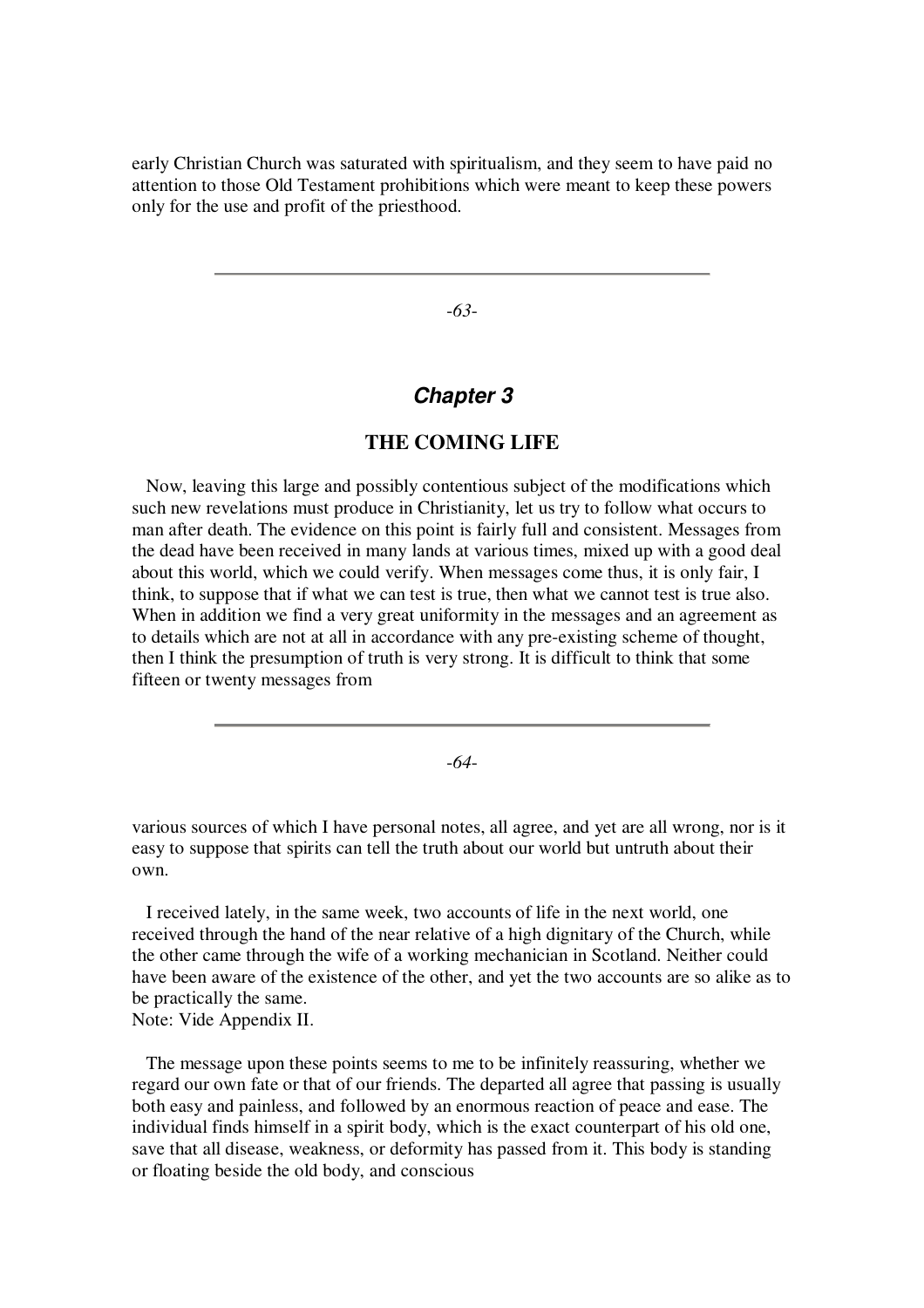early Christian Church was saturated with spiritualism, and they seem to have paid no attention to those Old Testament prohibitions which were meant to keep these powers only for the use and profit of the priesthood.

-*63*-

# *Chapter 3*

## **THE COMING LIFE**

Now, leaving this large and possibly contentious subject of the modifications which such new revelations must produce in Christianity, let us try to follow what occurs to man after death. The evidence on this point is fairly full and consistent. Messages from the dead have been received in many lands at various times, mixed up with a good deal about this world, which we could verify. When messages come thus, it is only fair, I think, to suppose that if what we can test is true, then what we cannot test is true also. When in addition we find a very great uniformity in the messages and an agreement as to details which are not at all in accordance with any pre-existing scheme of thought, then I think the presumption of truth is very strong. It is difficult to think that some fifteen or twenty messages from

-*64*-

various sources of which I have personal notes, all agree, and yet are all wrong, nor is it easy to suppose that spirits can tell the truth about our world but untruth about their own.

I received lately, in the same week, two accounts of life in the next world, one received through the hand of the near relative of a high dignitary of the Church, while the other came through the wife of a working mechanician in Scotland. Neither could have been aware of the existence of the other, and yet the two accounts are so alike as to be practically the same. Note: Vide Appendix II.

The message upon these points seems to me to be infinitely reassuring, whether we regard our own fate or that of our friends. The departed all agree that passing is usually both easy and painless, and followed by an enormous reaction of peace and ease. The individual finds himself in a spirit body, which is the exact counterpart of his old one, save that all disease, weakness, or deformity has passed from it. This body is standing or floating beside the old body, and conscious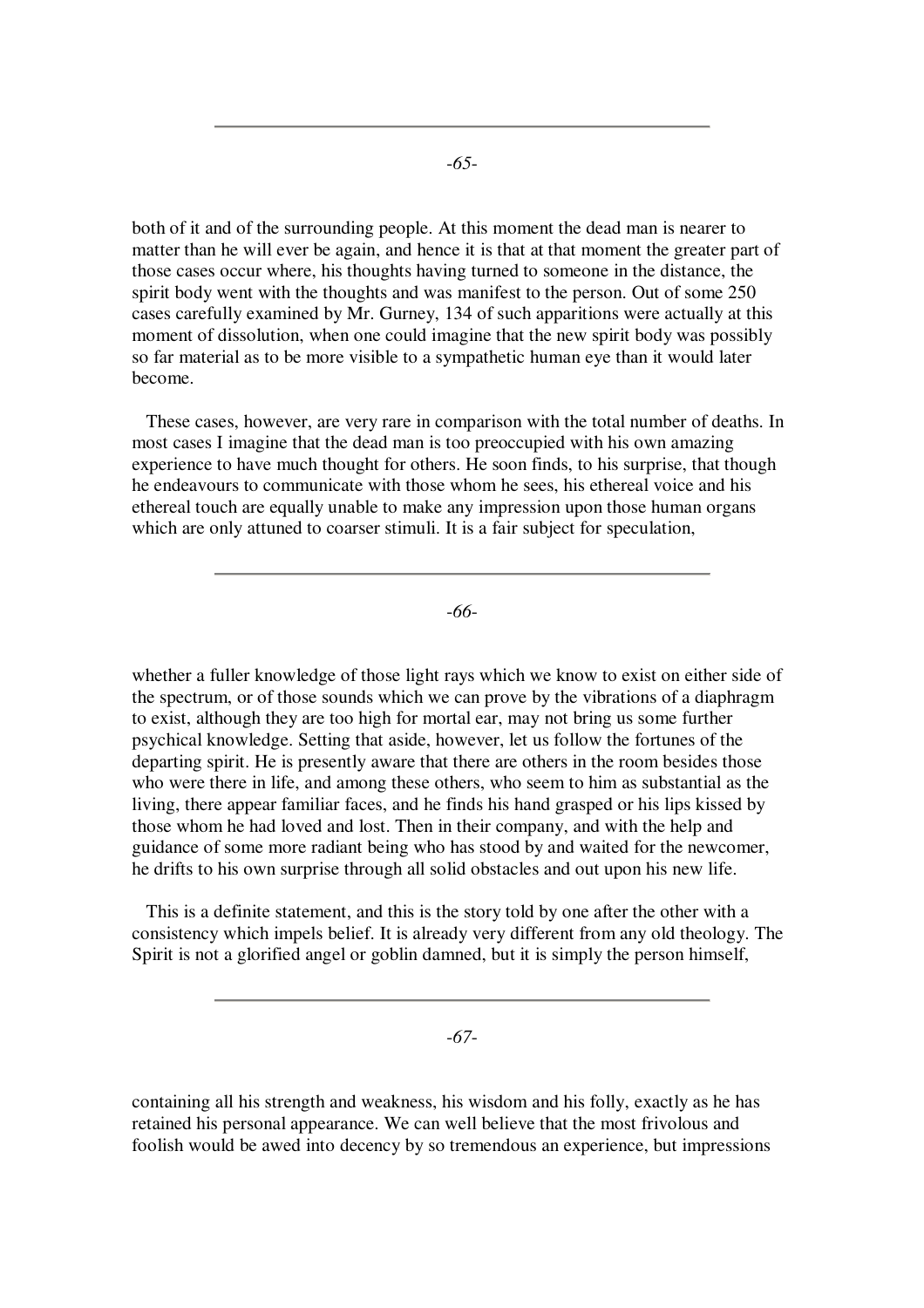both of it and of the surrounding people. At this moment the dead man is nearer to matter than he will ever be again, and hence it is that at that moment the greater part of those cases occur where, his thoughts having turned to someone in the distance, the spirit body went with the thoughts and was manifest to the person. Out of some 250 cases carefully examined by Mr. Gurney, 134 of such apparitions were actually at this moment of dissolution, when one could imagine that the new spirit body was possibly so far material as to be more visible to a sympathetic human eye than it would later become.

These cases, however, are very rare in comparison with the total number of deaths. In most cases I imagine that the dead man is too preoccupied with his own amazing experience to have much thought for others. He soon finds, to his surprise, that though he endeavours to communicate with those whom he sees, his ethereal voice and his ethereal touch are equally unable to make any impression upon those human organs which are only attuned to coarser stimuli. It is a fair subject for speculation,

-*66*-

whether a fuller knowledge of those light rays which we know to exist on either side of the spectrum, or of those sounds which we can prove by the vibrations of a diaphragm to exist, although they are too high for mortal ear, may not bring us some further psychical knowledge. Setting that aside, however, let us follow the fortunes of the departing spirit. He is presently aware that there are others in the room besides those who were there in life, and among these others, who seem to him as substantial as the living, there appear familiar faces, and he finds his hand grasped or his lips kissed by those whom he had loved and lost. Then in their company, and with the help and guidance of some more radiant being who has stood by and waited for the newcomer, he drifts to his own surprise through all solid obstacles and out upon his new life.

This is a definite statement, and this is the story told by one after the other with a consistency which impels belief. It is already very different from any old theology. The Spirit is not a glorified angel or goblin damned, but it is simply the person himself,

-*67*-

containing all his strength and weakness, his wisdom and his folly, exactly as he has retained his personal appearance. We can well believe that the most frivolous and foolish would be awed into decency by so tremendous an experience, but impressions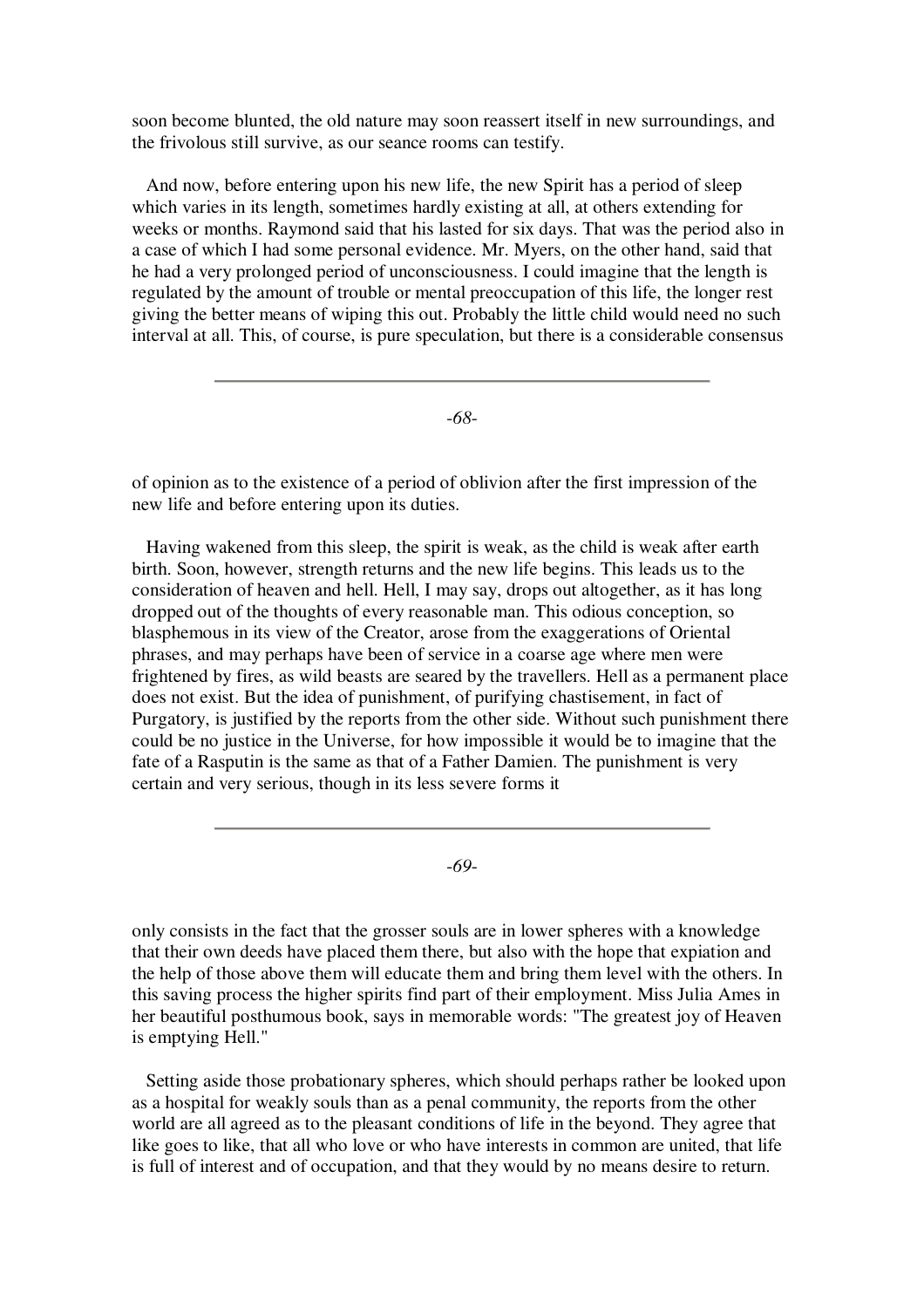soon become blunted, the old nature may soon reassert itself in new surroundings, and the frivolous still survive, as our seance rooms can testify.

And now, before entering upon his new life, the new Spirit has a period of sleep which varies in its length, sometimes hardly existing at all, at others extending for weeks or months. Raymond said that his lasted for six days. That was the period also in a case of which I had some personal evidence. Mr. Myers, on the other hand, said that he had a very prolonged period of unconsciousness. I could imagine that the length is regulated by the amount of trouble or mental preoccupation of this life, the longer rest giving the better means of wiping this out. Probably the little child would need no such interval at all. This, of course, is pure speculation, but there is a considerable consensus

-*68*-

of opinion as to the existence of a period of oblivion after the first impression of the new life and before entering upon its duties.

Having wakened from this sleep, the spirit is weak, as the child is weak after earth birth. Soon, however, strength returns and the new life begins. This leads us to the consideration of heaven and hell. Hell, I may say, drops out altogether, as it has long dropped out of the thoughts of every reasonable man. This odious conception, so blasphemous in its view of the Creator, arose from the exaggerations of Oriental phrases, and may perhaps have been of service in a coarse age where men were frightened by fires, as wild beasts are seared by the travellers. Hell as a permanent place does not exist. But the idea of punishment, of purifying chastisement, in fact of Purgatory, is justified by the reports from the other side. Without such punishment there could be no justice in the Universe, for how impossible it would be to imagine that the fate of a Rasputin is the same as that of a Father Damien. The punishment is very certain and very serious, though in its less severe forms it

-*69*-

only consists in the fact that the grosser souls are in lower spheres with a knowledge that their own deeds have placed them there, but also with the hope that expiation and the help of those above them will educate them and bring them level with the others. In this saving process the higher spirits find part of their employment. Miss Julia Ames in her beautiful posthumous book, says in memorable words: "The greatest joy of Heaven is emptying Hell."

Setting aside those probationary spheres, which should perhaps rather be looked upon as a hospital for weakly souls than as a penal community, the reports from the other world are all agreed as to the pleasant conditions of life in the beyond. They agree that like goes to like, that all who love or who have interests in common are united, that life is full of interest and of occupation, and that they would by no means desire to return.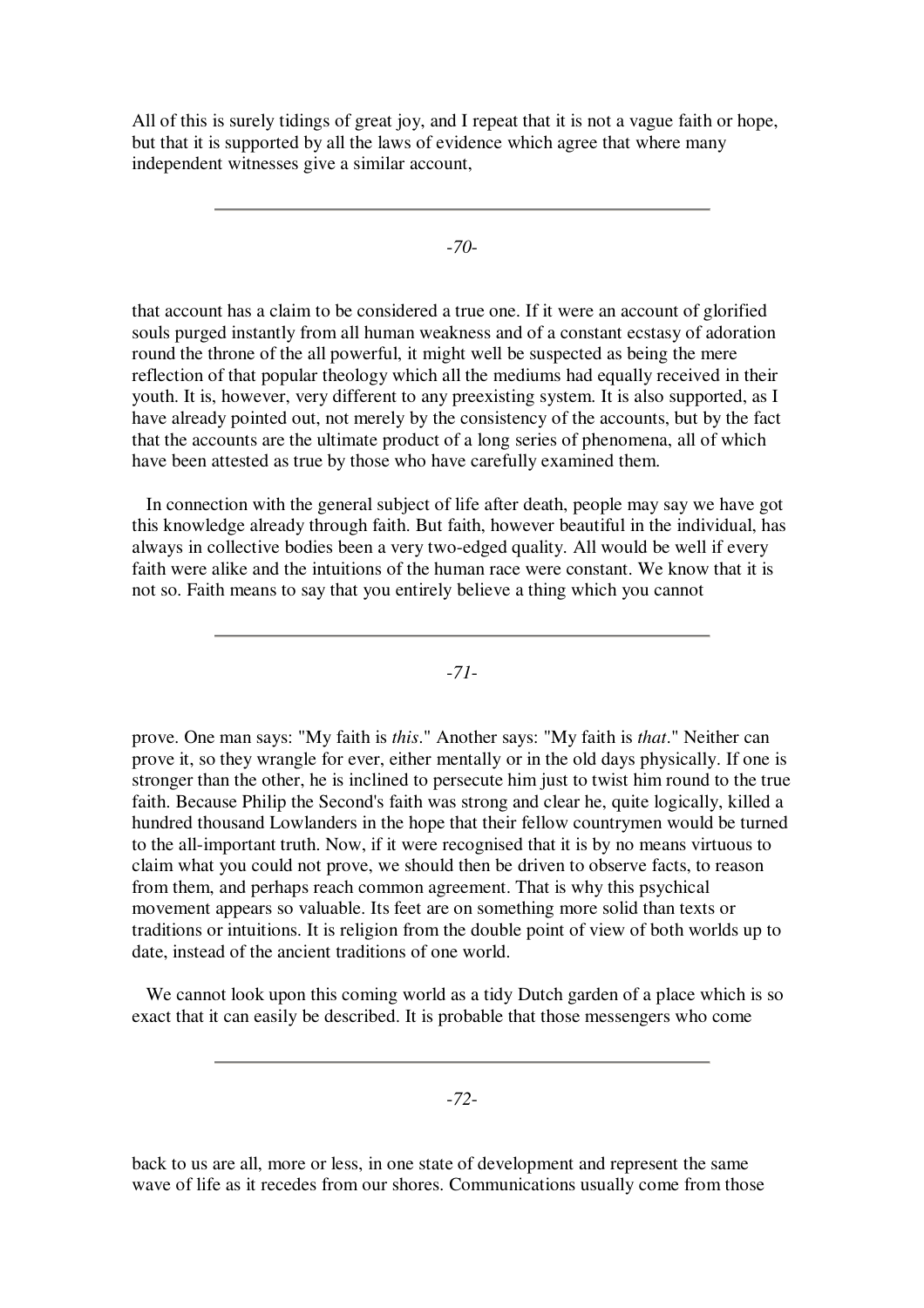All of this is surely tidings of great joy, and I repeat that it is not a vague faith or hope, but that it is supported by all the laws of evidence which agree that where many independent witnesses give a similar account,

-*70*-

that account has a claim to be considered a true one. If it were an account of glorified souls purged instantly from all human weakness and of a constant ecstasy of adoration round the throne of the all powerful, it might well be suspected as being the mere reflection of that popular theology which all the mediums had equally received in their youth. It is, however, very different to any preexisting system. It is also supported, as I have already pointed out, not merely by the consistency of the accounts, but by the fact that the accounts are the ultimate product of a long series of phenomena, all of which have been attested as true by those who have carefully examined them.

In connection with the general subject of life after death, people may say we have got this knowledge already through faith. But faith, however beautiful in the individual, has always in collective bodies been a very two-edged quality. All would be well if every faith were alike and the intuitions of the human race were constant. We know that it is not so. Faith means to say that you entirely believe a thing which you cannot

-*71*-

prove. One man says: "My faith is *this*." Another says: "My faith is *that*." Neither can prove it, so they wrangle for ever, either mentally or in the old days physically. If one is stronger than the other, he is inclined to persecute him just to twist him round to the true faith. Because Philip the Second's faith was strong and clear he, quite logically, killed a hundred thousand Lowlanders in the hope that their fellow countrymen would be turned to the all-important truth. Now, if it were recognised that it is by no means virtuous to claim what you could not prove, we should then be driven to observe facts, to reason from them, and perhaps reach common agreement. That is why this psychical movement appears so valuable. Its feet are on something more solid than texts or traditions or intuitions. It is religion from the double point of view of both worlds up to date, instead of the ancient traditions of one world.

We cannot look upon this coming world as a tidy Dutch garden of a place which is so exact that it can easily be described. It is probable that those messengers who come

-*72*-

back to us are all, more or less, in one state of development and represent the same wave of life as it recedes from our shores. Communications usually come from those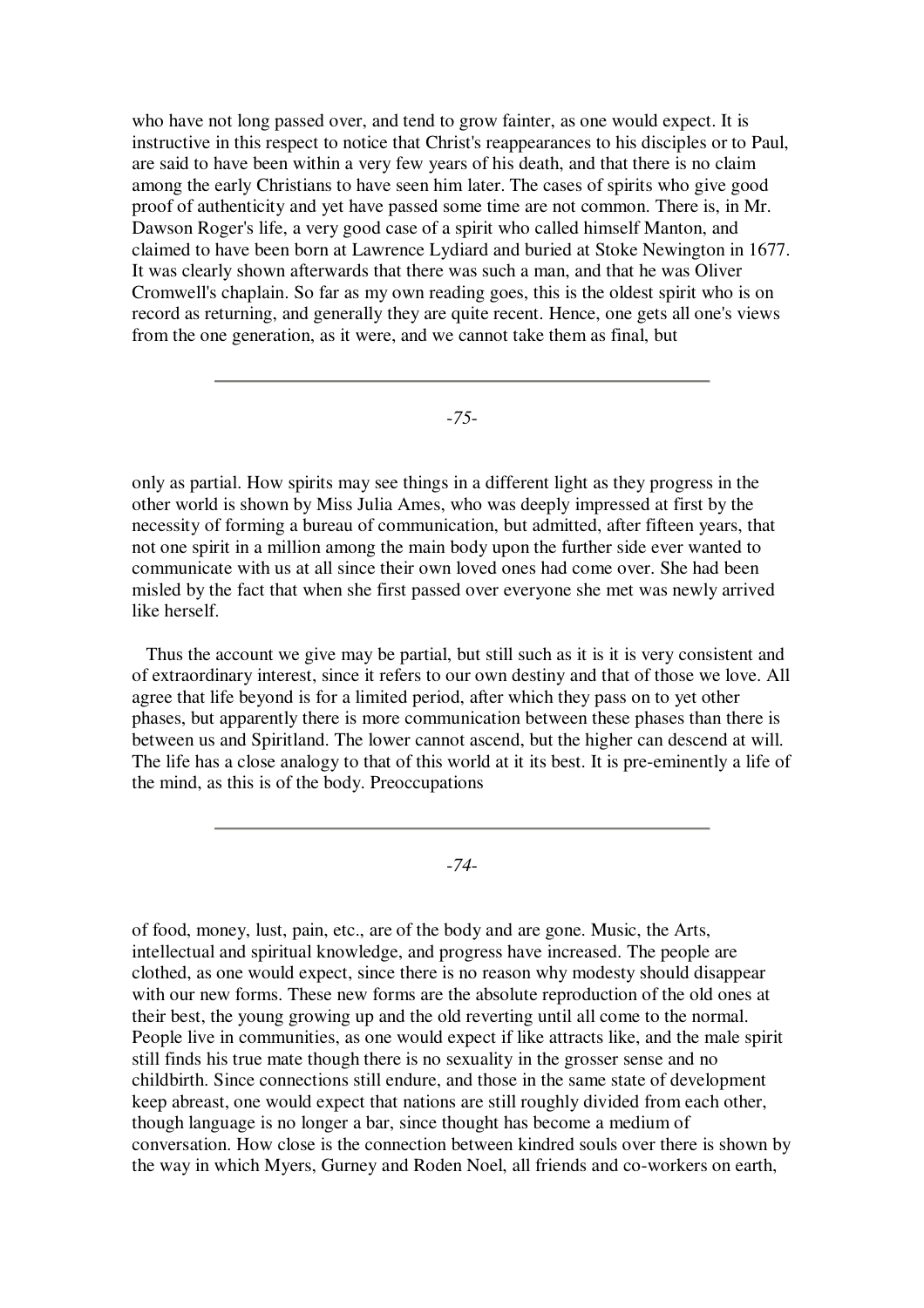who have not long passed over, and tend to grow fainter, as one would expect. It is instructive in this respect to notice that Christ's reappearances to his disciples or to Paul, are said to have been within a very few years of his death, and that there is no claim among the early Christians to have seen him later. The cases of spirits who give good proof of authenticity and yet have passed some time are not common. There is, in Mr. Dawson Roger's life, a very good case of a spirit who called himself Manton, and claimed to have been born at Lawrence Lydiard and buried at Stoke Newington in 1677. It was clearly shown afterwards that there was such a man, and that he was Oliver Cromwell's chaplain. So far as my own reading goes, this is the oldest spirit who is on record as returning, and generally they are quite recent. Hence, one gets all one's views from the one generation, as it were, and we cannot take them as final, but

-*75*-

only as partial. How spirits may see things in a different light as they progress in the other world is shown by Miss Julia Ames, who was deeply impressed at first by the necessity of forming a bureau of communication, but admitted, after fifteen years, that not one spirit in a million among the main body upon the further side ever wanted to communicate with us at all since their own loved ones had come over. She had been misled by the fact that when she first passed over everyone she met was newly arrived like herself.

Thus the account we give may be partial, but still such as it is it is very consistent and of extraordinary interest, since it refers to our own destiny and that of those we love. All agree that life beyond is for a limited period, after which they pass on to yet other phases, but apparently there is more communication between these phases than there is between us and Spiritland. The lower cannot ascend, but the higher can descend at will. The life has a close analogy to that of this world at it its best. It is pre-eminently a life of the mind, as this is of the body. Preoccupations

-*74*-

of food, money, lust, pain, etc., are of the body and are gone. Music, the Arts, intellectual and spiritual knowledge, and progress have increased. The people are clothed, as one would expect, since there is no reason why modesty should disappear with our new forms. These new forms are the absolute reproduction of the old ones at their best, the young growing up and the old reverting until all come to the normal. People live in communities, as one would expect if like attracts like, and the male spirit still finds his true mate though there is no sexuality in the grosser sense and no childbirth. Since connections still endure, and those in the same state of development keep abreast, one would expect that nations are still roughly divided from each other, though language is no longer a bar, since thought has become a medium of conversation. How close is the connection between kindred souls over there is shown by the way in which Myers, Gurney and Roden Noel, all friends and co-workers on earth,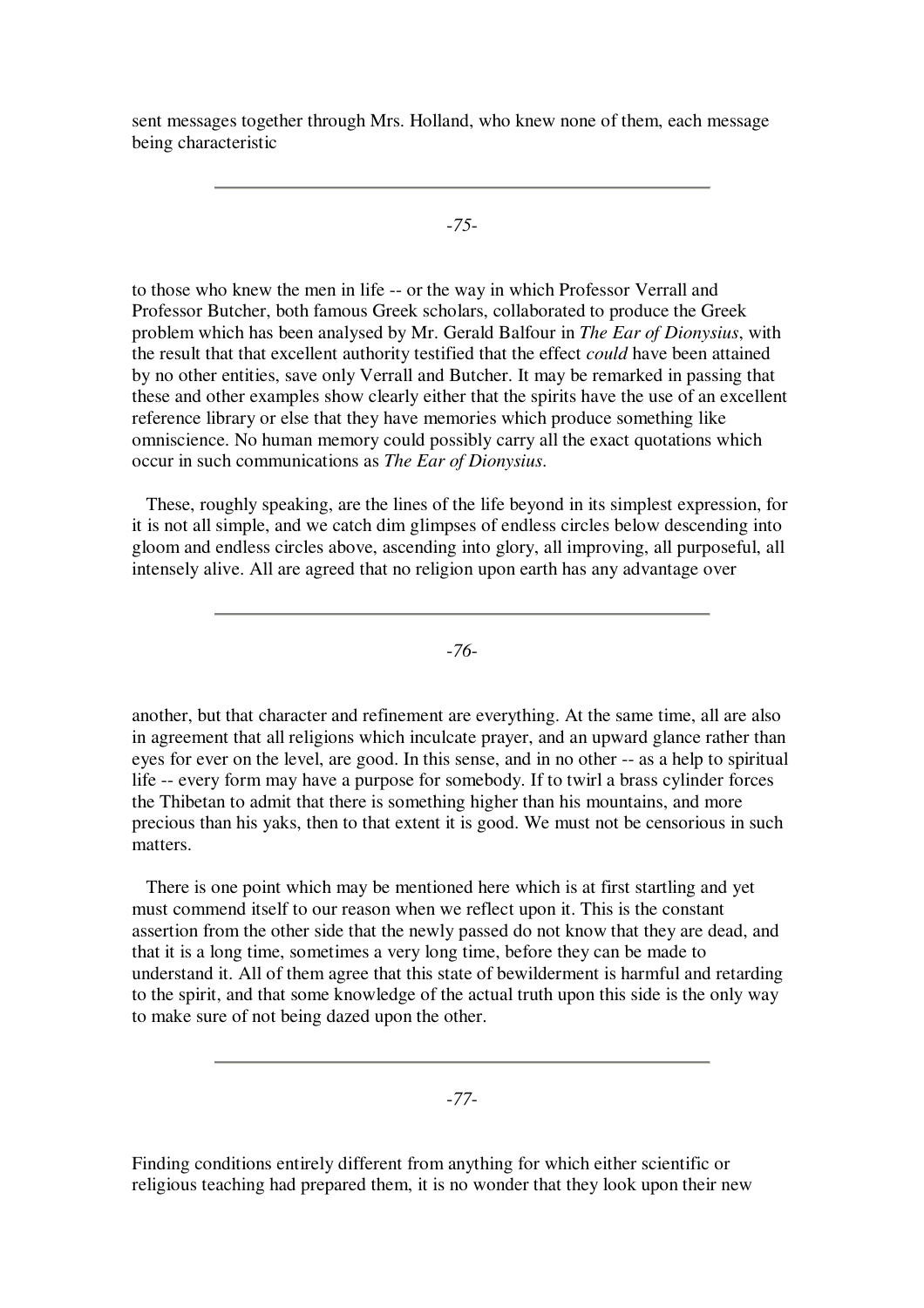sent messages together through Mrs. Holland, who knew none of them, each message being characteristic

-*75*-

to those who knew the men in life -- or the way in which Professor Verrall and Professor Butcher, both famous Greek scholars, collaborated to produce the Greek problem which has been analysed by Mr. Gerald Balfour in *The Ear of Dionysius*, with the result that that excellent authority testified that the effect *could* have been attained by no other entities, save only Verrall and Butcher. It may be remarked in passing that these and other examples show clearly either that the spirits have the use of an excellent reference library or else that they have memories which produce something like omniscience. No human memory could possibly carry all the exact quotations which occur in such communications as *The Ear of Dionysius*.

These, roughly speaking, are the lines of the life beyond in its simplest expression, for it is not all simple, and we catch dim glimpses of endless circles below descending into gloom and endless circles above, ascending into glory, all improving, all purposeful, all intensely alive. All are agreed that no religion upon earth has any advantage over

-*76*-

another, but that character and refinement are everything. At the same time, all are also in agreement that all religions which inculcate prayer, and an upward glance rather than eyes for ever on the level, are good. In this sense, and in no other -- as a help to spiritual life -- every form may have a purpose for somebody. If to twirl a brass cylinder forces the Thibetan to admit that there is something higher than his mountains, and more precious than his yaks, then to that extent it is good. We must not be censorious in such matters.

There is one point which may be mentioned here which is at first startling and yet must commend itself to our reason when we reflect upon it. This is the constant assertion from the other side that the newly passed do not know that they are dead, and that it is a long time, sometimes a very long time, before they can be made to understand it. All of them agree that this state of bewilderment is harmful and retarding to the spirit, and that some knowledge of the actual truth upon this side is the only way to make sure of not being dazed upon the other.

-*77*-

Finding conditions entirely different from anything for which either scientific or religious teaching had prepared them, it is no wonder that they look upon their new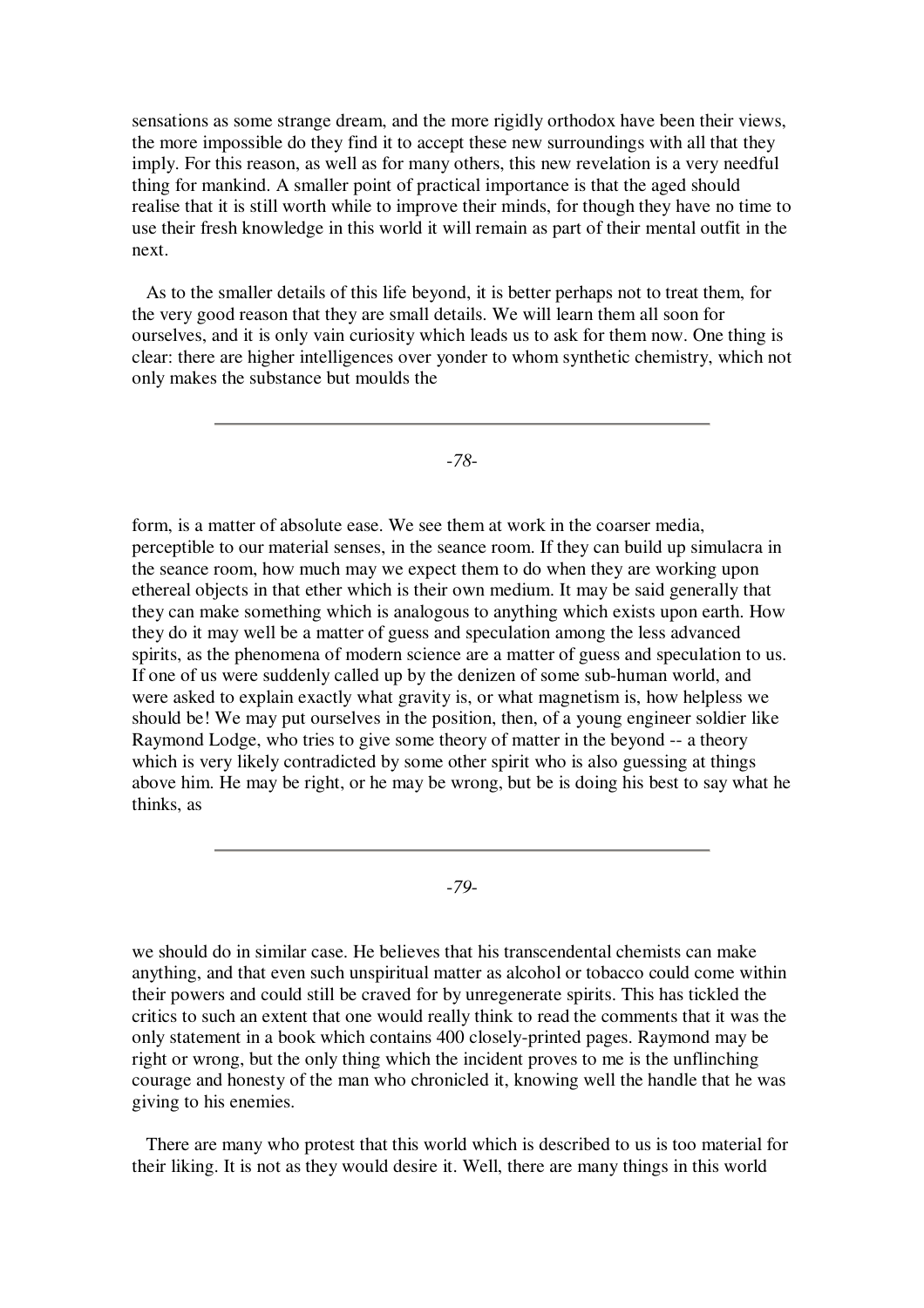sensations as some strange dream, and the more rigidly orthodox have been their views, the more impossible do they find it to accept these new surroundings with all that they imply. For this reason, as well as for many others, this new revelation is a very needful thing for mankind. A smaller point of practical importance is that the aged should realise that it is still worth while to improve their minds, for though they have no time to use their fresh knowledge in this world it will remain as part of their mental outfit in the next.

As to the smaller details of this life beyond, it is better perhaps not to treat them, for the very good reason that they are small details. We will learn them all soon for ourselves, and it is only vain curiosity which leads us to ask for them now. One thing is clear: there are higher intelligences over yonder to whom synthetic chemistry, which not only makes the substance but moulds the

-*78*-

form, is a matter of absolute ease. We see them at work in the coarser media, perceptible to our material senses, in the seance room. If they can build up simulacra in the seance room, how much may we expect them to do when they are working upon ethereal objects in that ether which is their own medium. It may be said generally that they can make something which is analogous to anything which exists upon earth. How they do it may well be a matter of guess and speculation among the less advanced spirits, as the phenomena of modern science are a matter of guess and speculation to us. If one of us were suddenly called up by the denizen of some sub-human world, and were asked to explain exactly what gravity is, or what magnetism is, how helpless we should be! We may put ourselves in the position, then, of a young engineer soldier like Raymond Lodge, who tries to give some theory of matter in the beyond -- a theory which is very likely contradicted by some other spirit who is also guessing at things above him. He may be right, or he may be wrong, but be is doing his best to say what he thinks, as

-*79*-

we should do in similar case. He believes that his transcendental chemists can make anything, and that even such unspiritual matter as alcohol or tobacco could come within their powers and could still be craved for by unregenerate spirits. This has tickled the critics to such an extent that one would really think to read the comments that it was the only statement in a book which contains 400 closely-printed pages. Raymond may be right or wrong, but the only thing which the incident proves to me is the unflinching courage and honesty of the man who chronicled it, knowing well the handle that he was giving to his enemies.

There are many who protest that this world which is described to us is too material for their liking. It is not as they would desire it. Well, there are many things in this world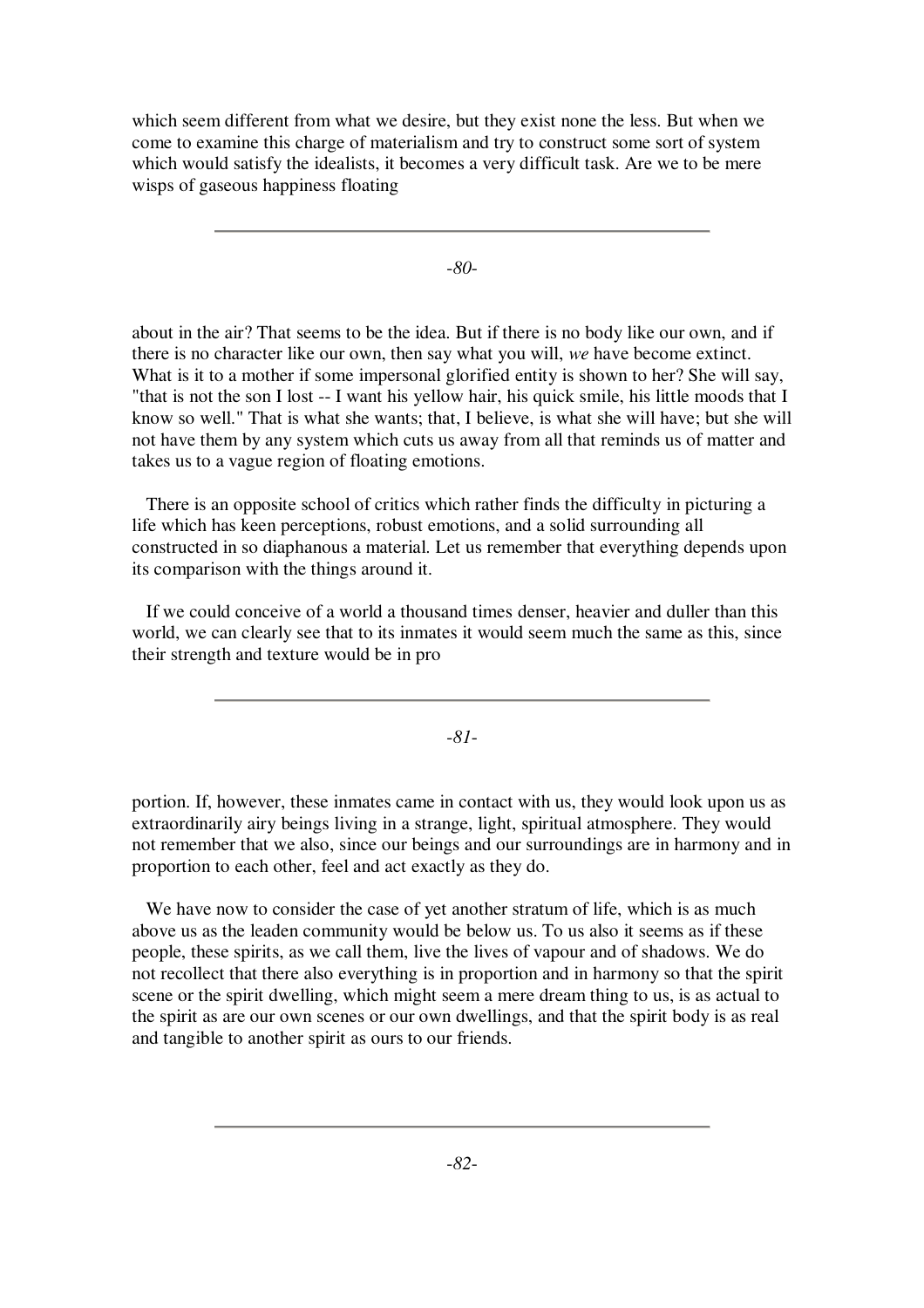which seem different from what we desire, but they exist none the less. But when we come to examine this charge of materialism and try to construct some sort of system which would satisfy the idealists, it becomes a very difficult task. Are we to be mere wisps of gaseous happiness floating

-*80*-

about in the air? That seems to be the idea. But if there is no body like our own, and if there is no character like our own, then say what you will, *we* have become extinct. What is it to a mother if some impersonal glorified entity is shown to her? She will say, "that is not the son I lost -- I want his yellow hair, his quick smile, his little moods that I know so well." That is what she wants; that, I believe, is what she will have; but she will not have them by any system which cuts us away from all that reminds us of matter and takes us to a vague region of floating emotions.

There is an opposite school of critics which rather finds the difficulty in picturing a life which has keen perceptions, robust emotions, and a solid surrounding all constructed in so diaphanous a material. Let us remember that everything depends upon its comparison with the things around it.

If we could conceive of a world a thousand times denser, heavier and duller than this world, we can clearly see that to its inmates it would seem much the same as this, since their strength and texture would be in pro

-*81*-

portion. If, however, these inmates came in contact with us, they would look upon us as extraordinarily airy beings living in a strange, light, spiritual atmosphere. They would not remember that we also, since our beings and our surroundings are in harmony and in proportion to each other, feel and act exactly as they do.

We have now to consider the case of yet another stratum of life, which is as much above us as the leaden community would be below us. To us also it seems as if these people, these spirits, as we call them, live the lives of vapour and of shadows. We do not recollect that there also everything is in proportion and in harmony so that the spirit scene or the spirit dwelling, which might seem a mere dream thing to us, is as actual to the spirit as are our own scenes or our own dwellings, and that the spirit body is as real and tangible to another spirit as ours to our friends.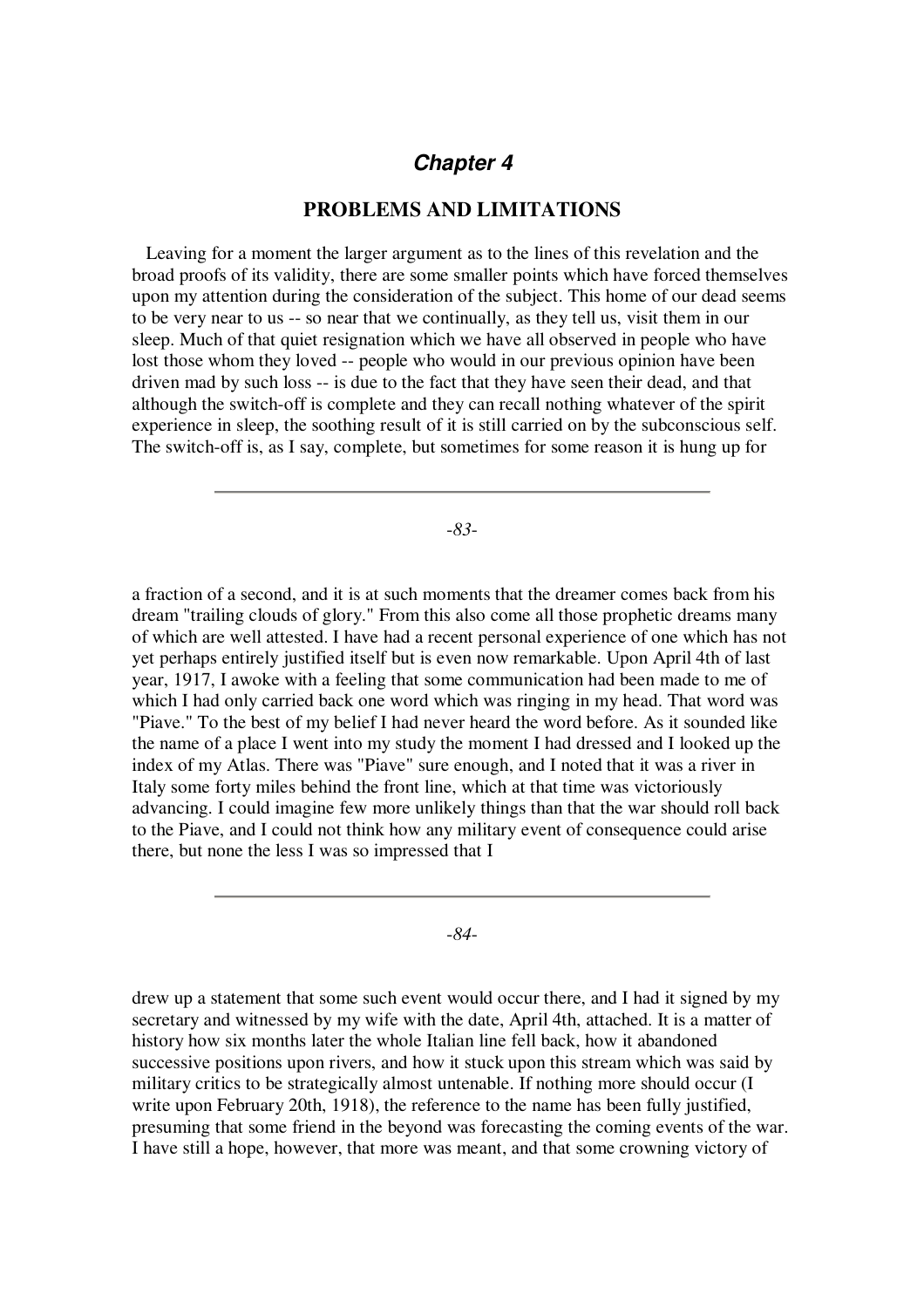## *Chapter 4*

#### **PROBLEMS AND LIMITATIONS**

Leaving for a moment the larger argument as to the lines of this revelation and the broad proofs of its validity, there are some smaller points which have forced themselves upon my attention during the consideration of the subject. This home of our dead seems to be very near to us -- so near that we continually, as they tell us, visit them in our sleep. Much of that quiet resignation which we have all observed in people who have lost those whom they loved -- people who would in our previous opinion have been driven mad by such loss -- is due to the fact that they have seen their dead, and that although the switch-off is complete and they can recall nothing whatever of the spirit experience in sleep, the soothing result of it is still carried on by the subconscious self. The switch-off is, as I say, complete, but sometimes for some reason it is hung up for

-*83*-

a fraction of a second, and it is at such moments that the dreamer comes back from his dream "trailing clouds of glory." From this also come all those prophetic dreams many of which are well attested. I have had a recent personal experience of one which has not yet perhaps entirely justified itself but is even now remarkable. Upon April 4th of last year, 1917, I awoke with a feeling that some communication had been made to me of which I had only carried back one word which was ringing in my head. That word was "Piave." To the best of my belief I had never heard the word before. As it sounded like the name of a place I went into my study the moment I had dressed and I looked up the index of my Atlas. There was "Piave" sure enough, and I noted that it was a river in Italy some forty miles behind the front line, which at that time was victoriously advancing. I could imagine few more unlikely things than that the war should roll back to the Piave, and I could not think how any military event of consequence could arise there, but none the less I was so impressed that I

-*84*-

drew up a statement that some such event would occur there, and I had it signed by my secretary and witnessed by my wife with the date, April 4th, attached. It is a matter of history how six months later the whole Italian line fell back, how it abandoned successive positions upon rivers, and how it stuck upon this stream which was said by military critics to be strategically almost untenable. If nothing more should occur (I write upon February 20th, 1918), the reference to the name has been fully justified, presuming that some friend in the beyond was forecasting the coming events of the war. I have still a hope, however, that more was meant, and that some crowning victory of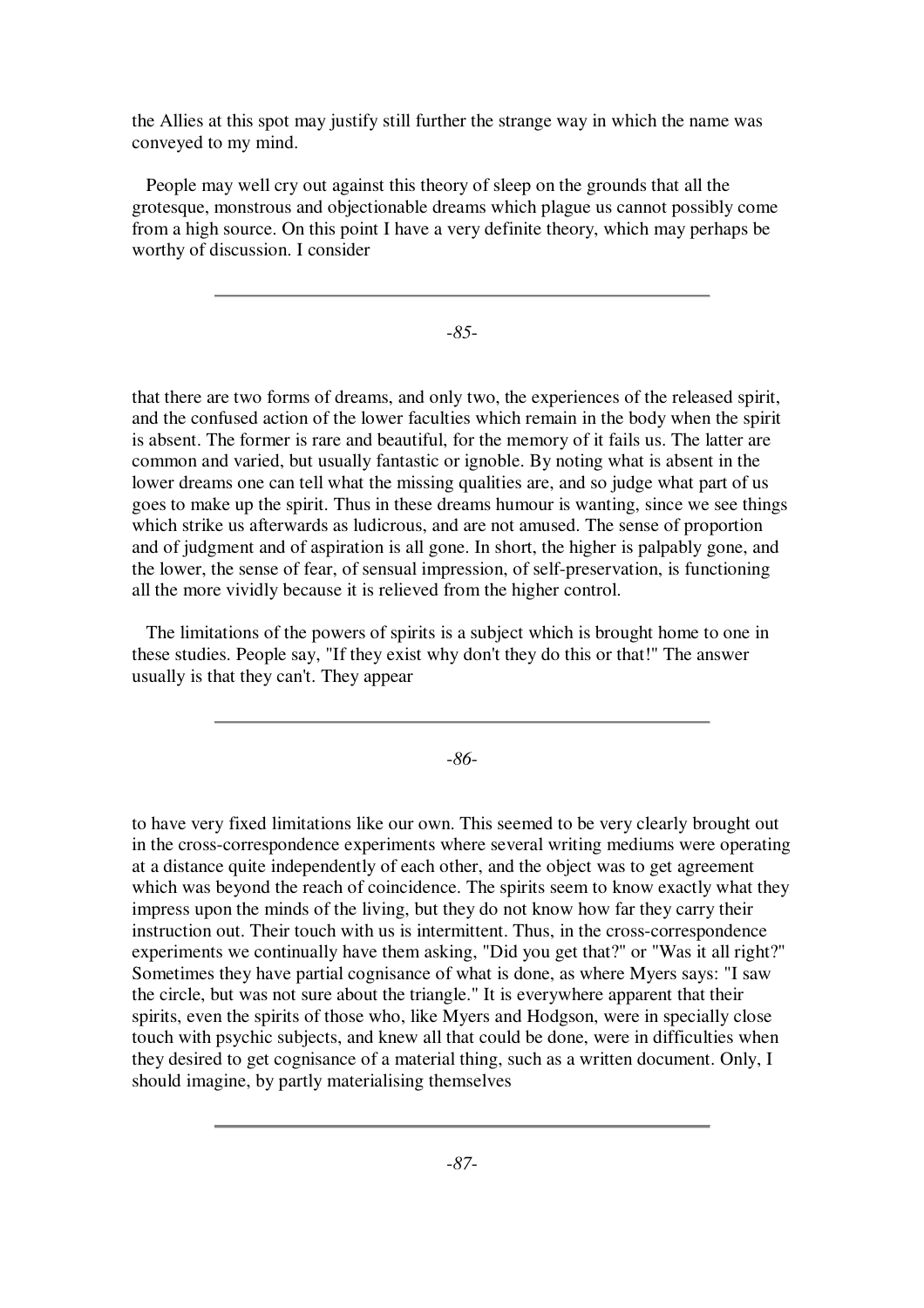the Allies at this spot may justify still further the strange way in which the name was conveyed to my mind.

People may well cry out against this theory of sleep on the grounds that all the grotesque, monstrous and objectionable dreams which plague us cannot possibly come from a high source. On this point I have a very definite theory, which may perhaps be worthy of discussion. I consider

-*85*-

that there are two forms of dreams, and only two, the experiences of the released spirit, and the confused action of the lower faculties which remain in the body when the spirit is absent. The former is rare and beautiful, for the memory of it fails us. The latter are common and varied, but usually fantastic or ignoble. By noting what is absent in the lower dreams one can tell what the missing qualities are, and so judge what part of us goes to make up the spirit. Thus in these dreams humour is wanting, since we see things which strike us afterwards as ludicrous, and are not amused. The sense of proportion and of judgment and of aspiration is all gone. In short, the higher is palpably gone, and the lower, the sense of fear, of sensual impression, of self-preservation, is functioning all the more vividly because it is relieved from the higher control.

The limitations of the powers of spirits is a subject which is brought home to one in these studies. People say, "If they exist why don't they do this or that!" The answer usually is that they can't. They appear

-*86*-

to have very fixed limitations like our own. This seemed to be very clearly brought out in the cross-correspondence experiments where several writing mediums were operating at a distance quite independently of each other, and the object was to get agreement which was beyond the reach of coincidence. The spirits seem to know exactly what they impress upon the minds of the living, but they do not know how far they carry their instruction out. Their touch with us is intermittent. Thus, in the cross-correspondence experiments we continually have them asking, "Did you get that?" or "Was it all right?" Sometimes they have partial cognisance of what is done, as where Myers says: "I saw the circle, but was not sure about the triangle." It is everywhere apparent that their spirits, even the spirits of those who, like Myers and Hodgson, were in specially close touch with psychic subjects, and knew all that could be done, were in difficulties when they desired to get cognisance of a material thing, such as a written document. Only, I should imagine, by partly materialising themselves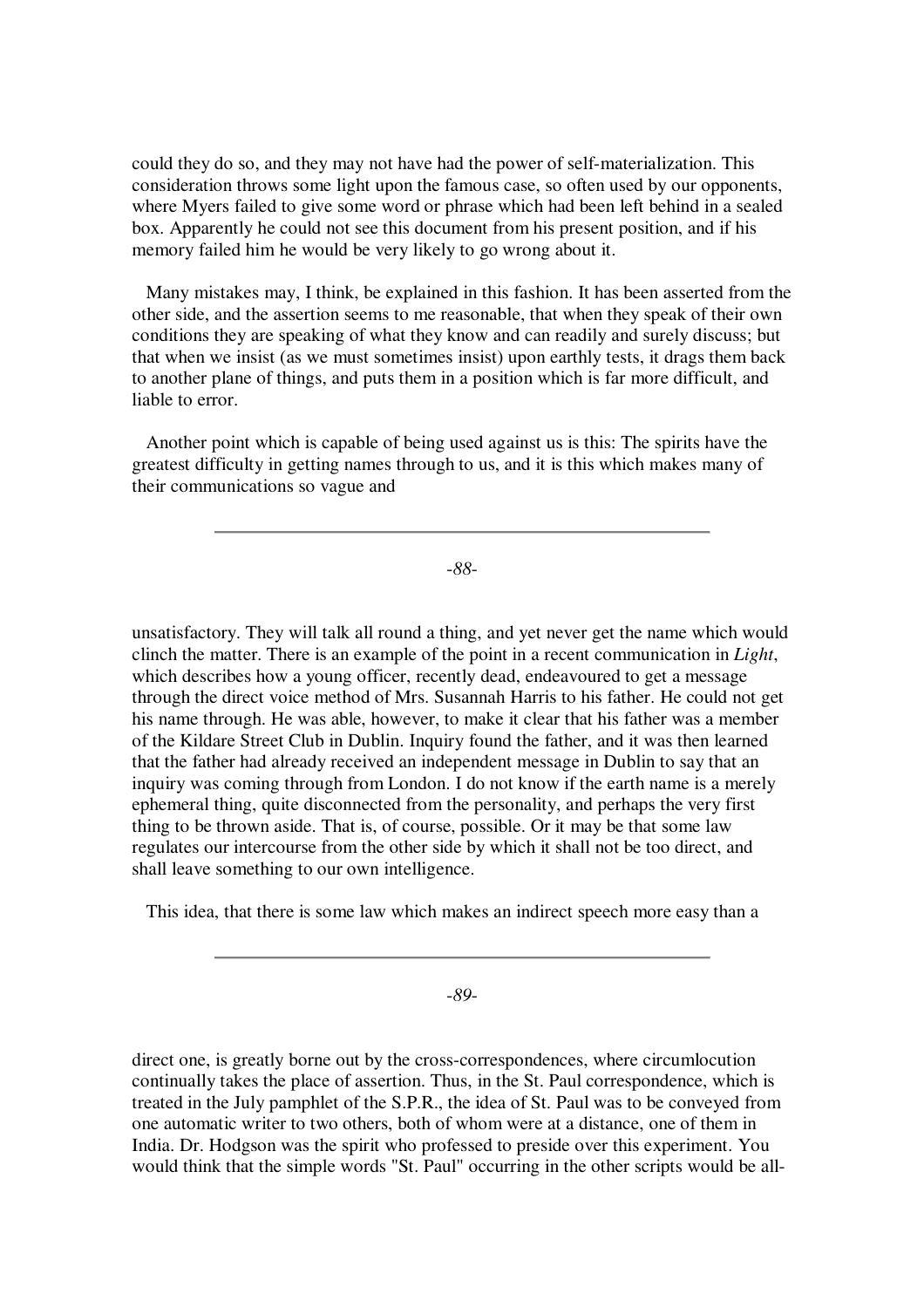could they do so, and they may not have had the power of self-materialization. This consideration throws some light upon the famous case, so often used by our opponents, where Myers failed to give some word or phrase which had been left behind in a sealed box. Apparently he could not see this document from his present position, and if his memory failed him he would be very likely to go wrong about it.

Many mistakes may, I think, be explained in this fashion. It has been asserted from the other side, and the assertion seems to me reasonable, that when they speak of their own conditions they are speaking of what they know and can readily and surely discuss; but that when we insist (as we must sometimes insist) upon earthly tests, it drags them back to another plane of things, and puts them in a position which is far more difficult, and liable to error.

Another point which is capable of being used against us is this: The spirits have the greatest difficulty in getting names through to us, and it is this which makes many of their communications so vague and

-*88*-

unsatisfactory. They will talk all round a thing, and yet never get the name which would clinch the matter. There is an example of the point in a recent communication in *Light*, which describes how a young officer, recently dead, endeavoured to get a message through the direct voice method of Mrs. Susannah Harris to his father. He could not get his name through. He was able, however, to make it clear that his father was a member of the Kildare Street Club in Dublin. Inquiry found the father, and it was then learned that the father had already received an independent message in Dublin to say that an inquiry was coming through from London. I do not know if the earth name is a merely ephemeral thing, quite disconnected from the personality, and perhaps the very first thing to be thrown aside. That is, of course, possible. Or it may be that some law regulates our intercourse from the other side by which it shall not be too direct, and shall leave something to our own intelligence.

This idea, that there is some law which makes an indirect speech more easy than a

-*89*-

direct one, is greatly borne out by the cross-correspondences, where circumlocution continually takes the place of assertion. Thus, in the St. Paul correspondence, which is treated in the July pamphlet of the S.P.R., the idea of St. Paul was to be conveyed from one automatic writer to two others, both of whom were at a distance, one of them in India. Dr. Hodgson was the spirit who professed to preside over this experiment. You would think that the simple words "St. Paul" occurring in the other scripts would be all-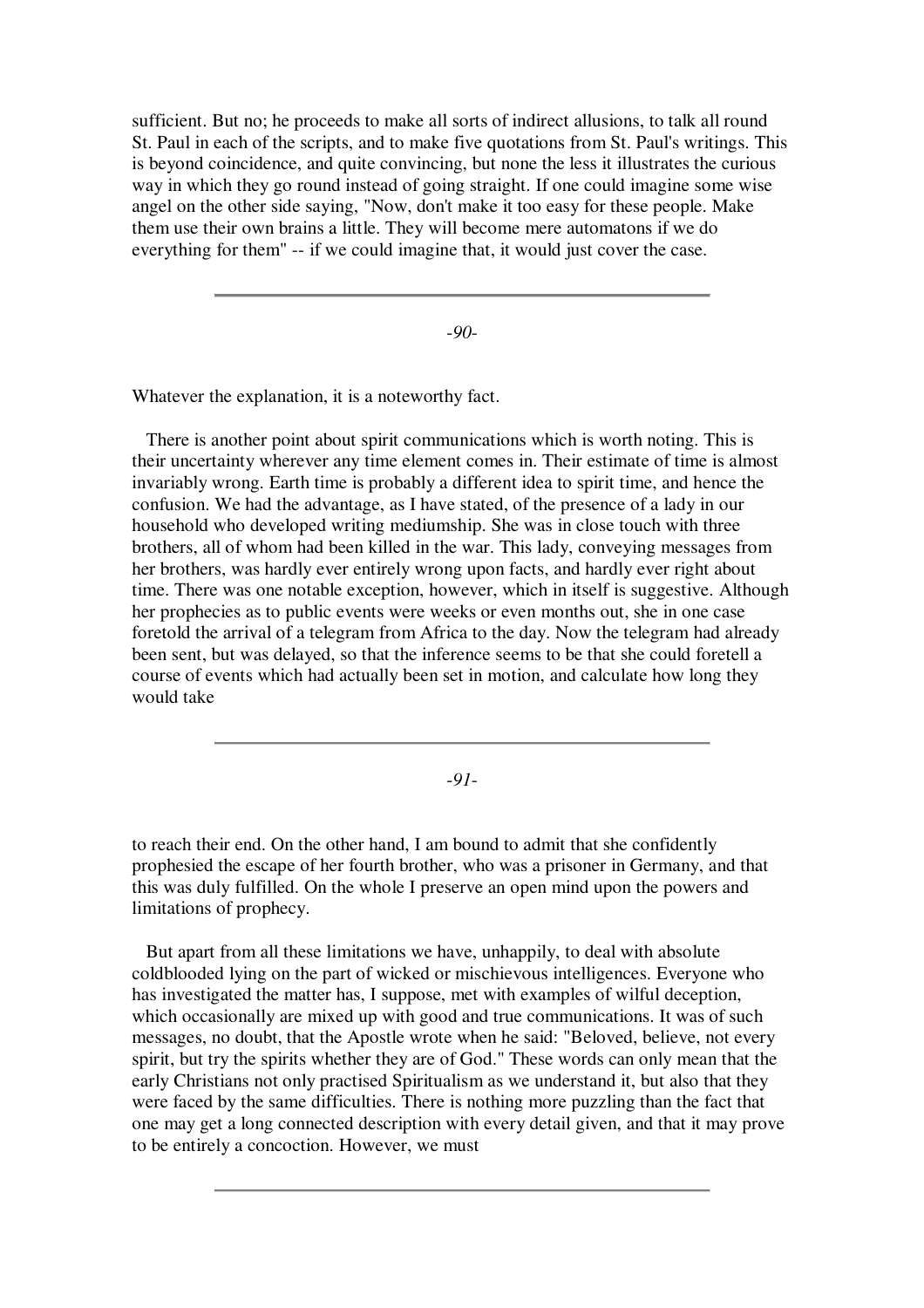sufficient. But no; he proceeds to make all sorts of indirect allusions, to talk all round St. Paul in each of the scripts, and to make five quotations from St. Paul's writings. This is beyond coincidence, and quite convincing, but none the less it illustrates the curious way in which they go round instead of going straight. If one could imagine some wise angel on the other side saying, "Now, don't make it too easy for these people. Make them use their own brains a little. They will become mere automatons if we do everything for them" -- if we could imagine that, it would just cover the case.

-*90*-

Whatever the explanation, it is a noteworthy fact.

There is another point about spirit communications which is worth noting. This is their uncertainty wherever any time element comes in. Their estimate of time is almost invariably wrong. Earth time is probably a different idea to spirit time, and hence the confusion. We had the advantage, as I have stated, of the presence of a lady in our household who developed writing mediumship. She was in close touch with three brothers, all of whom had been killed in the war. This lady, conveying messages from her brothers, was hardly ever entirely wrong upon facts, and hardly ever right about time. There was one notable exception, however, which in itself is suggestive. Although her prophecies as to public events were weeks or even months out, she in one case foretold the arrival of a telegram from Africa to the day. Now the telegram had already been sent, but was delayed, so that the inference seems to be that she could foretell a course of events which had actually been set in motion, and calculate how long they would take

-*91*-

to reach their end. On the other hand, I am bound to admit that she confidently prophesied the escape of her fourth brother, who was a prisoner in Germany, and that this was duly fulfilled. On the whole I preserve an open mind upon the powers and limitations of prophecy.

But apart from all these limitations we have, unhappily, to deal with absolute coldblooded lying on the part of wicked or mischievous intelligences. Everyone who has investigated the matter has, I suppose, met with examples of wilful deception, which occasionally are mixed up with good and true communications. It was of such messages, no doubt, that the Apostle wrote when he said: "Beloved, believe, not every spirit, but try the spirits whether they are of God." These words can only mean that the early Christians not only practised Spiritualism as we understand it, but also that they were faced by the same difficulties. There is nothing more puzzling than the fact that one may get a long connected description with every detail given, and that it may prove to be entirely a concoction. However, we must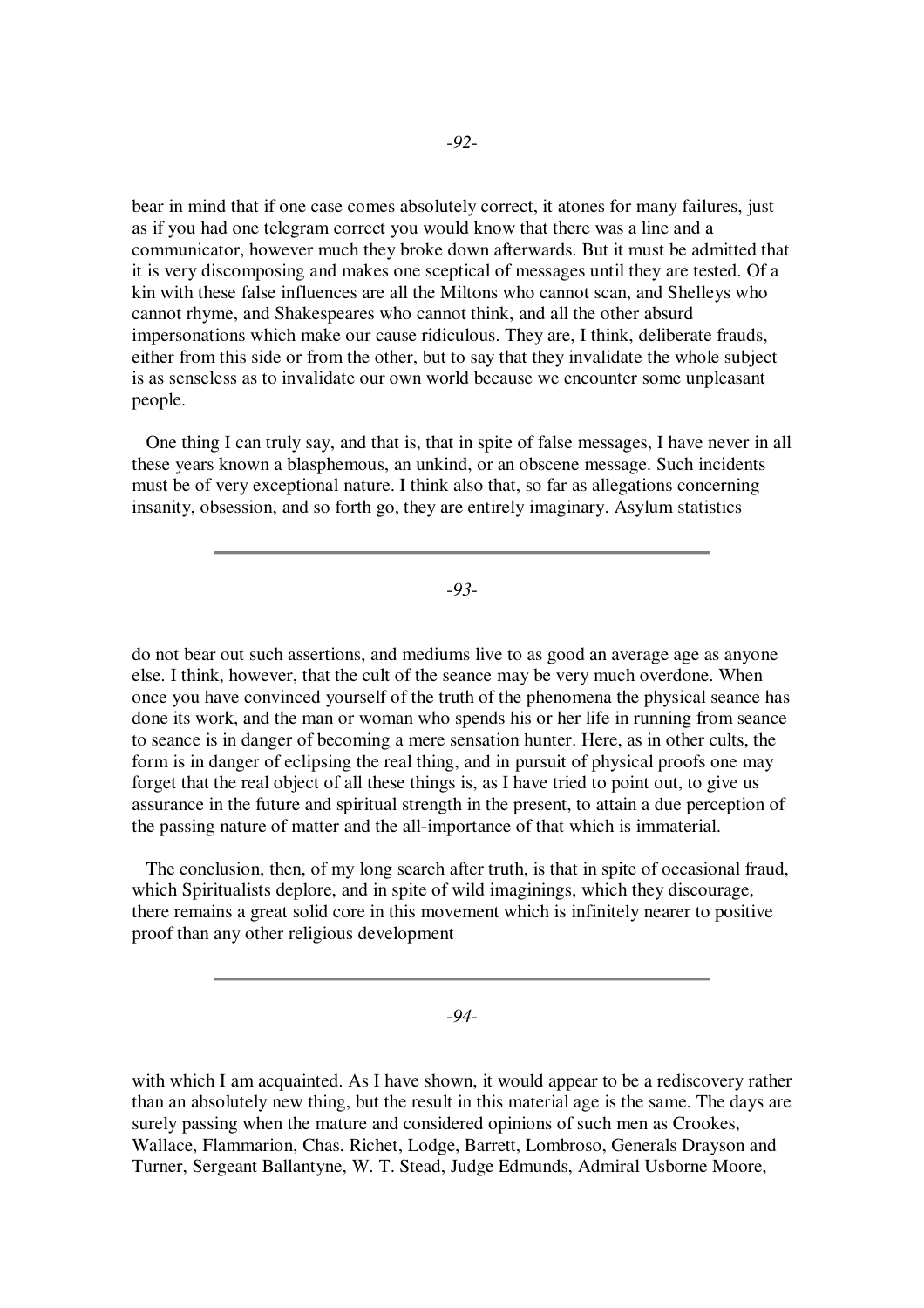bear in mind that if one case comes absolutely correct, it atones for many failures, just as if you had one telegram correct you would know that there was a line and a communicator, however much they broke down afterwards. But it must be admitted that it is very discomposing and makes one sceptical of messages until they are tested. Of a kin with these false influences are all the Miltons who cannot scan, and Shelleys who cannot rhyme, and Shakespeares who cannot think, and all the other absurd impersonations which make our cause ridiculous. They are, I think, deliberate frauds, either from this side or from the other, but to say that they invalidate the whole subject is as senseless as to invalidate our own world because we encounter some unpleasant people.

One thing I can truly say, and that is, that in spite of false messages, I have never in all these years known a blasphemous, an unkind, or an obscene message. Such incidents must be of very exceptional nature. I think also that, so far as allegations concerning insanity, obsession, and so forth go, they are entirely imaginary. Asylum statistics

-*93*-

do not bear out such assertions, and mediums live to as good an average age as anyone else. I think, however, that the cult of the seance may be very much overdone. When once you have convinced yourself of the truth of the phenomena the physical seance has done its work, and the man or woman who spends his or her life in running from seance to seance is in danger of becoming a mere sensation hunter. Here, as in other cults, the form is in danger of eclipsing the real thing, and in pursuit of physical proofs one may forget that the real object of all these things is, as I have tried to point out, to give us assurance in the future and spiritual strength in the present, to attain a due perception of the passing nature of matter and the all-importance of that which is immaterial.

The conclusion, then, of my long search after truth, is that in spite of occasional fraud, which Spiritualists deplore, and in spite of wild imaginings, which they discourage, there remains a great solid core in this movement which is infinitely nearer to positive proof than any other religious development

-*94*-

with which I am acquainted. As I have shown, it would appear to be a rediscovery rather than an absolutely new thing, but the result in this material age is the same. The days are surely passing when the mature and considered opinions of such men as Crookes, Wallace, Flammarion, Chas. Richet, Lodge, Barrett, Lombroso, Generals Drayson and Turner, Sergeant Ballantyne, W. T. Stead, Judge Edmunds, Admiral Usborne Moore,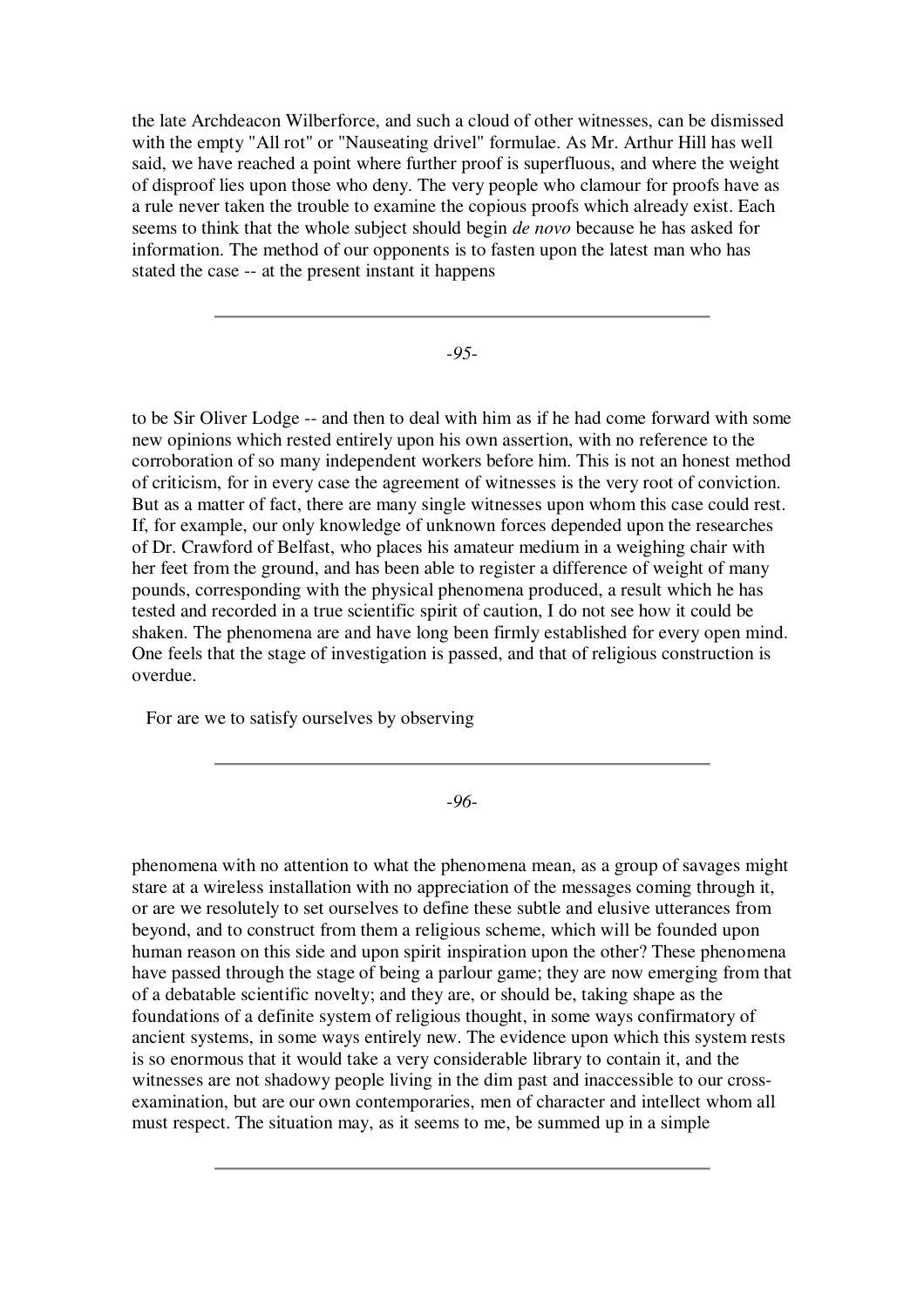the late Archdeacon Wilberforce, and such a cloud of other witnesses, can be dismissed with the empty "All rot" or "Nauseating drivel" formulae. As Mr. Arthur Hill has well said, we have reached a point where further proof is superfluous, and where the weight of disproof lies upon those who deny. The very people who clamour for proofs have as a rule never taken the trouble to examine the copious proofs which already exist. Each seems to think that the whole subject should begin *de novo* because he has asked for information. The method of our opponents is to fasten upon the latest man who has stated the case -- at the present instant it happens

-*95*-

to be Sir Oliver Lodge -- and then to deal with him as if he had come forward with some new opinions which rested entirely upon his own assertion, with no reference to the corroboration of so many independent workers before him. This is not an honest method of criticism, for in every case the agreement of witnesses is the very root of conviction. But as a matter of fact, there are many single witnesses upon whom this case could rest. If, for example, our only knowledge of unknown forces depended upon the researches of Dr. Crawford of Belfast, who places his amateur medium in a weighing chair with her feet from the ground, and has been able to register a difference of weight of many pounds, corresponding with the physical phenomena produced, a result which he has tested and recorded in a true scientific spirit of caution, I do not see how it could be shaken. The phenomena are and have long been firmly established for every open mind. One feels that the stage of investigation is passed, and that of religious construction is overdue.

For are we to satisfy ourselves by observing

-*96*-

phenomena with no attention to what the phenomena mean, as a group of savages might stare at a wireless installation with no appreciation of the messages coming through it, or are we resolutely to set ourselves to define these subtle and elusive utterances from beyond, and to construct from them a religious scheme, which will be founded upon human reason on this side and upon spirit inspiration upon the other? These phenomena have passed through the stage of being a parlour game; they are now emerging from that of a debatable scientific novelty; and they are, or should be, taking shape as the foundations of a definite system of religious thought, in some ways confirmatory of ancient systems, in some ways entirely new. The evidence upon which this system rests is so enormous that it would take a very considerable library to contain it, and the witnesses are not shadowy people living in the dim past and inaccessible to our crossexamination, but are our own contemporaries, men of character and intellect whom all must respect. The situation may, as it seems to me, be summed up in a simple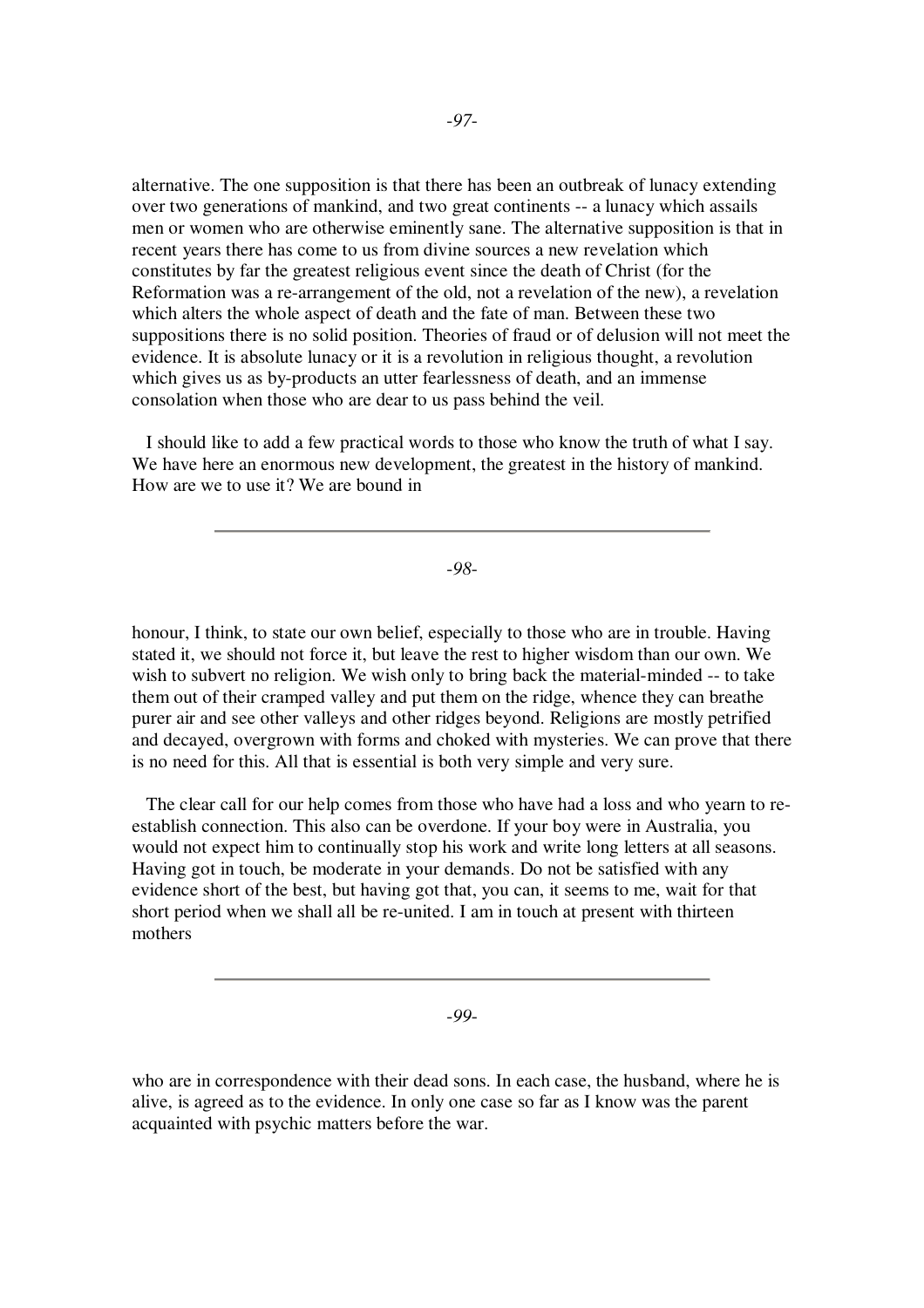alternative. The one supposition is that there has been an outbreak of lunacy extending over two generations of mankind, and two great continents -- a lunacy which assails men or women who are otherwise eminently sane. The alternative supposition is that in recent years there has come to us from divine sources a new revelation which constitutes by far the greatest religious event since the death of Christ (for the Reformation was a re-arrangement of the old, not a revelation of the new), a revelation which alters the whole aspect of death and the fate of man. Between these two suppositions there is no solid position. Theories of fraud or of delusion will not meet the evidence. It is absolute lunacy or it is a revolution in religious thought, a revolution which gives us as by-products an utter fearlessness of death, and an immense consolation when those who are dear to us pass behind the veil.

I should like to add a few practical words to those who know the truth of what I say. We have here an enormous new development, the greatest in the history of mankind. How are we to use it? We are bound in

-*98*-

honour, I think, to state our own belief, especially to those who are in trouble. Having stated it, we should not force it, but leave the rest to higher wisdom than our own. We wish to subvert no religion. We wish only to bring back the material-minded -- to take them out of their cramped valley and put them on the ridge, whence they can breathe purer air and see other valleys and other ridges beyond. Religions are mostly petrified and decayed, overgrown with forms and choked with mysteries. We can prove that there is no need for this. All that is essential is both very simple and very sure.

The clear call for our help comes from those who have had a loss and who yearn to reestablish connection. This also can be overdone. If your boy were in Australia, you would not expect him to continually stop his work and write long letters at all seasons. Having got in touch, be moderate in your demands. Do not be satisfied with any evidence short of the best, but having got that, you can, it seems to me, wait for that short period when we shall all be re-united. I am in touch at present with thirteen mothers

-*99*-

who are in correspondence with their dead sons. In each case, the husband, where he is alive, is agreed as to the evidence. In only one case so far as I know was the parent acquainted with psychic matters before the war.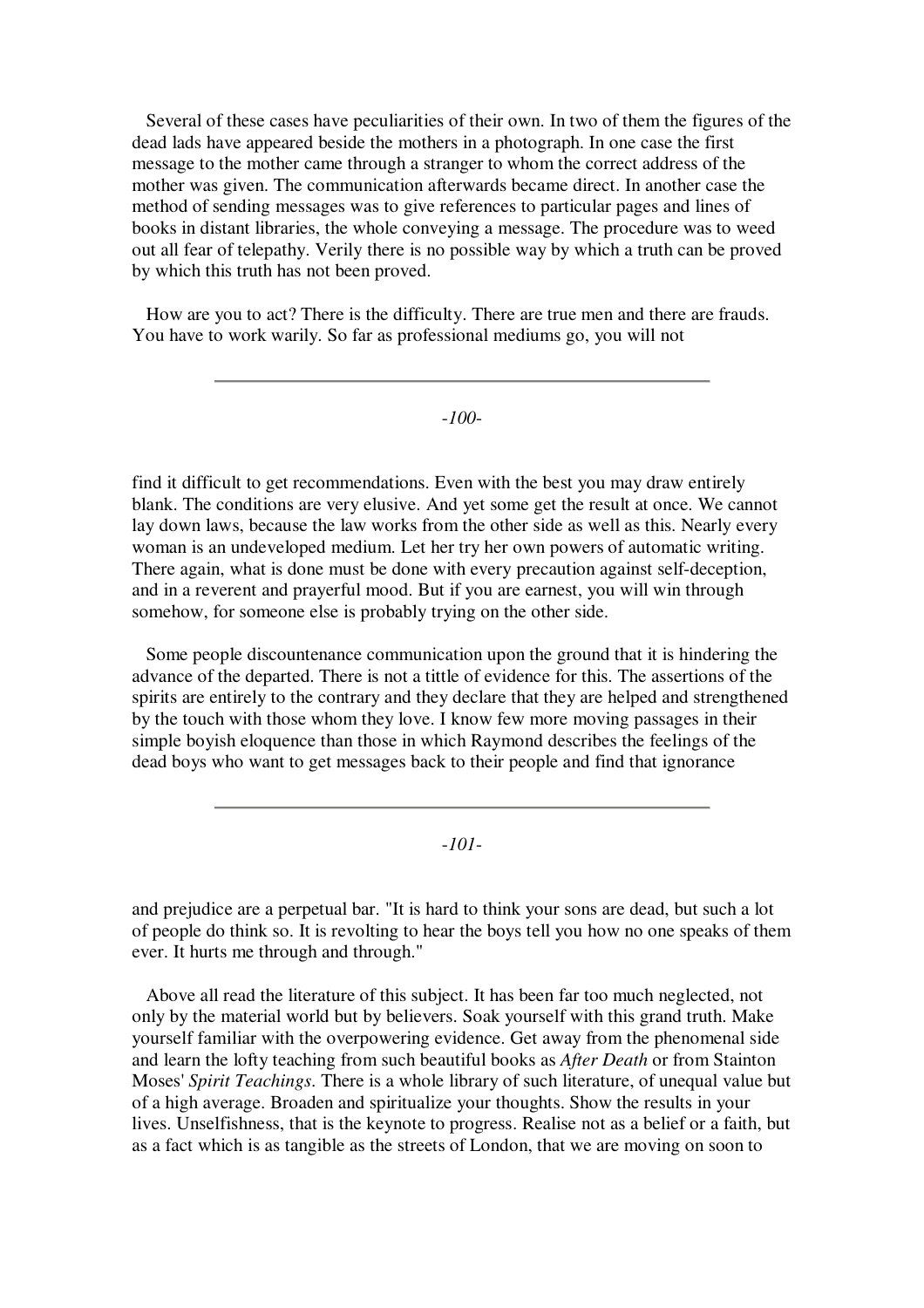Several of these cases have peculiarities of their own. In two of them the figures of the dead lads have appeared beside the mothers in a photograph. In one case the first message to the mother came through a stranger to whom the correct address of the mother was given. The communication afterwards became direct. In another case the method of sending messages was to give references to particular pages and lines of books in distant libraries, the whole conveying a message. The procedure was to weed out all fear of telepathy. Verily there is no possible way by which a truth can be proved by which this truth has not been proved.

How are you to act? There is the difficulty. There are true men and there are frauds. You have to work warily. So far as professional mediums go, you will not

-*100*-

find it difficult to get recommendations. Even with the best you may draw entirely blank. The conditions are very elusive. And yet some get the result at once. We cannot lay down laws, because the law works from the other side as well as this. Nearly every woman is an undeveloped medium. Let her try her own powers of automatic writing. There again, what is done must be done with every precaution against self-deception, and in a reverent and prayerful mood. But if you are earnest, you will win through somehow, for someone else is probably trying on the other side.

Some people discountenance communication upon the ground that it is hindering the advance of the departed. There is not a tittle of evidence for this. The assertions of the spirits are entirely to the contrary and they declare that they are helped and strengthened by the touch with those whom they love. I know few more moving passages in their simple boyish eloquence than those in which Raymond describes the feelings of the dead boys who want to get messages back to their people and find that ignorance

-*101*-

and prejudice are a perpetual bar. "It is hard to think your sons are dead, but such a lot of people do think so. It is revolting to hear the boys tell you how no one speaks of them ever. It hurts me through and through."

Above all read the literature of this subject. It has been far too much neglected, not only by the material world but by believers. Soak yourself with this grand truth. Make yourself familiar with the overpowering evidence. Get away from the phenomenal side and learn the lofty teaching from such beautiful books as *After Death* or from Stainton Moses' *Spirit Teachings*. There is a whole library of such literature, of unequal value but of a high average. Broaden and spiritualize your thoughts. Show the results in your lives. Unselfishness, that is the keynote to progress. Realise not as a belief or a faith, but as a fact which is as tangible as the streets of London, that we are moving on soon to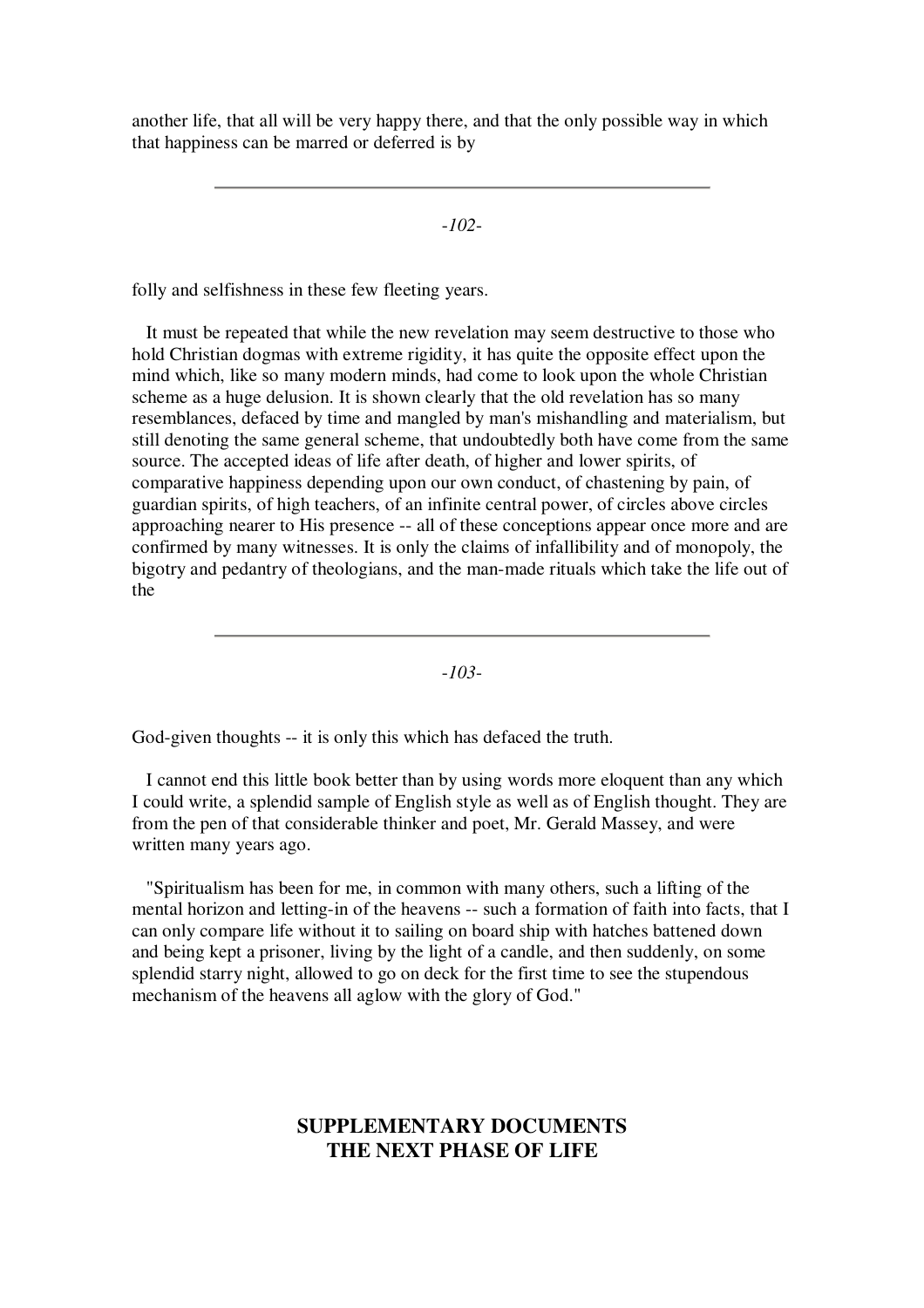another life, that all will be very happy there, and that the only possible way in which that happiness can be marred or deferred is by

-*102*-

folly and selfishness in these few fleeting years.

It must be repeated that while the new revelation may seem destructive to those who hold Christian dogmas with extreme rigidity, it has quite the opposite effect upon the mind which, like so many modern minds, had come to look upon the whole Christian scheme as a huge delusion. It is shown clearly that the old revelation has so many resemblances, defaced by time and mangled by man's mishandling and materialism, but still denoting the same general scheme, that undoubtedly both have come from the same source. The accepted ideas of life after death, of higher and lower spirits, of comparative happiness depending upon our own conduct, of chastening by pain, of guardian spirits, of high teachers, of an infinite central power, of circles above circles approaching nearer to His presence -- all of these conceptions appear once more and are confirmed by many witnesses. It is only the claims of infallibility and of monopoly, the bigotry and pedantry of theologians, and the man-made rituals which take the life out of the

-*103*-

God-given thoughts -- it is only this which has defaced the truth.

I cannot end this little book better than by using words more eloquent than any which I could write, a splendid sample of English style as well as of English thought. They are from the pen of that considerable thinker and poet, Mr. Gerald Massey, and were written many years ago.

"Spiritualism has been for me, in common with many others, such a lifting of the mental horizon and letting-in of the heavens -- such a formation of faith into facts, that I can only compare life without it to sailing on board ship with hatches battened down and being kept a prisoner, living by the light of a candle, and then suddenly, on some splendid starry night, allowed to go on deck for the first time to see the stupendous mechanism of the heavens all aglow with the glory of God."

# **SUPPLEMENTARY DOCUMENTS THE NEXT PHASE OF LIFE**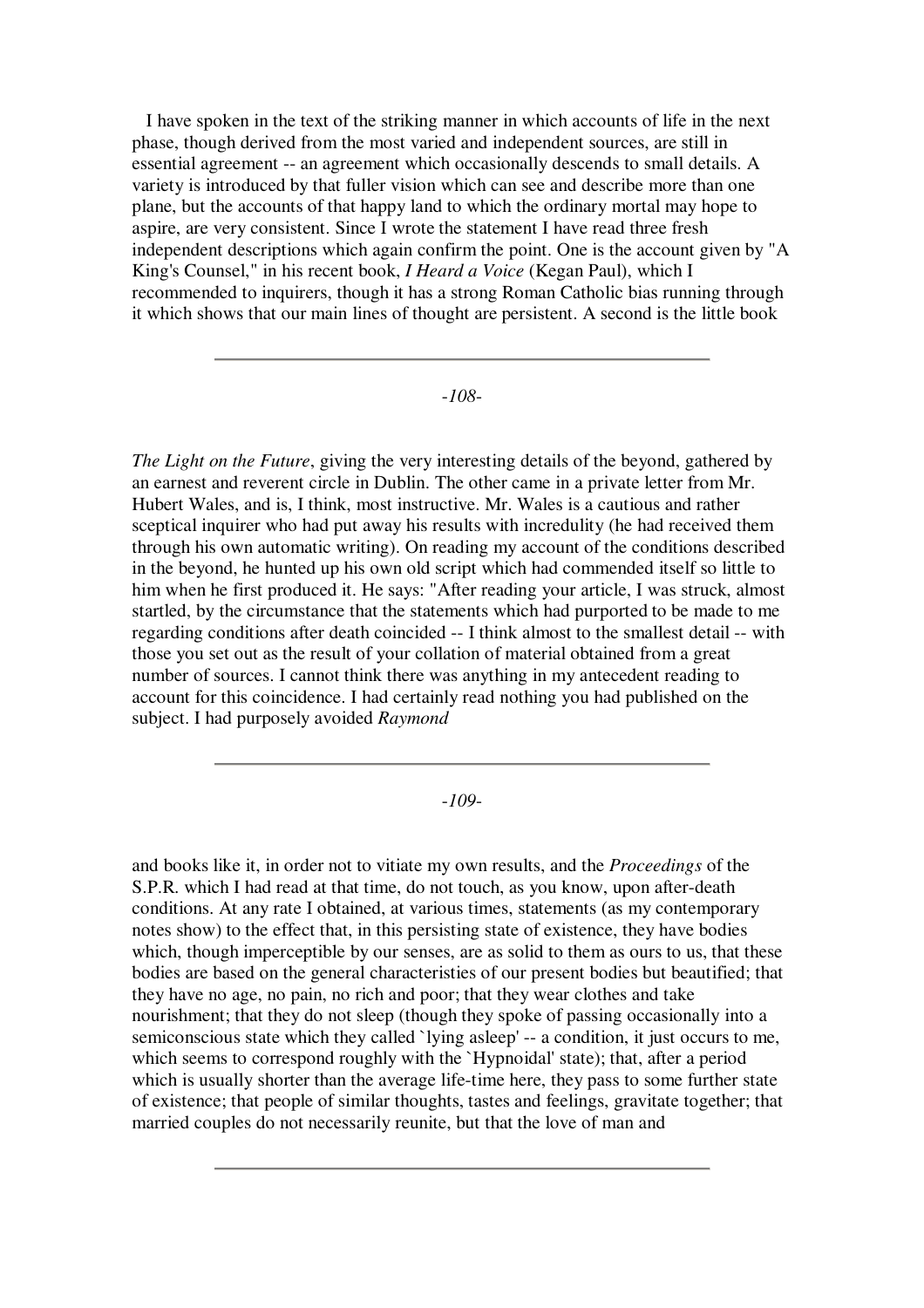I have spoken in the text of the striking manner in which accounts of life in the next phase, though derived from the most varied and independent sources, are still in essential agreement -- an agreement which occasionally descends to small details. A variety is introduced by that fuller vision which can see and describe more than one plane, but the accounts of that happy land to which the ordinary mortal may hope to aspire, are very consistent. Since I wrote the statement I have read three fresh independent descriptions which again confirm the point. One is the account given by "A King's Counsel," in his recent book, *I Heard a Voice* (Kegan Paul), which I recommended to inquirers, though it has a strong Roman Catholic bias running through it which shows that our main lines of thought are persistent. A second is the little book

#### -*108*-

*The Light on the Future*, giving the very interesting details of the beyond, gathered by an earnest and reverent circle in Dublin. The other came in a private letter from Mr. Hubert Wales, and is, I think, most instructive. Mr. Wales is a cautious and rather sceptical inquirer who had put away his results with incredulity (he had received them through his own automatic writing). On reading my account of the conditions described in the beyond, he hunted up his own old script which had commended itself so little to him when he first produced it. He says: "After reading your article, I was struck, almost startled, by the circumstance that the statements which had purported to be made to me regarding conditions after death coincided -- I think almost to the smallest detail -- with those you set out as the result of your collation of material obtained from a great number of sources. I cannot think there was anything in my antecedent reading to account for this coincidence. I had certainly read nothing you had published on the subject. I had purposely avoided *Raymond*

### -*109*-

and books like it, in order not to vitiate my own results, and the *Proceedings* of the S.P.R. which I had read at that time, do not touch, as you know, upon after-death conditions. At any rate I obtained, at various times, statements (as my contemporary notes show) to the effect that, in this persisting state of existence, they have bodies which, though imperceptible by our senses, are as solid to them as ours to us, that these bodies are based on the general characteristies of our present bodies but beautified; that they have no age, no pain, no rich and poor; that they wear clothes and take nourishment; that they do not sleep (though they spoke of passing occasionally into a semiconscious state which they called `lying asleep' -- a condition, it just occurs to me, which seems to correspond roughly with the `Hypnoidal' state); that, after a period which is usually shorter than the average life-time here, they pass to some further state of existence; that people of similar thoughts, tastes and feelings, gravitate together; that married couples do not necessarily reunite, but that the love of man and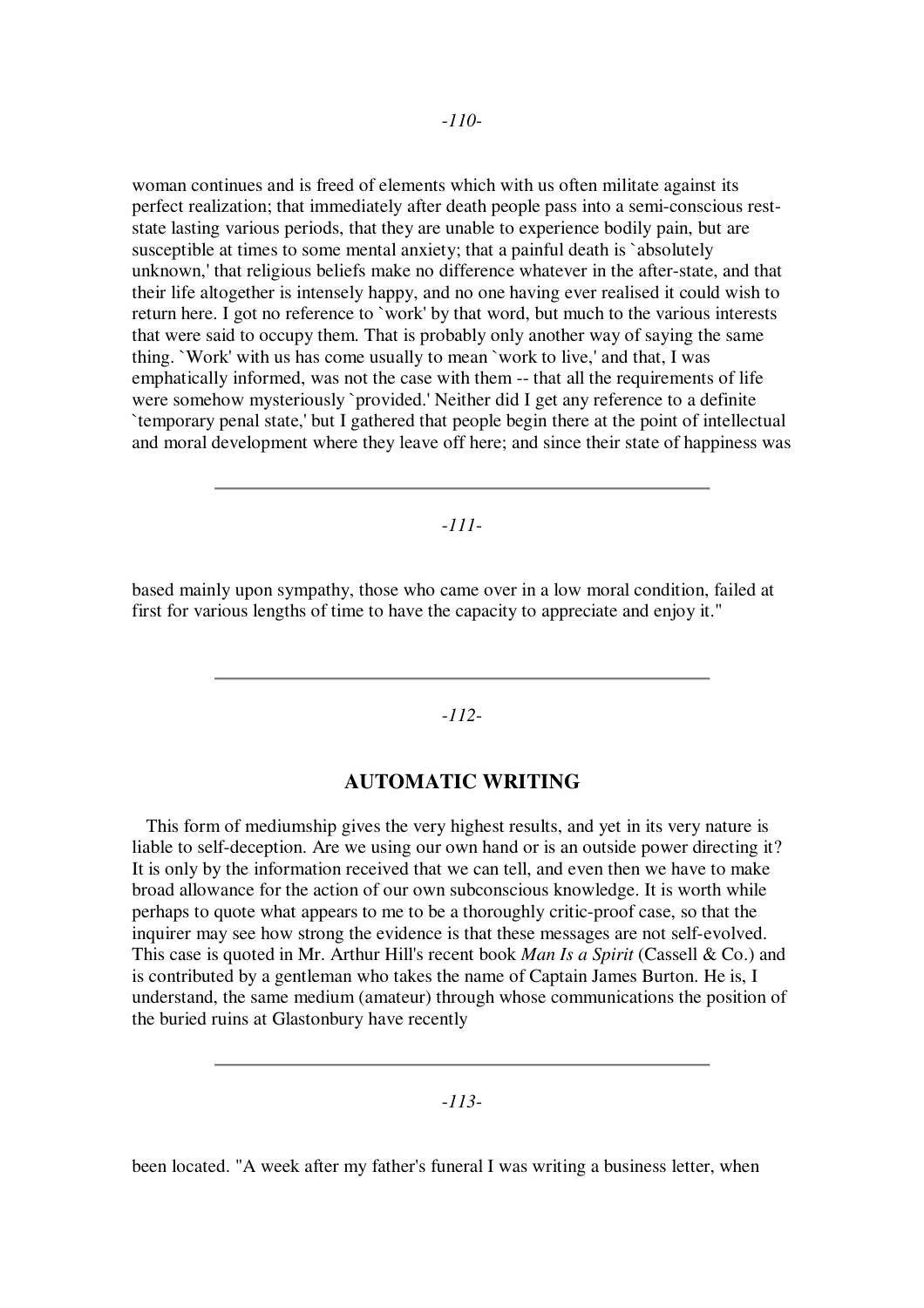woman continues and is freed of elements which with us often militate against its perfect realization; that immediately after death people pass into a semi-conscious reststate lasting various periods, that they are unable to experience bodily pain, but are susceptible at times to some mental anxiety; that a painful death is `absolutely unknown,' that religious beliefs make no difference whatever in the after-state, and that their life altogether is intensely happy, and no one having ever realised it could wish to return here. I got no reference to `work' by that word, but much to the various interests that were said to occupy them. That is probably only another way of saying the same thing. `Work' with us has come usually to mean `work to live,' and that, I was emphatically informed, was not the case with them -- that all the requirements of life were somehow mysteriously `provided.' Neither did I get any reference to a definite `temporary penal state,' but I gathered that people begin there at the point of intellectual and moral development where they leave off here; and since their state of happiness was

### -*111*-

based mainly upon sympathy, those who came over in a low moral condition, failed at first for various lengths of time to have the capacity to appreciate and enjoy it."

### -*112*-

### **AUTOMATIC WRITING**

This form of mediumship gives the very highest results, and yet in its very nature is liable to self-deception. Are we using our own hand or is an outside power directing it? It is only by the information received that we can tell, and even then we have to make broad allowance for the action of our own subconscious knowledge. It is worth while perhaps to quote what appears to me to be a thoroughly critic-proof case, so that the inquirer may see how strong the evidence is that these messages are not self-evolved. This case is quoted in Mr. Arthur Hill's recent book *Man Is a Spirit* (Cassell & Co.) and is contributed by a gentleman who takes the name of Captain James Burton. He is, I understand, the same medium (amateur) through whose communications the position of the buried ruins at Glastonbury have recently

## -*113*-

been located. "A week after my father's funeral I was writing a business letter, when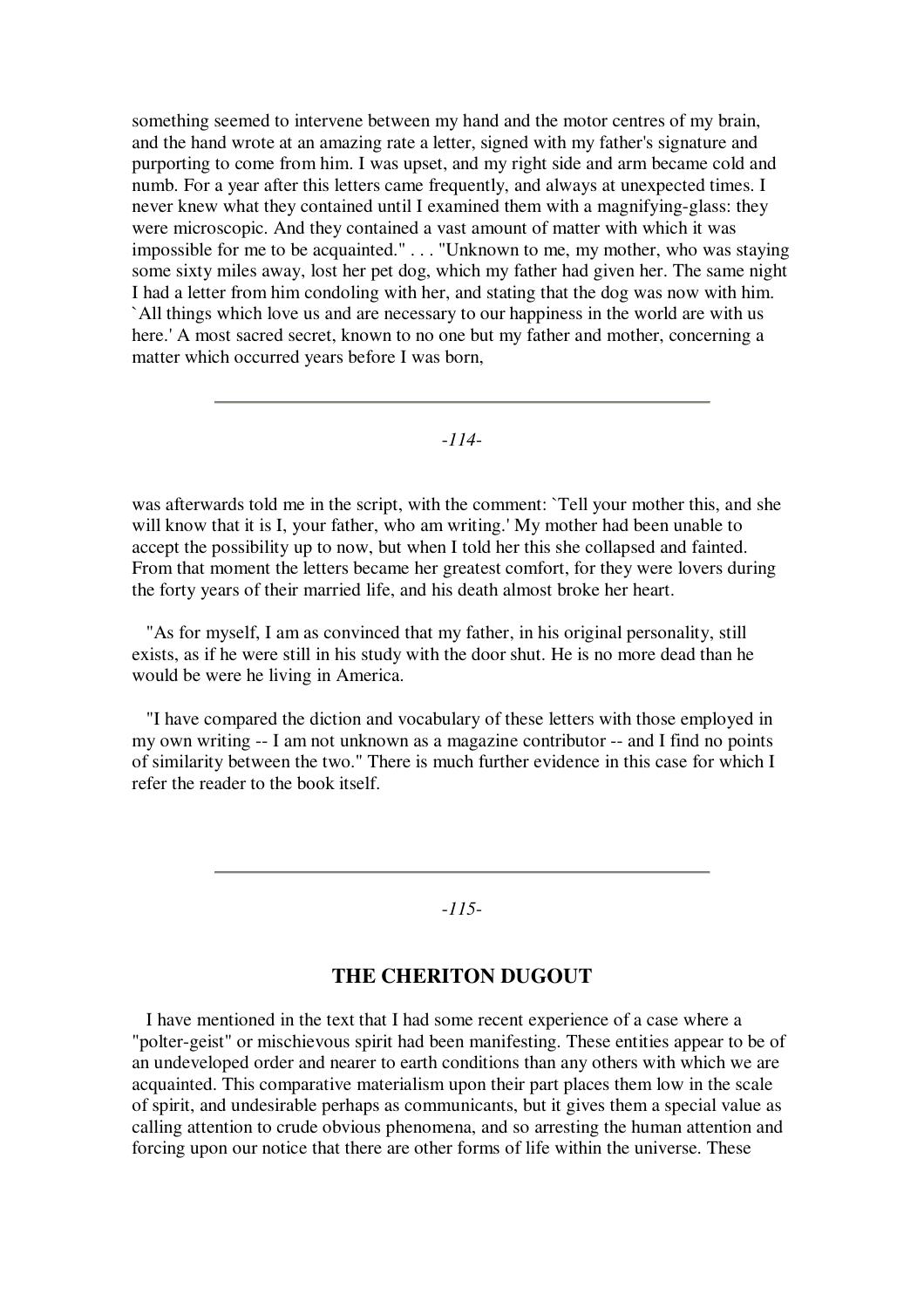something seemed to intervene between my hand and the motor centres of my brain, and the hand wrote at an amazing rate a letter, signed with my father's signature and purporting to come from him. I was upset, and my right side and arm became cold and numb. For a year after this letters came frequently, and always at unexpected times. I never knew what they contained until I examined them with a magnifying-glass: they were microscopic. And they contained a vast amount of matter with which it was impossible for me to be acquainted." . . . "Unknown to me, my mother, who was staying some sixty miles away, lost her pet dog, which my father had given her. The same night I had a letter from him condoling with her, and stating that the dog was now with him. `All things which love us and are necessary to our happiness in the world are with us here.' A most sacred secret, known to no one but my father and mother, concerning a matter which occurred years before I was born,

-*114*-

was afterwards told me in the script, with the comment: `Tell your mother this, and she will know that it is I, your father, who am writing.' My mother had been unable to accept the possibility up to now, but when I told her this she collapsed and fainted. From that moment the letters became her greatest comfort, for they were lovers during the forty years of their married life, and his death almost broke her heart.

"As for myself, I am as convinced that my father, in his original personality, still exists, as if he were still in his study with the door shut. He is no more dead than he would be were he living in America.

"I have compared the diction and vocabulary of these letters with those employed in my own writing -- I am not unknown as a magazine contributor -- and I find no points of similarity between the two." There is much further evidence in this case for which I refer the reader to the book itself.

## -*115*-

### **THE CHERITON DUGOUT**

I have mentioned in the text that I had some recent experience of a case where a "polter-geist" or mischievous spirit had been manifesting. These entities appear to be of an undeveloped order and nearer to earth conditions than any others with which we are acquainted. This comparative materialism upon their part places them low in the scale of spirit, and undesirable perhaps as communicants, but it gives them a special value as calling attention to crude obvious phenomena, and so arresting the human attention and forcing upon our notice that there are other forms of life within the universe. These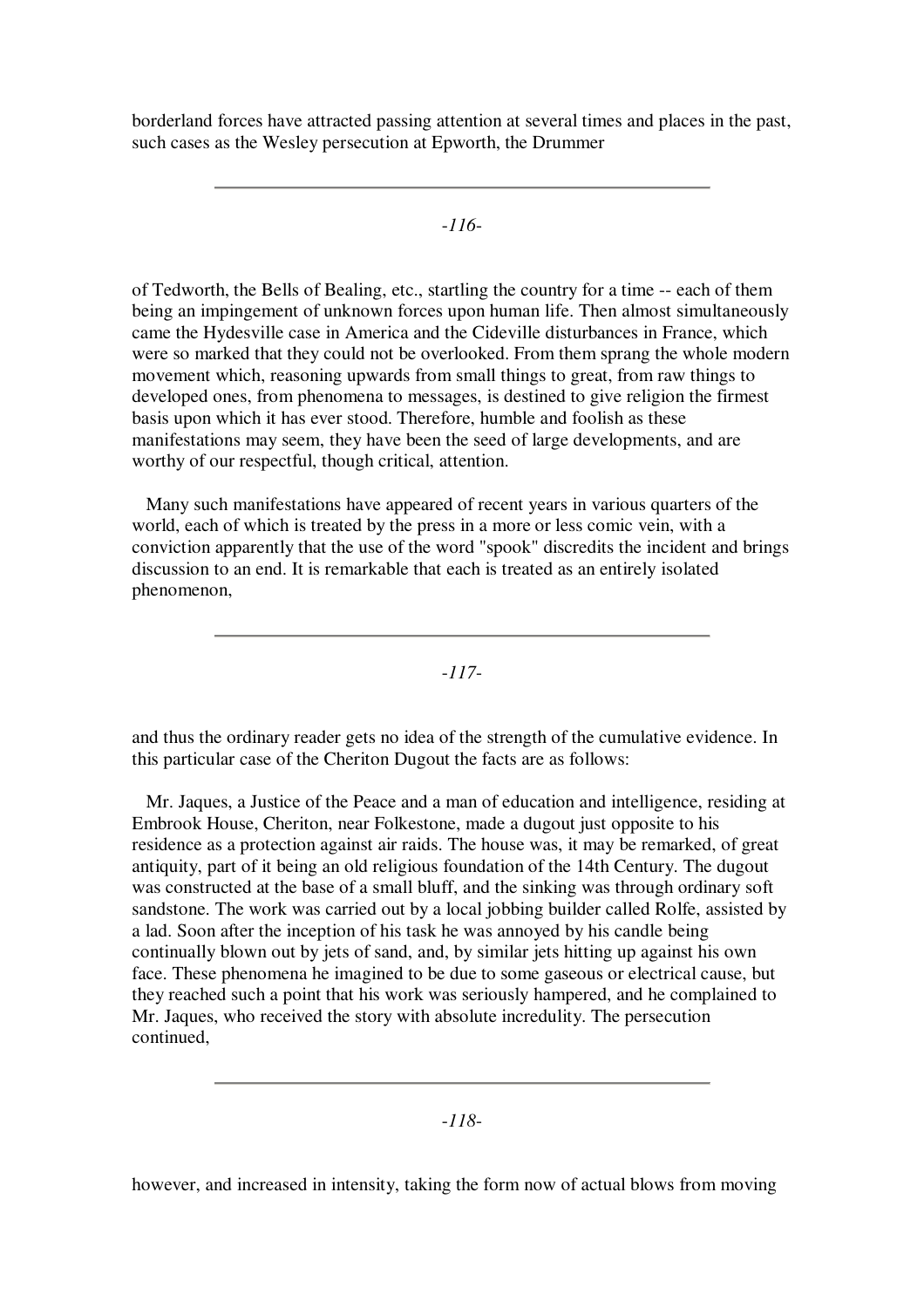borderland forces have attracted passing attention at several times and places in the past, such cases as the Wesley persecution at Epworth, the Drummer

-*116*-

of Tedworth, the Bells of Bealing, etc., startling the country for a time -- each of them being an impingement of unknown forces upon human life. Then almost simultaneously came the Hydesville case in America and the Cideville disturbances in France, which were so marked that they could not be overlooked. From them sprang the whole modern movement which, reasoning upwards from small things to great, from raw things to developed ones, from phenomena to messages, is destined to give religion the firmest basis upon which it has ever stood. Therefore, humble and foolish as these manifestations may seem, they have been the seed of large developments, and are worthy of our respectful, though critical, attention.

Many such manifestations have appeared of recent years in various quarters of the world, each of which is treated by the press in a more or less comic vein, with a conviction apparently that the use of the word "spook" discredits the incident and brings discussion to an end. It is remarkable that each is treated as an entirely isolated phenomenon,

-*117*-

and thus the ordinary reader gets no idea of the strength of the cumulative evidence. In this particular case of the Cheriton Dugout the facts are as follows:

Mr. Jaques, a Justice of the Peace and a man of education and intelligence, residing at Embrook House, Cheriton, near Folkestone, made a dugout just opposite to his residence as a protection against air raids. The house was, it may be remarked, of great antiquity, part of it being an old religious foundation of the 14th Century. The dugout was constructed at the base of a small bluff, and the sinking was through ordinary soft sandstone. The work was carried out by a local jobbing builder called Rolfe, assisted by a lad. Soon after the inception of his task he was annoyed by his candle being continually blown out by jets of sand, and, by similar jets hitting up against his own face. These phenomena he imagined to be due to some gaseous or electrical cause, but they reached such a point that his work was seriously hampered, and he complained to Mr. Jaques, who received the story with absolute incredulity. The persecution continued,

-*118*-

however, and increased in intensity, taking the form now of actual blows from moving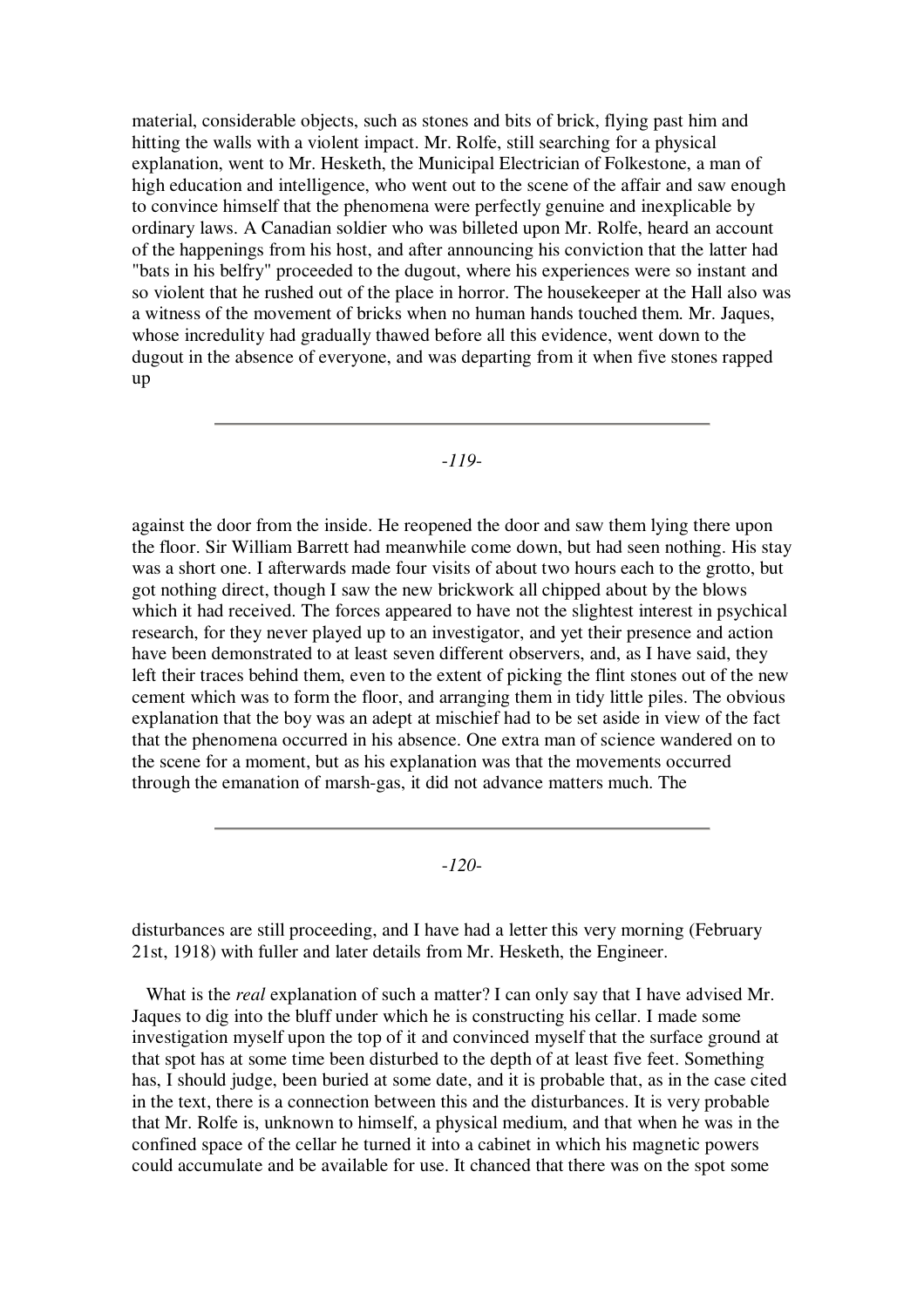material, considerable objects, such as stones and bits of brick, flying past him and hitting the walls with a violent impact. Mr. Rolfe, still searching for a physical explanation, went to Mr. Hesketh, the Municipal Electrician of Folkestone, a man of high education and intelligence, who went out to the scene of the affair and saw enough to convince himself that the phenomena were perfectly genuine and inexplicable by ordinary laws. A Canadian soldier who was billeted upon Mr. Rolfe, heard an account of the happenings from his host, and after announcing his conviction that the latter had "bats in his belfry" proceeded to the dugout, where his experiences were so instant and so violent that he rushed out of the place in horror. The housekeeper at the Hall also was a witness of the movement of bricks when no human hands touched them. Mr. Jaques, whose incredulity had gradually thawed before all this evidence, went down to the dugout in the absence of everyone, and was departing from it when five stones rapped up

#### -*119*-

against the door from the inside. He reopened the door and saw them lying there upon the floor. Sir William Barrett had meanwhile come down, but had seen nothing. His stay was a short one. I afterwards made four visits of about two hours each to the grotto, but got nothing direct, though I saw the new brickwork all chipped about by the blows which it had received. The forces appeared to have not the slightest interest in psychical research, for they never played up to an investigator, and yet their presence and action have been demonstrated to at least seven different observers, and, as I have said, they left their traces behind them, even to the extent of picking the flint stones out of the new cement which was to form the floor, and arranging them in tidy little piles. The obvious explanation that the boy was an adept at mischief had to be set aside in view of the fact that the phenomena occurred in his absence. One extra man of science wandered on to the scene for a moment, but as his explanation was that the movements occurred through the emanation of marsh-gas, it did not advance matters much. The

-*120*-

disturbances are still proceeding, and I have had a letter this very morning (February 21st, 1918) with fuller and later details from Mr. Hesketh, the Engineer.

What is the *real* explanation of such a matter? I can only say that I have advised Mr. Jaques to dig into the bluff under which he is constructing his cellar. I made some investigation myself upon the top of it and convinced myself that the surface ground at that spot has at some time been disturbed to the depth of at least five feet. Something has, I should judge, been buried at some date, and it is probable that, as in the case cited in the text, there is a connection between this and the disturbances. It is very probable that Mr. Rolfe is, unknown to himself, a physical medium, and that when he was in the confined space of the cellar he turned it into a cabinet in which his magnetic powers could accumulate and be available for use. It chanced that there was on the spot some